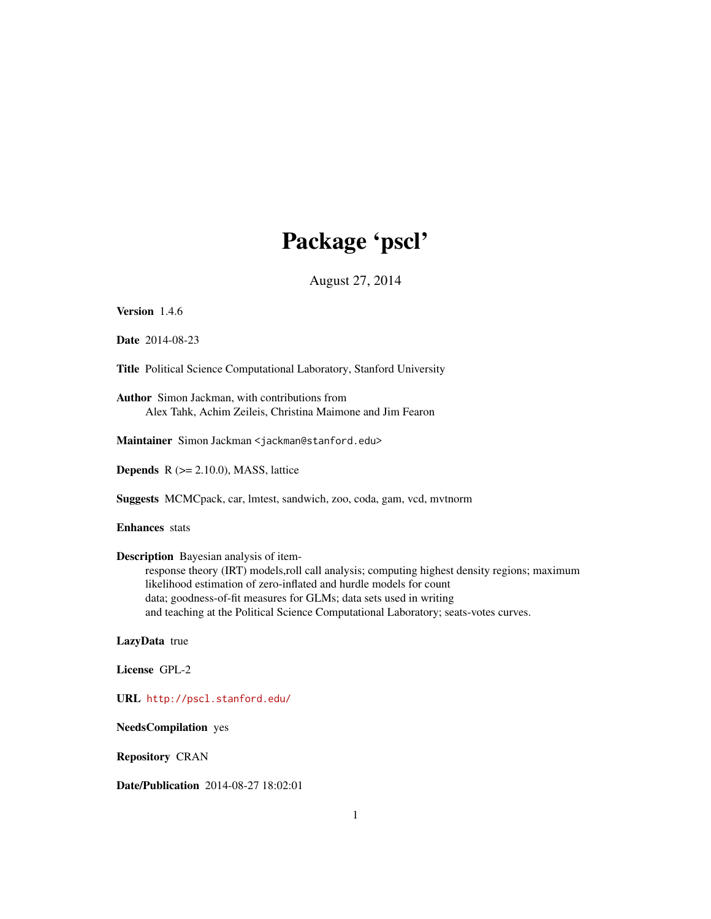# Package 'pscl'

August 27, 2014

<span id="page-0-0"></span>Version 1.4.6

Date 2014-08-23

Title Political Science Computational Laboratory, Stanford University

Author Simon Jackman, with contributions from Alex Tahk, Achim Zeileis, Christina Maimone and Jim Fearon

Maintainer Simon Jackman <jackman@stanford.edu>

**Depends**  $R$  ( $>= 2.10.0$ ), MASS, lattice

Suggests MCMCpack, car, lmtest, sandwich, zoo, coda, gam, vcd, mvtnorm

Enhances stats

Description Bayesian analysis of item-

response theory (IRT) models,roll call analysis; computing highest density regions; maximum likelihood estimation of zero-inflated and hurdle models for count data; goodness-of-fit measures for GLMs; data sets used in writing and teaching at the Political Science Computational Laboratory; seats-votes curves.

LazyData true

License GPL-2

URL <http://pscl.stanford.edu/>

NeedsCompilation yes

Repository CRAN

Date/Publication 2014-08-27 18:02:01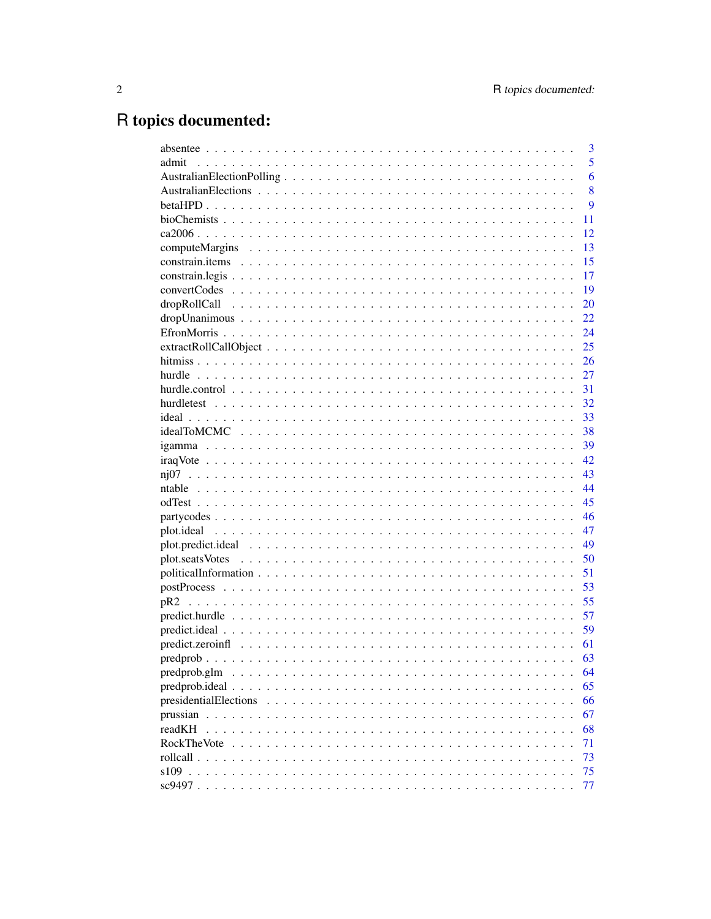# R topics documented:

|                                                                                                       | 3        |
|-------------------------------------------------------------------------------------------------------|----------|
| admit                                                                                                 | 5        |
|                                                                                                       | 6        |
|                                                                                                       | 8        |
|                                                                                                       | 9        |
|                                                                                                       | 11       |
|                                                                                                       | 12       |
|                                                                                                       | 13       |
|                                                                                                       | 15       |
|                                                                                                       | 17       |
|                                                                                                       | 19       |
|                                                                                                       | 20       |
|                                                                                                       | 22       |
|                                                                                                       | 24       |
|                                                                                                       | 25       |
|                                                                                                       |          |
|                                                                                                       |          |
|                                                                                                       | -31      |
|                                                                                                       |          |
|                                                                                                       |          |
|                                                                                                       |          |
|                                                                                                       |          |
|                                                                                                       |          |
|                                                                                                       | 43       |
|                                                                                                       | 44       |
|                                                                                                       | 45       |
|                                                                                                       | 46       |
|                                                                                                       | 47       |
|                                                                                                       | 49       |
|                                                                                                       | 50       |
|                                                                                                       | 51       |
|                                                                                                       | 53       |
|                                                                                                       | 55       |
|                                                                                                       | 57       |
|                                                                                                       | 59       |
|                                                                                                       | 61       |
|                                                                                                       | 63       |
| predprob.glm                                                                                          | 64       |
| $predprob. ideal \dots \dots \dots \dots \dots \dots \dots \dots \dots \dots \dots \dots \dots \dots$ | 65       |
| presidentialElections                                                                                 | 66       |
|                                                                                                       | 67       |
| readKH                                                                                                |          |
| <b>RockTheVote</b>                                                                                    | 68       |
|                                                                                                       | 71<br>73 |
|                                                                                                       |          |
|                                                                                                       | 75       |
|                                                                                                       | 77       |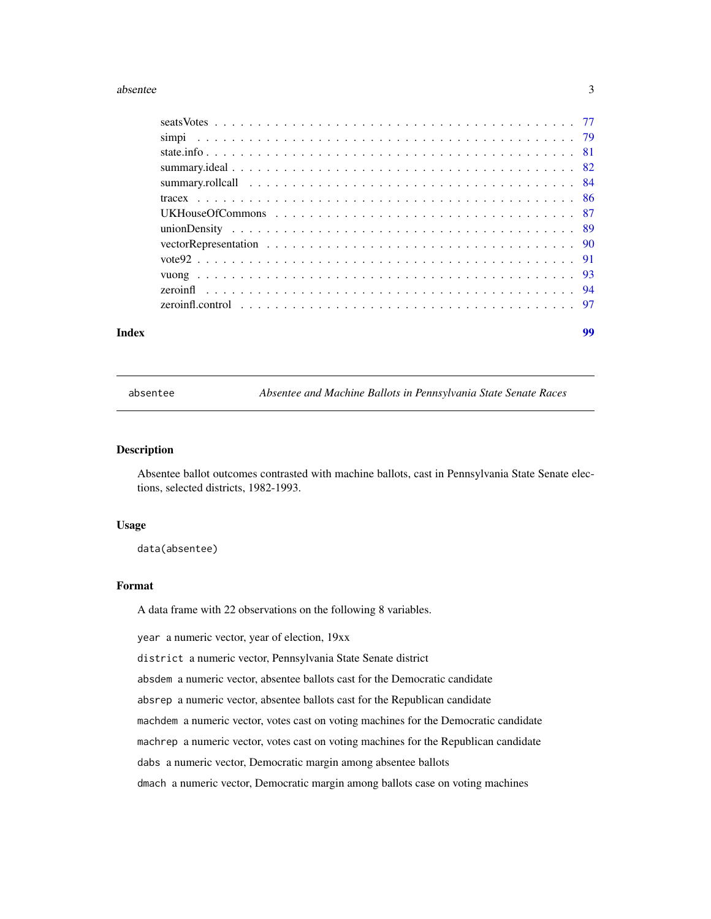#### <span id="page-2-0"></span>absentee 3

| Index | 99 |
|-------|----|
|       |    |
|       |    |
|       |    |
|       |    |
|       |    |
|       |    |
|       |    |
|       |    |
|       |    |
|       |    |
|       |    |
|       |    |
|       |    |

absentee *Absentee and Machine Ballots in Pennsylvania State Senate Races*

#### Description

Absentee ballot outcomes contrasted with machine ballots, cast in Pennsylvania State Senate elections, selected districts, 1982-1993.

#### Usage

data(absentee)

### Format

A data frame with 22 observations on the following 8 variables.

year a numeric vector, year of election, 19xx

district a numeric vector, Pennsylvania State Senate district

absdem a numeric vector, absentee ballots cast for the Democratic candidate

absrep a numeric vector, absentee ballots cast for the Republican candidate

machdem a numeric vector, votes cast on voting machines for the Democratic candidate

machrep a numeric vector, votes cast on voting machines for the Republican candidate

dabs a numeric vector, Democratic margin among absentee ballots

dmach a numeric vector, Democratic margin among ballots case on voting machines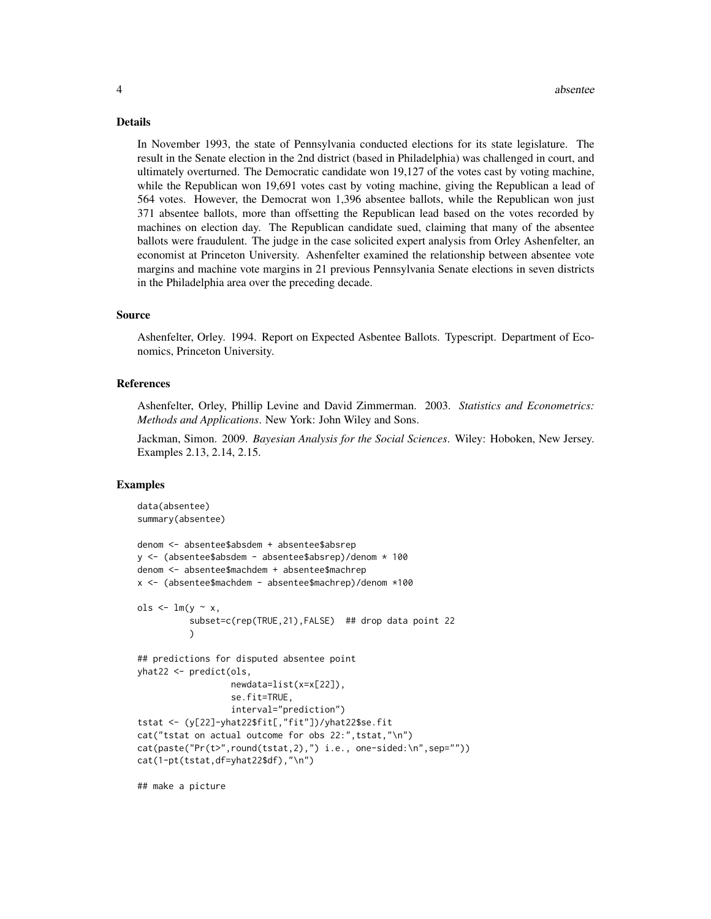#### 4 absentee

#### Details

In November 1993, the state of Pennsylvania conducted elections for its state legislature. The result in the Senate election in the 2nd district (based in Philadelphia) was challenged in court, and ultimately overturned. The Democratic candidate won 19,127 of the votes cast by voting machine, while the Republican won 19,691 votes cast by voting machine, giving the Republican a lead of 564 votes. However, the Democrat won 1,396 absentee ballots, while the Republican won just 371 absentee ballots, more than offsetting the Republican lead based on the votes recorded by machines on election day. The Republican candidate sued, claiming that many of the absentee ballots were fraudulent. The judge in the case solicited expert analysis from Orley Ashenfelter, an economist at Princeton University. Ashenfelter examined the relationship between absentee vote margins and machine vote margins in 21 previous Pennsylvania Senate elections in seven districts in the Philadelphia area over the preceding decade.

#### Source

Ashenfelter, Orley. 1994. Report on Expected Asbentee Ballots. Typescript. Department of Economics, Princeton University.

### References

Ashenfelter, Orley, Phillip Levine and David Zimmerman. 2003. *Statistics and Econometrics: Methods and Applications*. New York: John Wiley and Sons.

Jackman, Simon. 2009. *Bayesian Analysis for the Social Sciences*. Wiley: Hoboken, New Jersey. Examples 2.13, 2.14, 2.15.

```
data(absentee)
summary(absentee)
denom <- absentee$absdem + absentee$absrep
y <- (absentee$absdem - absentee$absrep)/denom * 100
denom <- absentee$machdem + absentee$machrep
x <- (absentee$machdem - absentee$machrep)/denom *100
ols \le - lm(y \sim x,subset=c(rep(TRUE,21),FALSE) ## drop data point 22
          )
## predictions for disputed absentee point
yhat22 <- predict(ols,
                  newdata=list(x=x[22]),
                  se.fit=TRUE,
                  interval="prediction")
tstat <- (y[22]-yhat22$fit[,"fit"])/yhat22$se.fit
cat("tstat on actual outcome for obs 22:",tstat,"\n")
cat(paste("Pr(t>",round(tstat,2),") i.e., one-sided:\n",sep=""))
cat(1-pt(tstat,df=yhat22$df),"\n")
## make a picture
```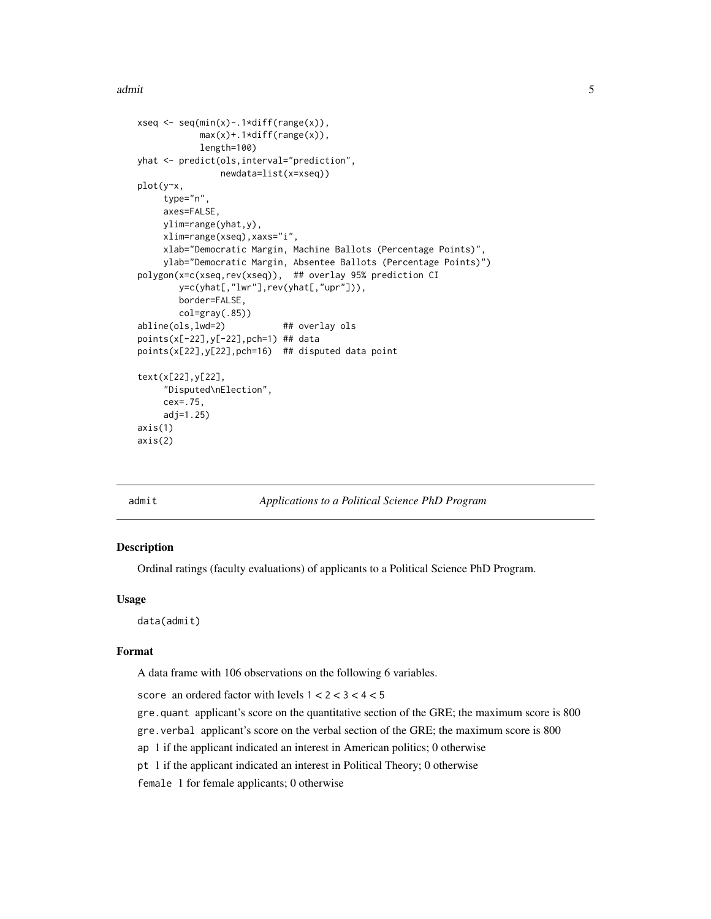<span id="page-4-0"></span>admit 5 and 5 and 5 and 5 and 5 and 5 and 5 and 5 and 5 and 5 and 5 and 5 and 5 and 5 and 5 and 5 and 5 and 5 and 5 and 5 and 5 and 5 and 5 and 5 and 5 and 5 and 5 and 5 and 5 and 5 and 5 and 5 and 5 and 5 and 5 and 5 and

```
xseq \leftarrow seq(min(x) - .1*diff(range(x)),
            max(x)+.1*diff(range(x)),
            length=100)
yhat <- predict(ols,interval="prediction",
                newdata=list(x=xseq))
plot(y~x,
    type="n",
     axes=FALSE,
    ylim=range(yhat,y),
    xlim=range(xseq),xaxs="i",
    xlab="Democratic Margin, Machine Ballots (Percentage Points)",
    ylab="Democratic Margin, Absentee Ballots (Percentage Points)")
polygon(x=c(xseq,rev(xseq)), ## overlay 95% prediction CI
        y=c(yhat[,"lwr"],rev(yhat[,"upr"])),
        border=FALSE,
        col=gray(.85))
abline(ols,lwd=2) ## overlay ols
points(x[-22],y[-22],pch=1) ## data
points(x[22],y[22],pch=16) ## disputed data point
text(x[22],y[22],
     "Disputed\nElection",
     cex=.75,
     adj=1.25)
axis(1)
axis(2)
```
admit *Applications to a Political Science PhD Program*

# Description

Ordinal ratings (faculty evaluations) of applicants to a Political Science PhD Program.

# Usage

data(admit)

#### Format

A data frame with 106 observations on the following 6 variables.

score an ordered factor with levels  $1 < 2 < 3 < 4 < 5$ 

gre.quant applicant's score on the quantitative section of the GRE; the maximum score is 800

gre.verbal applicant's score on the verbal section of the GRE; the maximum score is 800

ap 1 if the applicant indicated an interest in American politics; 0 otherwise

pt 1 if the applicant indicated an interest in Political Theory; 0 otherwise

female 1 for female applicants; 0 otherwise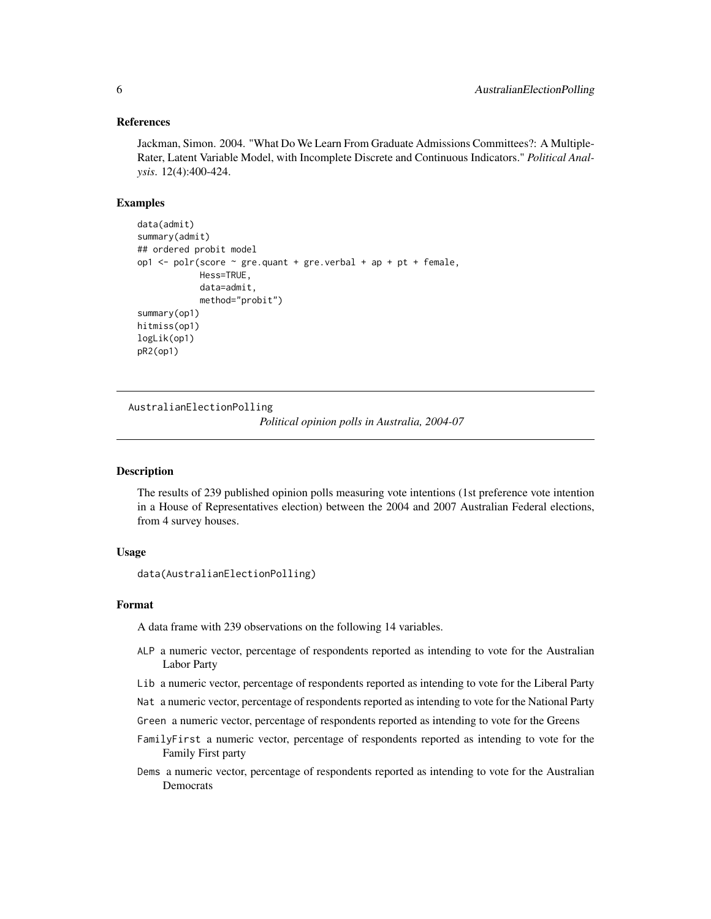#### <span id="page-5-0"></span>References

Jackman, Simon. 2004. "What Do We Learn From Graduate Admissions Committees?: A Multiple-Rater, Latent Variable Model, with Incomplete Discrete and Continuous Indicators." *Political Analysis*. 12(4):400-424.

#### Examples

```
data(admit)
summary(admit)
## ordered probit model
op1 <- polr(score ~ gre.quant + gre.verbal + ap + pt + female,
            Hess=TRUE,
            data=admit,
            method="probit")
summary(op1)
hitmiss(op1)
logLik(op1)
pR2(op1)
```
AustralianElectionPolling

*Political opinion polls in Australia, 2004-07*

### Description

The results of 239 published opinion polls measuring vote intentions (1st preference vote intention in a House of Representatives election) between the 2004 and 2007 Australian Federal elections, from 4 survey houses.

# Usage

```
data(AustralianElectionPolling)
```
#### Format

A data frame with 239 observations on the following 14 variables.

- ALP a numeric vector, percentage of respondents reported as intending to vote for the Australian Labor Party
- Lib a numeric vector, percentage of respondents reported as intending to vote for the Liberal Party

Nat a numeric vector, percentage of respondents reported as intending to vote for the National Party

- Green a numeric vector, percentage of respondents reported as intending to vote for the Greens
- FamilyFirst a numeric vector, percentage of respondents reported as intending to vote for the Family First party
- Dems a numeric vector, percentage of respondents reported as intending to vote for the Australian Democrats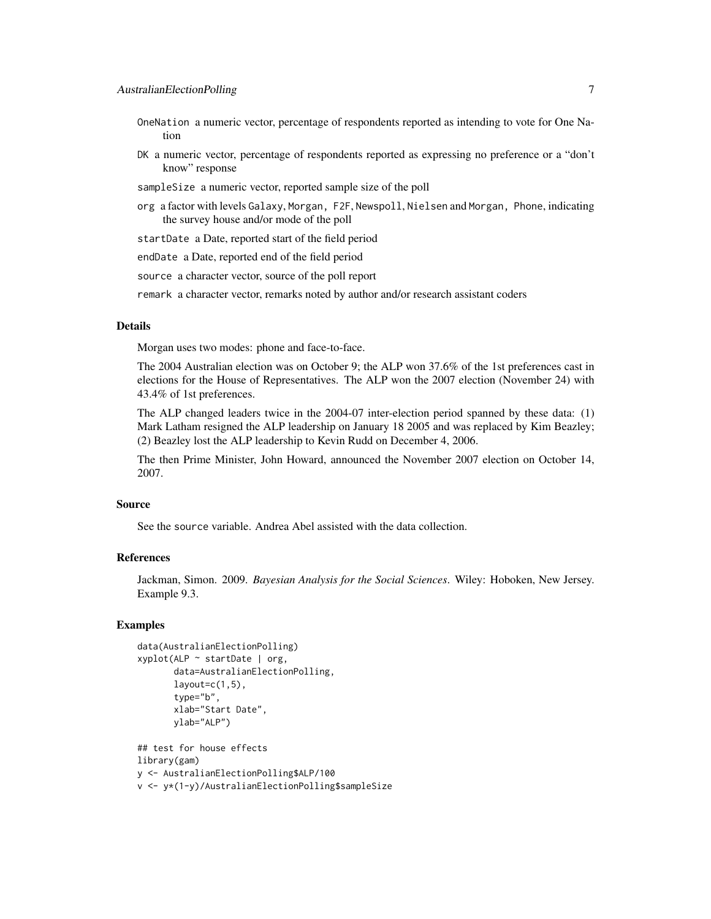- OneNation a numeric vector, percentage of respondents reported as intending to vote for One Nation
- DK a numeric vector, percentage of respondents reported as expressing no preference or a "don't know" response
- sampleSize a numeric vector, reported sample size of the poll
- org a factor with levels Galaxy, Morgan, F2F, Newspoll, Nielsen and Morgan, Phone, indicating the survey house and/or mode of the poll

startDate a Date, reported start of the field period

endDate a Date, reported end of the field period

source a character vector, source of the poll report

remark a character vector, remarks noted by author and/or research assistant coders

# **Details**

Morgan uses two modes: phone and face-to-face.

The 2004 Australian election was on October 9; the ALP won 37.6% of the 1st preferences cast in elections for the House of Representatives. The ALP won the 2007 election (November 24) with 43.4% of 1st preferences.

The ALP changed leaders twice in the 2004-07 inter-election period spanned by these data: (1) Mark Latham resigned the ALP leadership on January 18 2005 and was replaced by Kim Beazley; (2) Beazley lost the ALP leadership to Kevin Rudd on December 4, 2006.

The then Prime Minister, John Howard, announced the November 2007 election on October 14, 2007.

#### Source

See the source variable. Andrea Abel assisted with the data collection.

#### References

Jackman, Simon. 2009. *Bayesian Analysis for the Social Sciences*. Wiley: Hoboken, New Jersey. Example 9.3.

#### Examples

```
data(AustralianElectionPolling)
xyplot(ALP \sim startDate \mid org,data=AustralianElectionPolling,
       layout=c(1,5),
       type="b",
       xlab="Start Date",
       ylab="ALP")
## test for house effects
library(gam)
y <- AustralianElectionPolling$ALP/100
```
v <- y\*(1-y)/AustralianElectionPolling\$sampleSize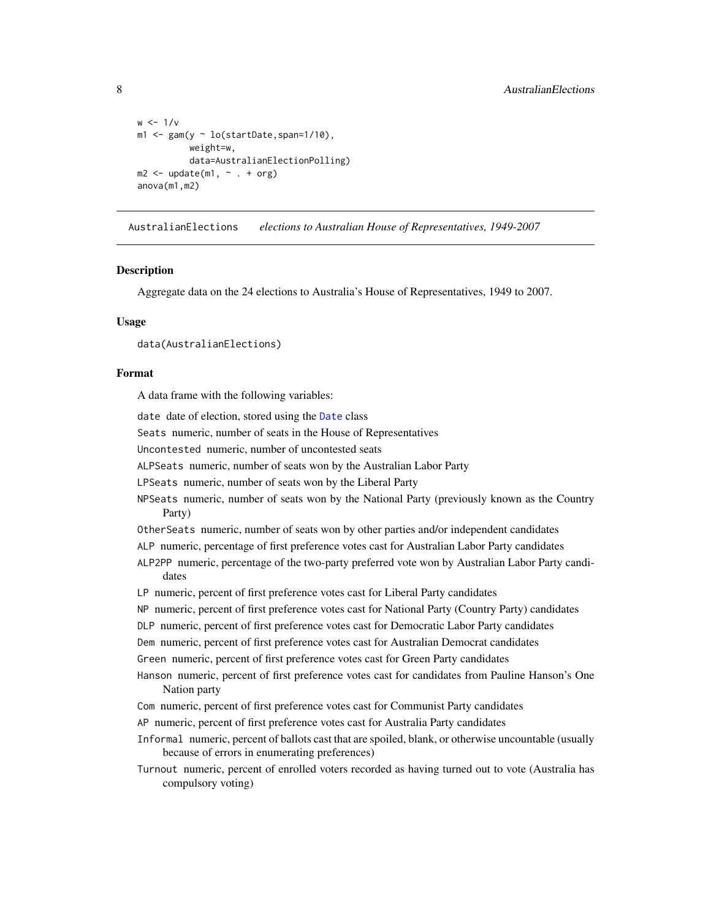```
w < -1/vm1 < - gam(y \sim lo(startDate, span=1/10),
          weight=w,
          data=AustralianElectionPolling)
m2 \leq update(m1, \sim . + org)
anova(m1,m2)
```
AustralianElections *elections to Australian House of Representatives, 1949-2007*

#### **Description**

Aggregate data on the 24 elections to Australia's House of Representatives, 1949 to 2007.

## Usage

data(AustralianElections)

#### Format

A data frame with the following variables:

date date of election, stored using the [Date](#page-0-0) class

Seats numeric, number of seats in the House of Representatives

Uncontested numeric, number of uncontested seats

ALPSeats numeric, number of seats won by the Australian Labor Party

LPSeats numeric, number of seats won by the Liberal Party

- NPSeats numeric, number of seats won by the National Party (previously known as the Country Party)
- OtherSeats numeric, number of seats won by other parties and/or independent candidates
- ALP numeric, percentage of first preference votes cast for Australian Labor Party candidates

ALP2PP numeric, percentage of the two-party preferred vote won by Australian Labor Party candidates

LP numeric, percent of first preference votes cast for Liberal Party candidates

NP numeric, percent of first preference votes cast for National Party (Country Party) candidates

DLP numeric, percent of first preference votes cast for Democratic Labor Party candidates

Dem numeric, percent of first preference votes cast for Australian Democrat candidates

Green numeric, percent of first preference votes cast for Green Party candidates

- Hanson numeric, percent of first preference votes cast for candidates from Pauline Hanson's One Nation party
- Com numeric, percent of first preference votes cast for Communist Party candidates

AP numeric, percent of first preference votes cast for Australia Party candidates

Informal numeric, percent of ballots cast that are spoiled, blank, or otherwise uncountable (usually because of errors in enumerating preferences)

Turnout numeric, percent of enrolled voters recorded as having turned out to vote (Australia has compulsory voting)

<span id="page-7-0"></span>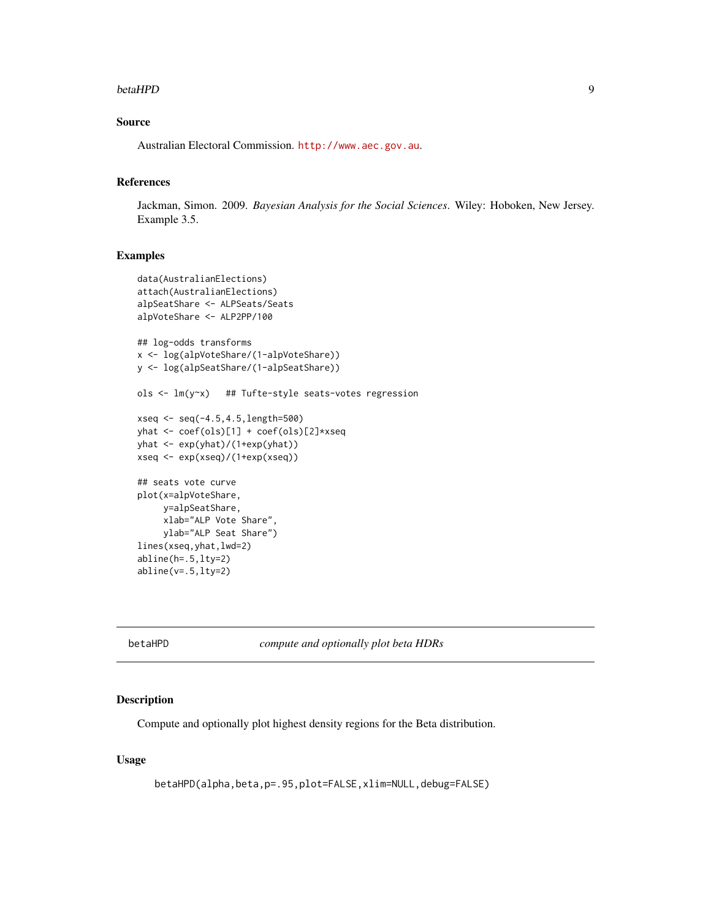#### <span id="page-8-0"></span>betaHPD 9

# Source

Australian Electoral Commission. <http://www.aec.gov.au>.

# References

Jackman, Simon. 2009. *Bayesian Analysis for the Social Sciences*. Wiley: Hoboken, New Jersey. Example 3.5.

# Examples

```
data(AustralianElections)
attach(AustralianElections)
alpSeatShare <- ALPSeats/Seats
alpVoteShare <- ALP2PP/100
## log-odds transforms
x <- log(alpVoteShare/(1-alpVoteShare))
y <- log(alpSeatShare/(1-alpSeatShare))
ols <- lm(y~x) ## Tufte-style seats-votes regression
xseq <- seq(-4.5,4.5,length=500)
yhat <- coef(ols)[1] + coef(ols)[2]*xseq
yhat <- exp(yhat)/(1+exp(yhat))
xseq <- exp(xseq)/(1+exp(xseq))
## seats vote curve
plot(x=alpVoteShare,
     y=alpSeatShare,
     xlab="ALP Vote Share",
    ylab="ALP Seat Share")
lines(xseq,yhat,lwd=2)
abline(h=.5,lty=2)
abline(v=.5,lty=2)
```
betaHPD *compute and optionally plot beta HDRs*

#### Description

Compute and optionally plot highest density regions for the Beta distribution.

# Usage

```
betaHPD(alpha,beta,p=.95,plot=FALSE,xlim=NULL,debug=FALSE)
```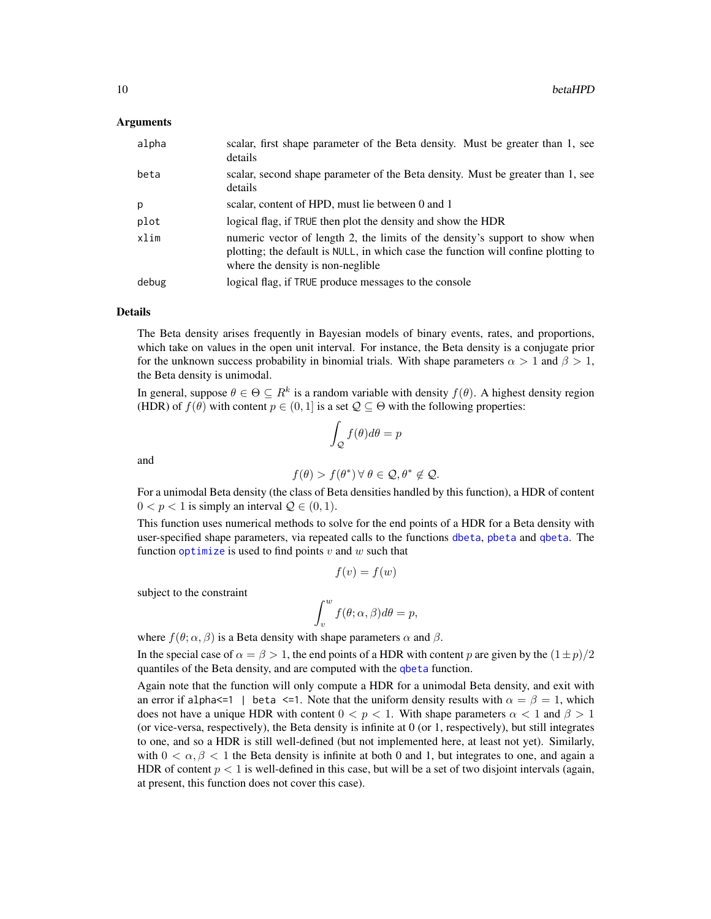#### Arguments

| alpha | scalar, first shape parameter of the Beta density. Must be greater than 1, see<br>details                                                                                                                |
|-------|----------------------------------------------------------------------------------------------------------------------------------------------------------------------------------------------------------|
| beta  | scalar, second shape parameter of the Beta density. Must be greater than 1, see<br>details                                                                                                               |
| p     | scalar, content of HPD, must lie between 0 and 1                                                                                                                                                         |
| plot  | logical flag, if TRUE then plot the density and show the HDR                                                                                                                                             |
| xlim  | numeric vector of length 2, the limits of the density's support to show when<br>plotting; the default is NULL, in which case the function will confine plotting to<br>where the density is non-neglible. |
| debug | logical flag, if TRUE produce messages to the console                                                                                                                                                    |

#### Details

The Beta density arises frequently in Bayesian models of binary events, rates, and proportions, which take on values in the open unit interval. For instance, the Beta density is a conjugate prior for the unknown success probability in binomial trials. With shape parameters  $\alpha > 1$  and  $\beta > 1$ , the Beta density is unimodal.

In general, suppose  $\theta \in \Theta \subseteq R^k$  is a random variable with density  $f(\theta)$ . A highest density region (HDR) of  $f(\theta)$  with content  $p \in (0, 1]$  is a set  $\mathcal{Q} \subseteq \Theta$  with the following properties:

$$
\int_{\mathcal{Q}} f(\theta) d\theta = p
$$

and

$$
f(\theta) > f(\theta^*) \,\forall \,\theta \in \mathcal{Q}, \theta^* \notin \mathcal{Q}.
$$

For a unimodal Beta density (the class of Beta densities handled by this function), a HDR of content  $0 < p < 1$  is simply an interval  $Q \in (0, 1)$ .

This function uses numerical methods to solve for the end points of a HDR for a Beta density with user-specified shape parameters, via repeated calls to the functions [dbeta](#page-0-0), [pbeta](#page-0-0) and [qbeta](#page-0-0). The function [optimize](#page-0-0) is used to find points  $v$  and  $w$  such that

$$
f(v) = f(w)
$$

subject to the constraint

$$
\int_v^wf(\theta;\alpha,\beta)d\theta=p,
$$

where  $f(\theta; \alpha, \beta)$  is a Beta density with shape parameters  $\alpha$  and  $\beta$ .

In the special case of  $\alpha = \beta > 1$ , the end points of a HDR with content p are given by the  $(1 \pm p)/2$ quantiles of the Beta density, and are computed with the [qbeta](#page-0-0) function.

Again note that the function will only compute a HDR for a unimodal Beta density, and exit with an error if alpha $\leq 1$  | beta  $\leq 1$ . Note that the uniform density results with  $\alpha = \beta = 1$ , which does not have a unique HDR with content  $0 < p < 1$ . With shape parameters  $\alpha < 1$  and  $\beta > 1$ (or vice-versa, respectively), the Beta density is infinite at 0 (or 1, respectively), but still integrates to one, and so a HDR is still well-defined (but not implemented here, at least not yet). Similarly, with  $0 < \alpha, \beta < 1$  the Beta density is infinite at both 0 and 1, but integrates to one, and again a HDR of content  $p < 1$  is well-defined in this case, but will be a set of two disjoint intervals (again, at present, this function does not cover this case).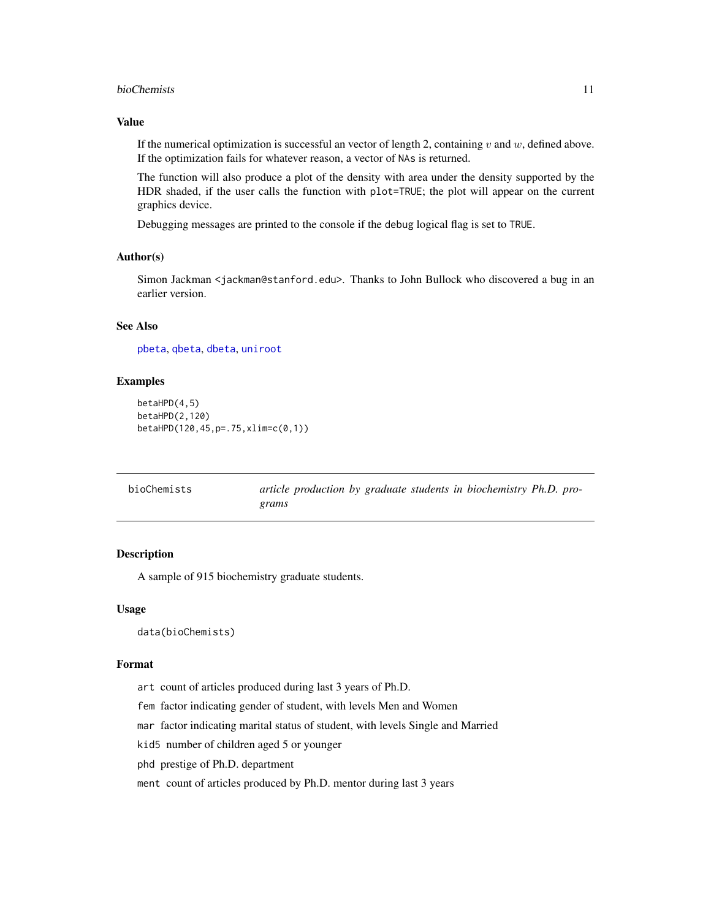#### <span id="page-10-0"></span>bioChemists 11

## Value

If the numerical optimization is successful an vector of length 2, containing  $v$  and  $w$ , defined above. If the optimization fails for whatever reason, a vector of NAs is returned.

The function will also produce a plot of the density with area under the density supported by the HDR shaded, if the user calls the function with plot=TRUE; the plot will appear on the current graphics device.

Debugging messages are printed to the console if the debug logical flag is set to TRUE.

#### Author(s)

Simon Jackman <jackman@stanford.edu>. Thanks to John Bullock who discovered a bug in an earlier version.

# See Also

[pbeta](#page-0-0), [qbeta](#page-0-0), [dbeta](#page-0-0), [uniroot](#page-0-0)

# Examples

```
betaHPD(4,5)
betaHPD(2,120)
betaHPD(120,45,p=.75,xlim=c(0,1))
```

| bioChemists | article production by graduate students in biochemistry Ph.D. pro- |
|-------------|--------------------------------------------------------------------|
|             | grams                                                              |

# Description

A sample of 915 biochemistry graduate students.

#### Usage

data(bioChemists)

#### Format

art count of articles produced during last 3 years of Ph.D.

fem factor indicating gender of student, with levels Men and Women

mar factor indicating marital status of student, with levels Single and Married

kid5 number of children aged 5 or younger

phd prestige of Ph.D. department

ment count of articles produced by Ph.D. mentor during last 3 years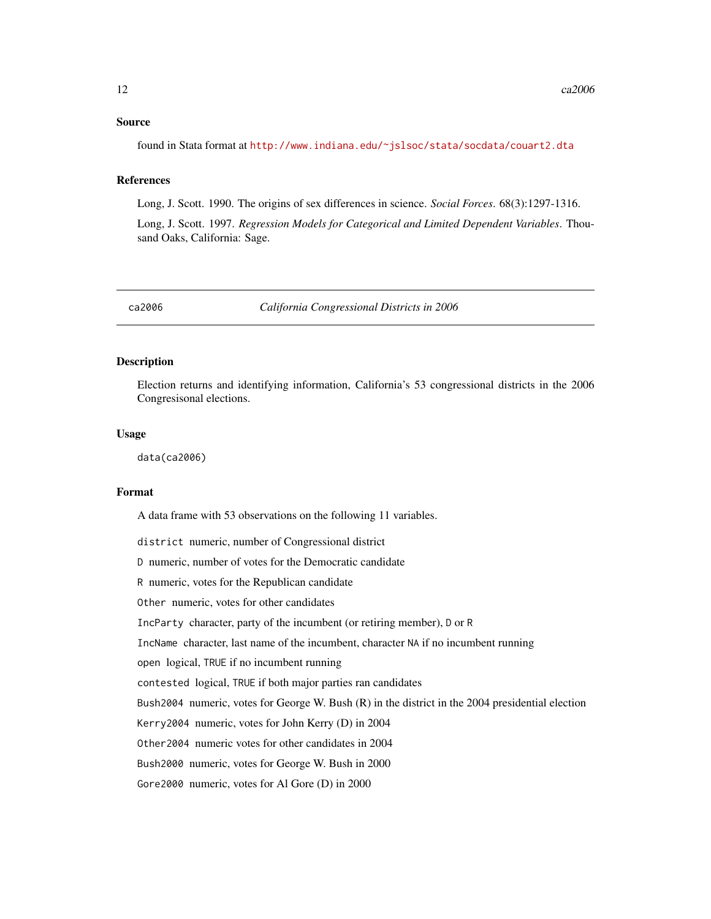#### <span id="page-11-0"></span>Source

found in Stata format at <http://www.indiana.edu/~jslsoc/stata/socdata/couart2.dta>

#### References

Long, J. Scott. 1990. The origins of sex differences in science. *Social Forces*. 68(3):1297-1316.

Long, J. Scott. 1997. *Regression Models for Categorical and Limited Dependent Variables*. Thousand Oaks, California: Sage.

ca2006 *California Congressional Districts in 2006*

### Description

Election returns and identifying information, California's 53 congressional districts in the 2006 Congresisonal elections.

#### Usage

data(ca2006)

#### Format

A data frame with 53 observations on the following 11 variables.

district numeric, number of Congressional district D numeric, number of votes for the Democratic candidate R numeric, votes for the Republican candidate Other numeric, votes for other candidates IncParty character, party of the incumbent (or retiring member), D or R IncName character, last name of the incumbent, character NA if no incumbent running open logical, TRUE if no incumbent running contested logical, TRUE if both major parties ran candidates Bush2004 numeric, votes for George W. Bush (R) in the district in the 2004 presidential election Kerry2004 numeric, votes for John Kerry (D) in 2004 Other2004 numeric votes for other candidates in 2004 Bush2000 numeric, votes for George W. Bush in 2000 Gore2000 numeric, votes for Al Gore (D) in 2000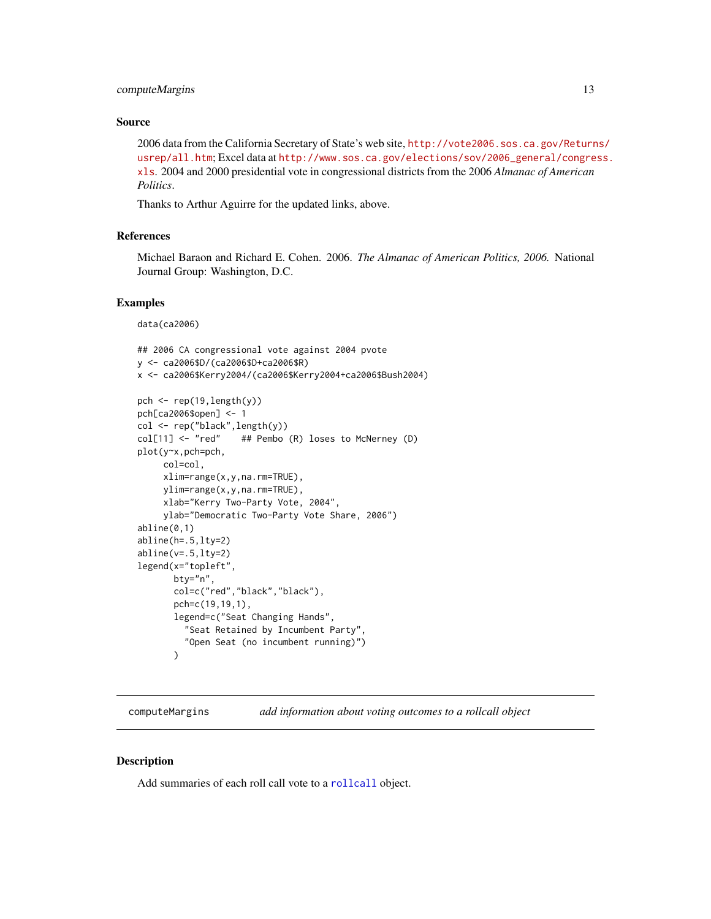# <span id="page-12-0"></span>computeMargins 13

#### Source

2006 data from the California Secretary of State's web site, [http://vote2006.sos.ca.gov/Return](http://vote2006.sos.ca.gov/Returns/usrep/all.htm)s/ [usrep/all.htm](http://vote2006.sos.ca.gov/Returns/usrep/all.htm); Excel data at [http://www.sos.ca.gov/elections/sov/2006\\_general/congre](http://www.sos.ca.gov/elections/sov/2006_general/congress.xls)ss. [xls](http://www.sos.ca.gov/elections/sov/2006_general/congress.xls). 2004 and 2000 presidential vote in congressional districts from the 2006 *Almanac of American Politics*.

Thanks to Arthur Aguirre for the updated links, above.

#### References

Michael Baraon and Richard E. Cohen. 2006. *The Almanac of American Politics, 2006.* National Journal Group: Washington, D.C.

#### Examples

data(ca2006)

```
## 2006 CA congressional vote against 2004 pvote
y <- ca2006$D/(ca2006$D+ca2006$R)
x <- ca2006$Kerry2004/(ca2006$Kerry2004+ca2006$Bush2004)
pch \leq rep(19, length(y))
pch[ca2006$open] <- 1
col <- rep("black",length(y))
col[11] <- "red" ## Pembo (R) loses to McNerney (D)
plot(y~x,pch=pch,
     col=col,
     xlim=range(x,y,na.rm=TRUE),
     ylim=range(x,y,na.rm=TRUE),
     xlab="Kerry Two-Party Vote, 2004",
     ylab="Democratic Two-Party Vote Share, 2006")
abline(0,1)
abline(h=.5,lty=2)
abline(v=.5,lty=2)
legend(x="topleft",
       bty="n",
       col=c("red","black","black"),
       pch=c(19,19,1),
       legend=c("Seat Changing Hands",
         "Seat Retained by Incumbent Party",
         "Open Seat (no incumbent running)")
       \lambda
```
computeMargins *add information about voting outcomes to a rollcall object*

#### **Description**

Add summaries of each roll call vote to a [rollcall](#page-72-1) object.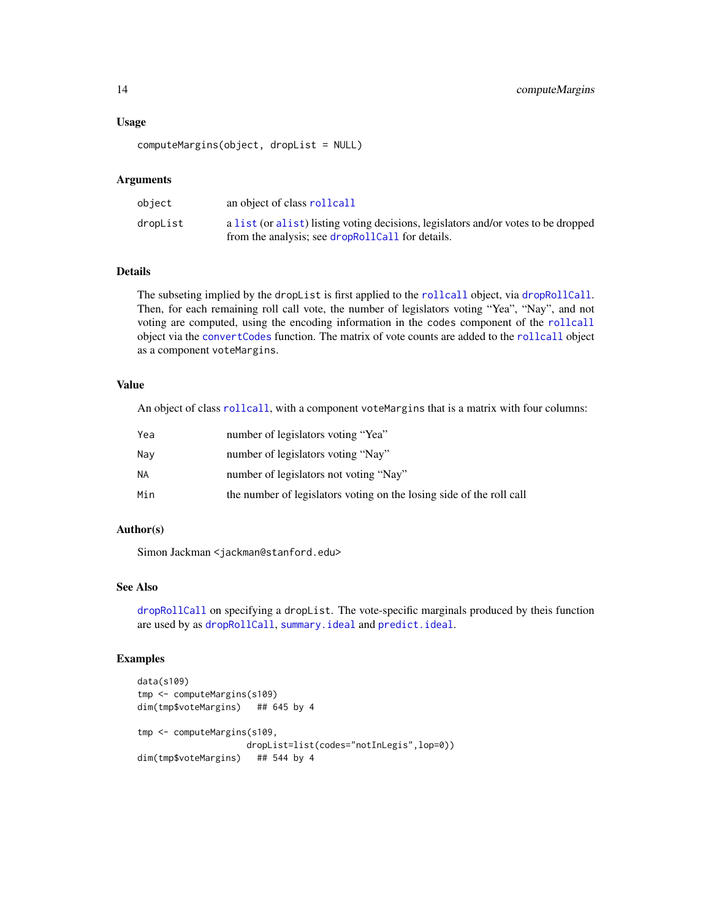#### Usage

computeMargins(object, dropList = NULL)

#### Arguments

| object   | an object of class rollcall                                                                                                            |
|----------|----------------------------------------------------------------------------------------------------------------------------------------|
| dropList | a list (or alist) listing voting decisions, legislators and/or votes to be dropped<br>from the analysis; see dropRollCall for details. |

#### Details

The subseting implied by the dropList is first applied to the [rollcall](#page-72-1) object, via [dropRollCall](#page-19-1). Then, for each remaining roll call vote, the number of legislators voting "Yea", "Nay", and not voting are computed, using the encoding information in the codes component of the [rollcall](#page-72-1) object via the [convertCodes](#page-18-1) function. The matrix of vote counts are added to the [rollcall](#page-72-1) object as a component voteMargins.

# Value

An object of class [rollcall](#page-72-1), with a component voteMargins that is a matrix with four columns:

| Yea | number of legislators voting "Yea"                                   |
|-----|----------------------------------------------------------------------|
| Nav | number of legislators voting "Nay"                                   |
| NΑ  | number of legislators not voting "Nay"                               |
| Min | the number of legislators voting on the losing side of the roll call |

## Author(s)

Simon Jackman <jackman@stanford.edu>

# See Also

[dropRollCall](#page-19-1) on specifying a dropList. The vote-specific marginals produced by theis function are used by as [dropRollCall](#page-19-1), [summary.ideal](#page-81-1) and [predict.ideal](#page-58-1).

```
data(s109)
tmp <- computeMargins(s109)
dim(tmp$voteMargins) ## 645 by 4
tmp <- computeMargins(s109,
                    dropList=list(codes="notInLegis",lop=0))
dim(tmp$voteMargins) ## 544 by 4
```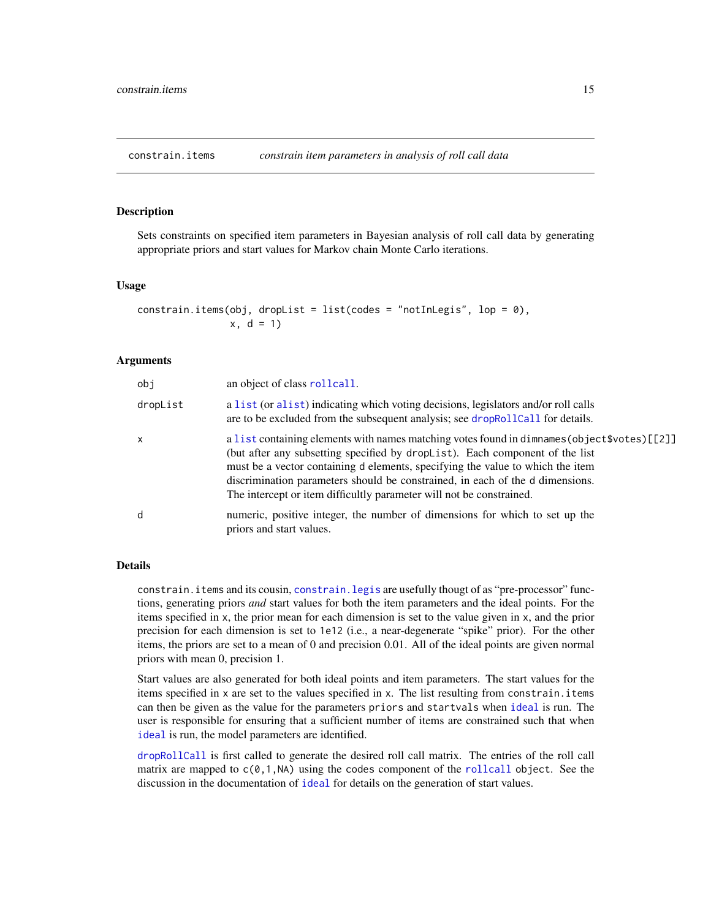<span id="page-14-1"></span><span id="page-14-0"></span>constrain.items *constrain item parameters in analysis of roll call data*

# Description

Sets constraints on specified item parameters in Bayesian analysis of roll call data by generating appropriate priors and start values for Markov chain Monte Carlo iterations.

# Usage

```
constrain.items(obj, dropList = list(codes = "notInLegis", lop = 0),
               x, d = 1
```
#### Arguments

| obj      | an object of class rollcall.                                                                                                                                                                                                                                                                                                                                                                                            |
|----------|-------------------------------------------------------------------------------------------------------------------------------------------------------------------------------------------------------------------------------------------------------------------------------------------------------------------------------------------------------------------------------------------------------------------------|
| dropList | a list (or alist) indicating which voting decisions, legislators and/or roll calls<br>are to be excluded from the subsequent analysis; see dropRollCall for details.                                                                                                                                                                                                                                                    |
| x        | a list containing elements with names matching votes found in dimnames (object \$votes) [[2]]<br>(but after any subsetting specified by droplet). Each component of the list<br>must be a vector containing d elements, specifying the value to which the item<br>discrimination parameters should be constrained, in each of the d dimensions.<br>The intercept or item difficultly parameter will not be constrained. |
| d        | numeric, positive integer, the number of dimensions for which to set up the<br>priors and start values.                                                                                                                                                                                                                                                                                                                 |

#### Details

constrain.items and its cousin, [constrain.legis](#page-16-1) are usefully thougt of as "pre-processor" functions, generating priors *and* start values for both the item parameters and the ideal points. For the items specified in x, the prior mean for each dimension is set to the value given in x, and the prior precision for each dimension is set to 1e12 (i.e., a near-degenerate "spike" prior). For the other items, the priors are set to a mean of 0 and precision 0.01. All of the ideal points are given normal priors with mean 0, precision 1.

Start values are also generated for both ideal points and item parameters. The start values for the items specified in x are set to the values specified in x. The list resulting from constrain.items can then be given as the value for the parameters priors and startvals when [ideal](#page-32-1) is run. The user is responsible for ensuring that a sufficient number of items are constrained such that when [ideal](#page-32-1) is run, the model parameters are identified.

[dropRollCall](#page-19-1) is first called to generate the desired roll call matrix. The entries of the roll call matrix are mapped to  $c(0,1,NA)$  using the codes component of the [rollcall](#page-72-1) object. See the discussion in the documentation of [ideal](#page-32-1) for details on the generation of start values.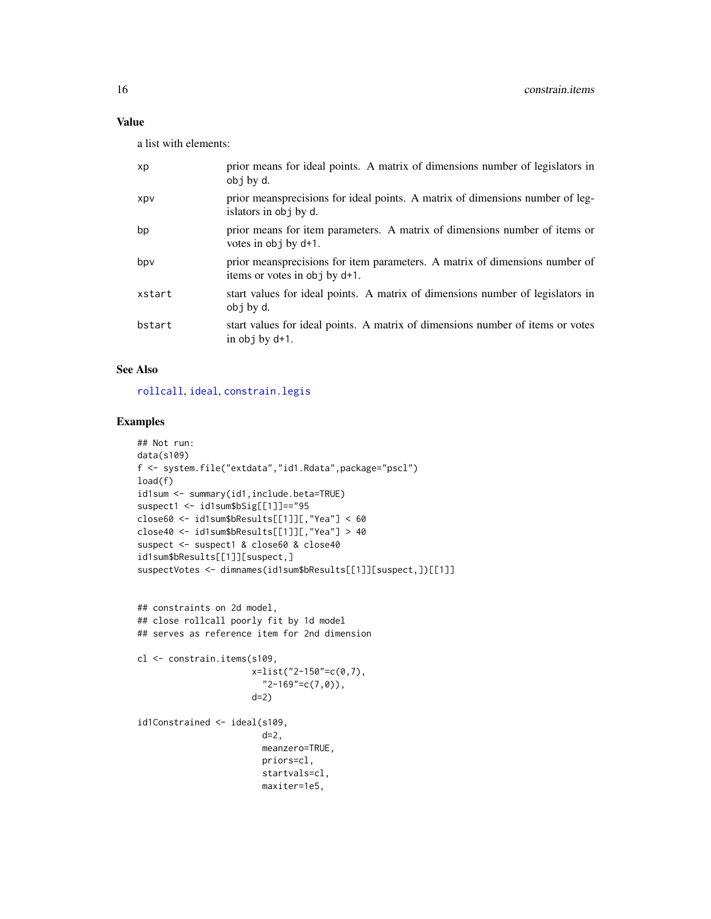# Value

a list with elements:

| xp         | prior means for ideal points. A matrix of dimensions number of legislators in<br>obj by d.                   |
|------------|--------------------------------------------------------------------------------------------------------------|
| <b>XDV</b> | prior meansprecisions for ideal points. A matrix of dimensions number of leg-<br>islators in obj by d.       |
| bp         | prior means for item parameters. A matrix of dimensions number of items or<br>votes in obj by d+1.           |
| bpv        | prior meansprecisions for item parameters. A matrix of dimensions number of<br>items or votes in obj by d+1. |
| xstart     | start values for ideal points. A matrix of dimensions number of legislators in<br>obj by d.                  |
| bstart     | start values for ideal points. A matrix of dimensions number of items or votes<br>in $obj$ by $d+1$ .        |

# See Also

[rollcall](#page-72-1), [ideal](#page-32-1), [constrain.legis](#page-16-1)

```
## Not run:
data(s109)
f <- system.file("extdata","id1.Rdata",package="pscl")
load(f)
id1sum <- summary(id1,include.beta=TRUE)
suspect1 <- id1sum$bSig[[1]]=="95
close60 <- id1sum$bResults[[1]][,"Yea"] < 60
close40 <- id1sum$bResults[[1]][,"Yea"] > 40
suspect <- suspect1 & close60 & close40
id1sum$bResults[[1]][suspect,]
suspectVotes <- dimnames(id1sum$bResults[[1]][suspect,])[[1]]
## constraints on 2d model,
## close rollcall poorly fit by 1d model
## serves as reference item for 2nd dimension
cl <- constrain.items(s109,
                      x=list("2-150"=c(0,7),
                        "2-169"=c(7,0)),
                      d=2)
id1Constrained <- ideal(s109,
                        d=2,
                        meanzero=TRUE,
                        priors=cl,
                        startvals=cl,
                        maxiter=1e5,
```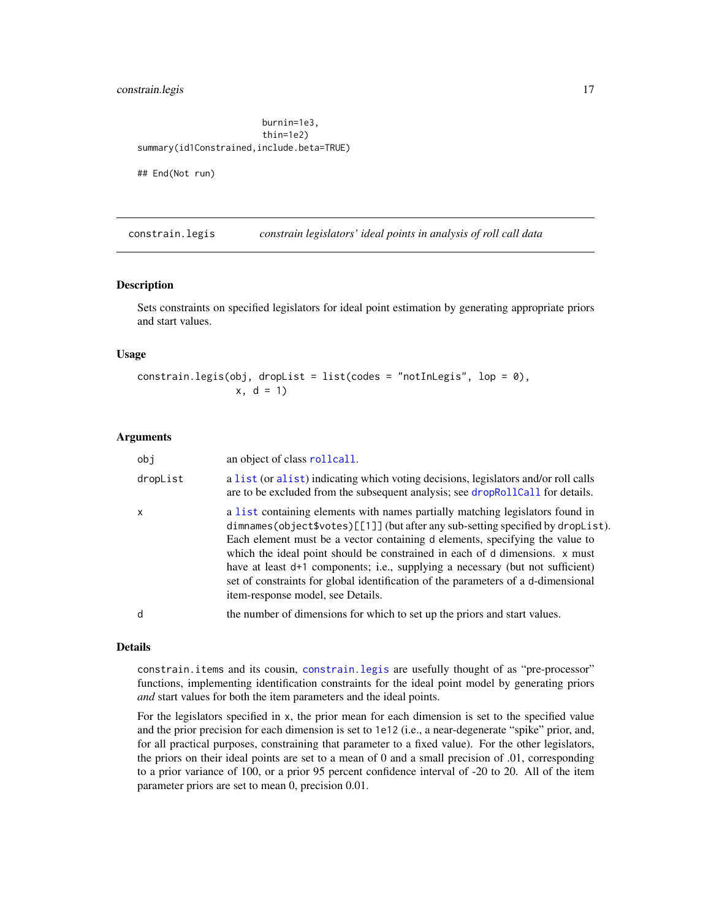# <span id="page-16-0"></span>constrain.legis 17

burnin=1e3, thin=1e2) summary(id1Constrained,include.beta=TRUE)

## End(Not run)

<span id="page-16-1"></span>constrain.legis *constrain legislators' ideal points in analysis of roll call data*

#### Description

Sets constraints on specified legislators for ideal point estimation by generating appropriate priors and start values.

# Usage

```
constrain.legis(obj, dropList = list(codes = "notInLegis", lop = 0),
                x, d = 1
```
#### Arguments

| obi          | an object of class rollcall.                                                                                                                                                                                                                                                                                                                                                                                                                                                                                                                |
|--------------|---------------------------------------------------------------------------------------------------------------------------------------------------------------------------------------------------------------------------------------------------------------------------------------------------------------------------------------------------------------------------------------------------------------------------------------------------------------------------------------------------------------------------------------------|
| dropList     | a list (or alist) indicating which voting decisions, legislators and/or roll calls<br>are to be excluded from the subsequent analysis; see dropRollCall for details.                                                                                                                                                                                                                                                                                                                                                                        |
| $\mathsf{x}$ | a list containing elements with names partially matching legislators found in<br>dimnames(object\$votes)[[1]] (but after any sub-setting specified by dropList).<br>Each element must be a vector containing d elements, specifying the value to<br>which the ideal point should be constrained in each of d dimensions. x must<br>have at least d+1 components; i.e., supplying a necessary (but not sufficient)<br>set of constraints for global identification of the parameters of a d-dimensional<br>item-response model, see Details. |
| d            | the number of dimensions for which to set up the priors and start values.                                                                                                                                                                                                                                                                                                                                                                                                                                                                   |
|              |                                                                                                                                                                                                                                                                                                                                                                                                                                                                                                                                             |

#### Details

constrain.items and its cousin, [constrain.legis](#page-16-1) are usefully thought of as "pre-processor" functions, implementing identification constraints for the ideal point model by generating priors *and* start values for both the item parameters and the ideal points.

For the legislators specified in x, the prior mean for each dimension is set to the specified value and the prior precision for each dimension is set to 1e12 (i.e., a near-degenerate "spike" prior, and, for all practical purposes, constraining that parameter to a fixed value). For the other legislators, the priors on their ideal points are set to a mean of 0 and a small precision of .01, corresponding to a prior variance of 100, or a prior 95 percent confidence interval of -20 to 20. All of the item parameter priors are set to mean 0, precision 0.01.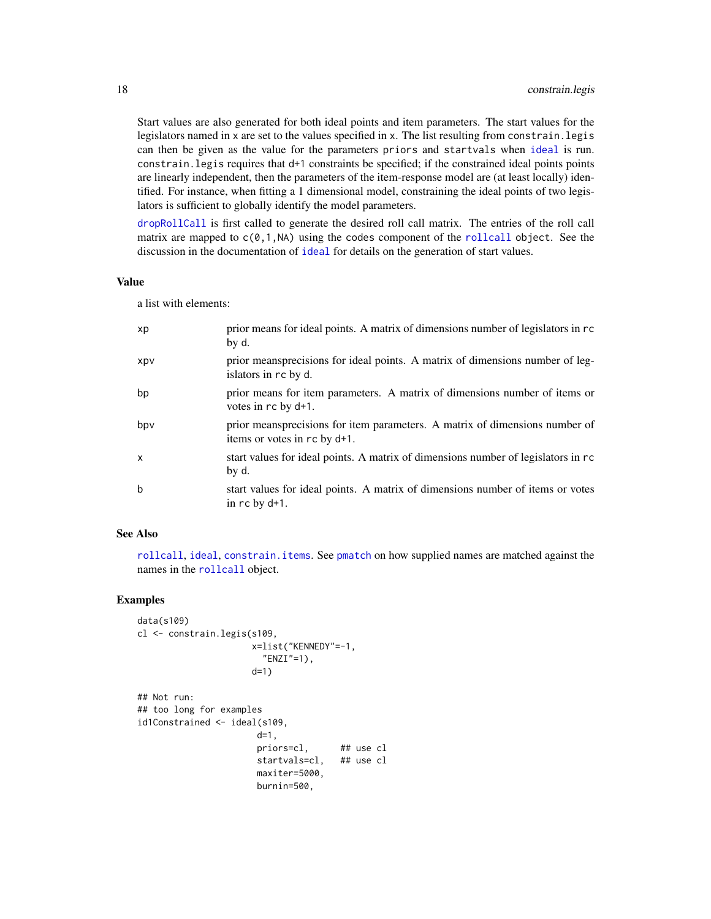Start values are also generated for both ideal points and item parameters. The start values for the legislators named in x are set to the values specified in x. The list resulting from constrain.legis can then be given as the value for the parameters priors and startvals when [ideal](#page-32-1) is run. constrain.legis requires that d+1 constraints be specified; if the constrained ideal points points are linearly independent, then the parameters of the item-response model are (at least locally) identified. For instance, when fitting a 1 dimensional model, constraining the ideal points of two legislators is sufficient to globally identify the model parameters.

[dropRollCall](#page-19-1) is first called to generate the desired roll call matrix. The entries of the roll call matrix are mapped to  $c(0,1,NA)$  using the codes component of the [rollcall](#page-72-1) object. See the discussion in the documentation of [ideal](#page-32-1) for details on the generation of start values.

#### Value

a list with elements:

| xp         | prior means for ideal points. A matrix of dimensions number of legislators in rc<br>by d.                   |
|------------|-------------------------------------------------------------------------------------------------------------|
| <b>XDV</b> | prior meansprecisions for ideal points. A matrix of dimensions number of leg-<br>islators in rc by d.       |
| bp         | prior means for item parameters. A matrix of dimensions number of items or<br>votes in rc by d+1.           |
| bpv        | prior meansprecisions for item parameters. A matrix of dimensions number of<br>items or votes in rc by d+1. |
| X          | start values for ideal points. A matrix of dimensions number of legislators in rc<br>by d.                  |
| b          | start values for ideal points. A matrix of dimensions number of items or votes<br>in $rc$ by $d+1$ .        |

#### See Also

[rollcall](#page-72-1), [ideal](#page-32-1), [constrain.items](#page-14-1). See [pmatch](#page-0-0) on how supplied names are matched against the names in the [rollcall](#page-72-1) object.

```
data(s109)
cl <- constrain.legis(s109,
                     x=list("KENNEDY"=-1,
                       "ENZI"=1),
                     d=1)
## Not run:
## too long for examples
id1Constrained <- ideal(s109,
                      d=1,
                      priors=cl, ## use cl
                      startvals=cl, ## use cl
                      maxiter=5000,
                      burnin=500,
```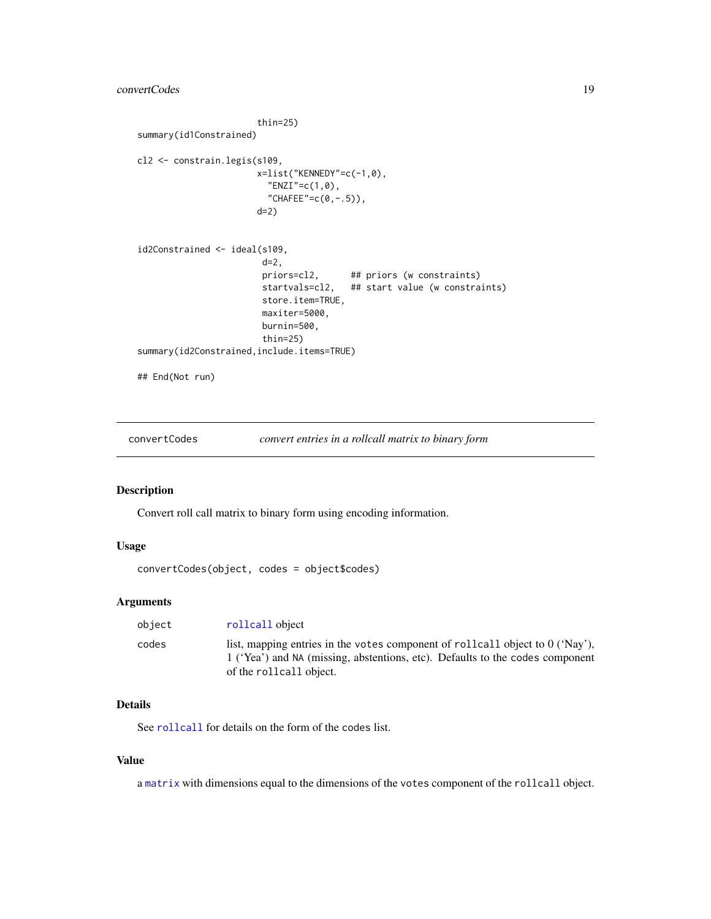```
thin=25)
summary(id1Constrained)
cl2 <- constrain.legis(s109,
                       x=list("KENNEDY"=c(-1,0),
                        "ENZI"=c(1,0),
                         "CHAFEE"=c(0, -.5)),
                       d=2)
id2Constrained <- ideal(s109,
                        d=2,
                        priors=cl2, ## priors (w constraints)
                        startvals=cl2, ## start value (w constraints)
                        store.item=TRUE,
                        maxiter=5000,
                       burnin=500,
                        thin=25)
summary(id2Constrained,include.items=TRUE)
## End(Not run)
```
<span id="page-18-1"></span>convertCodes *convert entries in a rollcall matrix to binary form*

# Description

Convert roll call matrix to binary form using encoding information.

# Usage

```
convertCodes(object, codes = object$codes)
```
# Arguments

| object | rollcall object                                                                                                                                                                             |
|--------|---------------------------------------------------------------------------------------------------------------------------------------------------------------------------------------------|
| codes  | list, mapping entries in the votes component of rollcall object to $0$ ('Nay'),<br>1 ('Yea') and NA (missing, abstentions, etc). Defaults to the codes component<br>of the rollcall object. |

#### Details

See [rollcall](#page-72-1) for details on the form of the codes list.

# Value

a [matrix](#page-0-0) with dimensions equal to the dimensions of the votes component of the rollcall object.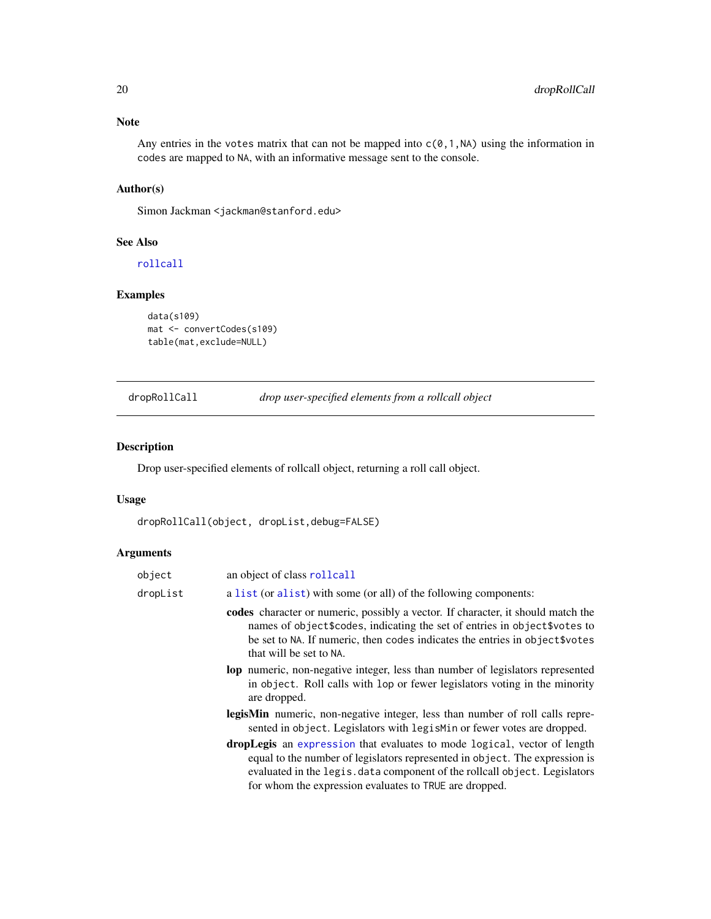<span id="page-19-0"></span>Any entries in the votes matrix that can not be mapped into  $c(0,1,N)$  using the information in codes are mapped to NA, with an informative message sent to the console.

# Author(s)

Simon Jackman <jackman@stanford.edu>

# See Also

[rollcall](#page-72-1)

# Examples

```
data(s109)
mat <- convertCodes(s109)
table(mat,exclude=NULL)
```
<span id="page-19-1"></span>dropRollCall *drop user-specified elements from a rollcall object*

# Description

Drop user-specified elements of rollcall object, returning a roll call object.

### Usage

dropRollCall(object, dropList,debug=FALSE)

# Arguments

| a list (or alist) with some (or all) of the following components:<br>dropList<br>that will be set to NA.<br>are dropped.<br>for whom the expression evaluates to TRUE are dropped. | object | an object of class rollcall                                                                                                                                                                                                                     |
|------------------------------------------------------------------------------------------------------------------------------------------------------------------------------------|--------|-------------------------------------------------------------------------------------------------------------------------------------------------------------------------------------------------------------------------------------------------|
|                                                                                                                                                                                    |        |                                                                                                                                                                                                                                                 |
|                                                                                                                                                                                    |        | codes character or numeric, possibly a vector. If character, it should match the<br>names of object \$codes, indicating the set of entries in object \$votes to<br>be set to NA. If numeric, then codes indicates the entries in object \$votes |
|                                                                                                                                                                                    |        | <b>lop</b> numeric, non-negative integer, less than number of legislators represented<br>in object. Roll calls with lop or fewer legislators voting in the minority                                                                             |
|                                                                                                                                                                                    |        | <b>legisMin</b> numeric, non-negative integer, less than number of roll calls repre-<br>sented in object. Legislators with legisMin or fewer votes are dropped.                                                                                 |
|                                                                                                                                                                                    |        | dropLegis an expression that evaluates to mode logical, vector of length<br>equal to the number of legislators represented in object. The expression is<br>evaluated in the legis. data component of the rollcall object. Legislators           |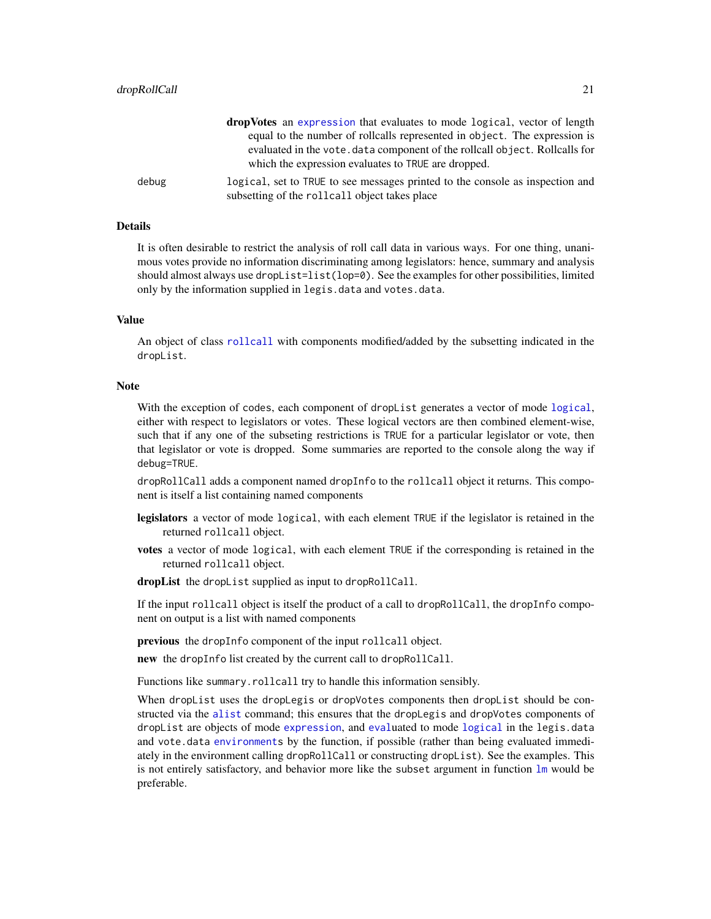|       | <b>dropVotes</b> an expression that evaluates to mode logical, vector of length                                                    |
|-------|------------------------------------------------------------------------------------------------------------------------------------|
|       | equal to the number of rollcalls represented in object. The expression is                                                          |
|       | evaluated in the vote, data component of the rollcall object. Rollcalls for<br>which the expression evaluates to TRUE are dropped. |
| debug | logical, set to TRUE to see messages printed to the console as inspection and                                                      |
|       | subsetting of the rollcall object takes place                                                                                      |

#### Details

It is often desirable to restrict the analysis of roll call data in various ways. For one thing, unanimous votes provide no information discriminating among legislators: hence, summary and analysis should almost always use dropList=list(lop=0). See the examples for other possibilities, limited only by the information supplied in legis.data and votes.data.

# Value

An object of class [rollcall](#page-72-1) with components modified/added by the subsetting indicated in the dropList.

#### Note

With the exception of codes, each component of dropList generates a vector of mode [logical](#page-0-0), either with respect to legislators or votes. These logical vectors are then combined element-wise, such that if any one of the subseting restrictions is TRUE for a particular legislator or vote, then that legislator or vote is dropped. Some summaries are reported to the console along the way if debug=TRUE.

dropRollCall adds a component named dropInfo to the rollcall object it returns. This component is itself a list containing named components

- legislators a vector of mode logical, with each element TRUE if the legislator is retained in the returned rollcall object.
- votes a vector of mode logical, with each element TRUE if the corresponding is retained in the returned rollcall object.
- dropList the dropList supplied as input to dropRollCall.

If the input rollcall object is itself the product of a call to dropRollCall, the dropInfo component on output is a list with named components

previous the dropInfo component of the input rollcall object.

new the dropInfo list created by the current call to dropRollCall.

Functions like summary.rollcall try to handle this information sensibly.

When dropList uses the dropLegis or dropVotes components then dropList should be constructed via the [alist](#page-0-0) command; this ensures that the dropLegis and dropVotes components of dropList are objects of mode [expression](#page-0-0), and [eval](#page-0-0)uated to mode [logical](#page-0-0) in the legis.data and vote.data [environments](#page-0-0) by the function, if possible (rather than being evaluated immediately in the environment calling dropRollCall or constructing dropList). See the examples. This is not entirely satisfactory, and behavior more like the subset argument in function  $\text{lm}$  $\text{lm}$  $\text{lm}$  would be preferable.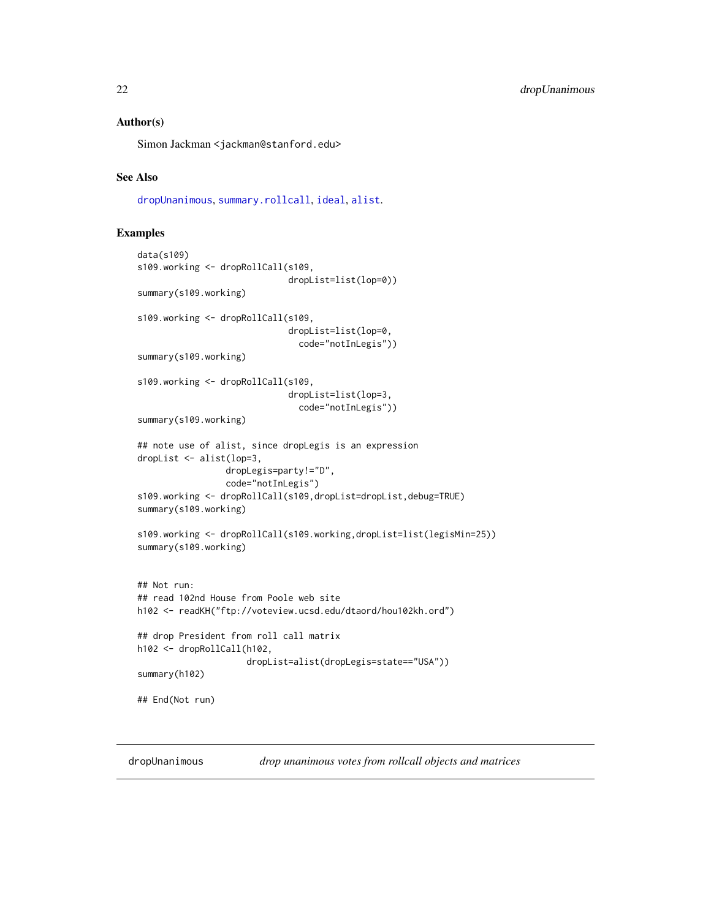#### <span id="page-21-0"></span>Author(s)

Simon Jackman <jackman@stanford.edu>

## See Also

[dropUnanimous](#page-21-1), [summary.rollcall](#page-83-1), [ideal](#page-32-1), [alist](#page-0-0).

#### Examples

```
data(s109)
s109.working <- dropRollCall(s109,
                             dropList=list(lop=0))
summary(s109.working)
s109.working <- dropRollCall(s109,
                             dropList=list(lop=0,
                               code="notInLegis"))
summary(s109.working)
s109.working <- dropRollCall(s109,
                             dropList=list(lop=3,
                               code="notInLegis"))
summary(s109.working)
## note use of alist, since dropLegis is an expression
dropList <- alist(lop=3,
                 dropLegis=party!="D",
                 code="notInLegis")
s109.working <- dropRollCall(s109,dropList=dropList,debug=TRUE)
summary(s109.working)
s109.working <- dropRollCall(s109.working,dropList=list(legisMin=25))
summary(s109.working)
## Not run:
## read 102nd House from Poole web site
h102 <- readKH("ftp://voteview.ucsd.edu/dtaord/hou102kh.ord")
## drop President from roll call matrix
h102 <- dropRollCall(h102,
                     dropList=alist(dropLegis=state=="USA"))
summary(h102)
## End(Not run)
```
<span id="page-21-1"></span>dropUnanimous *drop unanimous votes from rollcall objects and matrices*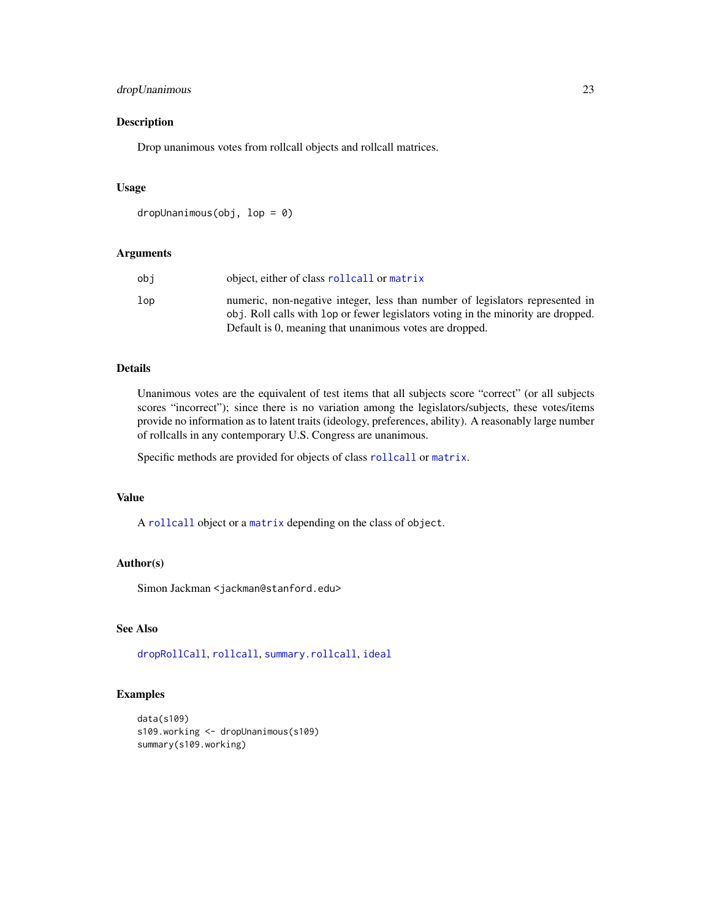# dropUnanimous 23

# Description

Drop unanimous votes from rollcall objects and rollcall matrices.

#### Usage

```
dropUnanimous(obj, lop = 0)
```
#### Arguments

| obi | object, either of class rollcall or matrix                                                                                                                         |
|-----|--------------------------------------------------------------------------------------------------------------------------------------------------------------------|
| lop | numeric, non-negative integer, less than number of legislators represented in<br>obj. Roll calls with lop or fewer legislators voting in the minority are dropped. |
|     | Default is 0, meaning that unanimous votes are dropped.                                                                                                            |

# Details

Unanimous votes are the equivalent of test items that all subjects score "correct" (or all subjects scores "incorrect"); since there is no variation among the legislators/subjects, these votes/items provide no information as to latent traits (ideology, preferences, ability). A reasonably large number of rollcalls in any contemporary U.S. Congress are unanimous.

Specific methods are provided for objects of class [rollcall](#page-72-1) or [matrix](#page-0-0).

# Value

A [rollcall](#page-72-1) object or a [matrix](#page-0-0) depending on the class of object.

#### Author(s)

Simon Jackman <jackman@stanford.edu>

# See Also

[dropRollCall](#page-19-1), [rollcall](#page-72-1), [summary.rollcall](#page-83-1), [ideal](#page-32-1)

```
data(s109)
s109.working <- dropUnanimous(s109)
summary(s109.working)
```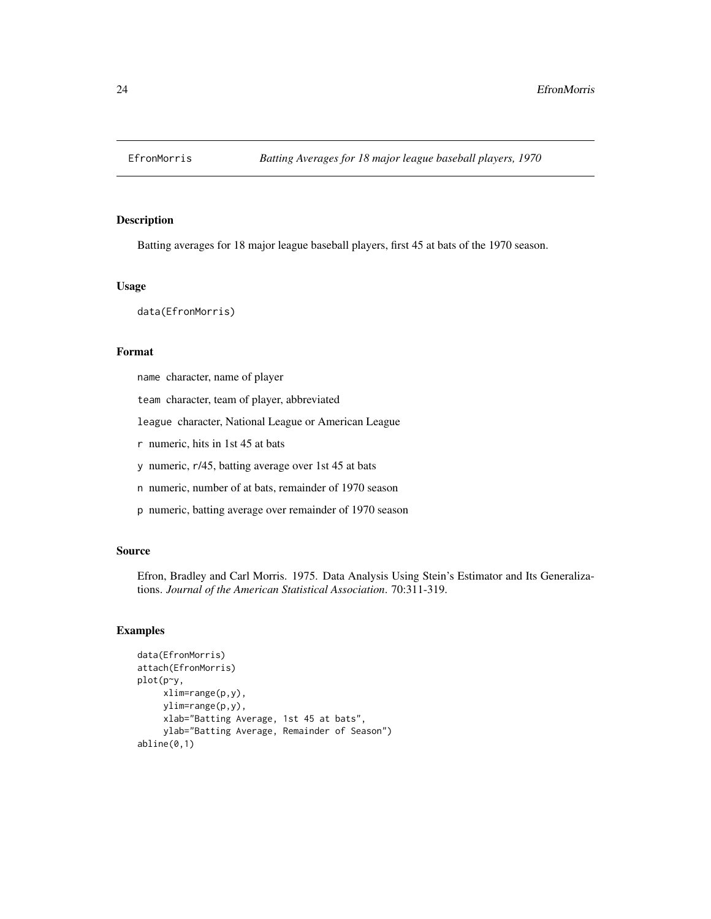<span id="page-23-0"></span>

#### Description

Batting averages for 18 major league baseball players, first 45 at bats of the 1970 season.

## Usage

data(EfronMorris)

# Format

name character, name of player

team character, team of player, abbreviated

league character, National League or American League

r numeric, hits in 1st 45 at bats

y numeric, r/45, batting average over 1st 45 at bats

n numeric, number of at bats, remainder of 1970 season

p numeric, batting average over remainder of 1970 season

#### Source

Efron, Bradley and Carl Morris. 1975. Data Analysis Using Stein's Estimator and Its Generalizations. *Journal of the American Statistical Association*. 70:311-319.

```
data(EfronMorris)
attach(EfronMorris)
plot(p~y,
    xlim=range(p,y),
    ylim=range(p,y),
    xlab="Batting Average, 1st 45 at bats",
    ylab="Batting Average, Remainder of Season")
abline(0,1)
```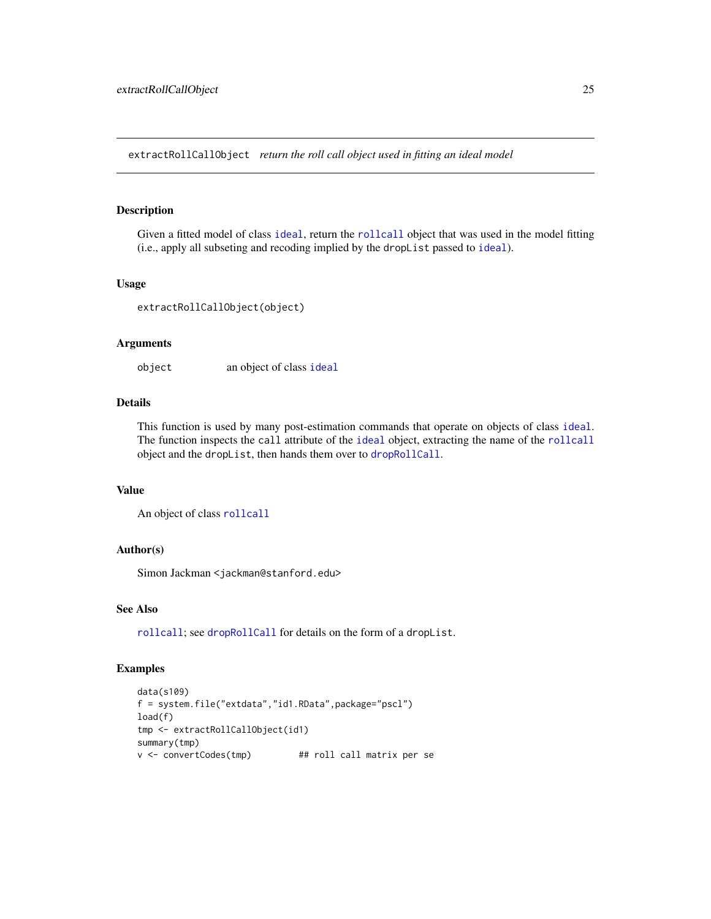<span id="page-24-0"></span>extractRollCallObject *return the roll call object used in fitting an ideal model*

# Description

Given a fitted model of class [ideal](#page-32-1), return the [rollcall](#page-72-1) object that was used in the model fitting (i.e., apply all subseting and recoding implied by the dropList passed to [ideal](#page-32-1)).

#### Usage

```
extractRollCallObject(object)
```
# Arguments

object an object of class [ideal](#page-32-1)

# Details

This function is used by many post-estimation commands that operate on objects of class [ideal](#page-32-1). The function inspects the call attribute of the [ideal](#page-32-1) object, extracting the name of the [rollcall](#page-72-1) object and the dropList, then hands them over to [dropRollCall](#page-19-1).

# Value

An object of class [rollcall](#page-72-1)

# Author(s)

Simon Jackman <jackman@stanford.edu>

#### See Also

[rollcall](#page-72-1); see [dropRollCall](#page-19-1) for details on the form of a dropList.

```
data(s109)
f = system.file("extdata","id1.RData",package="pscl")
load(f)
tmp <- extractRollCallObject(id1)
summary(tmp)
v <- convertCodes(tmp) ## roll call matrix per se
```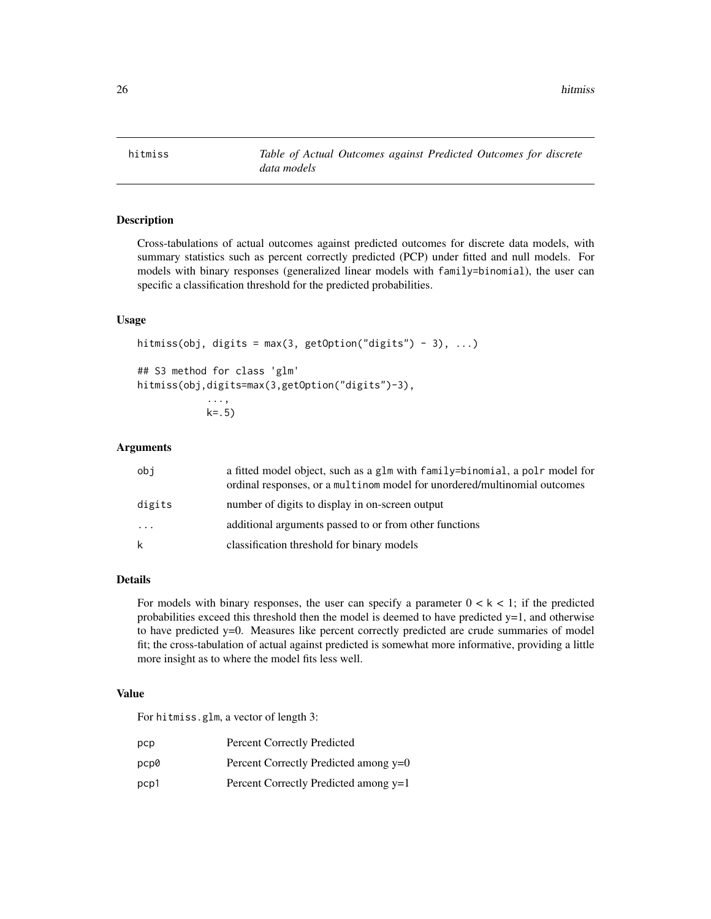<span id="page-25-0"></span>hitmiss *Table of Actual Outcomes against Predicted Outcomes for discrete data models*

# Description

Cross-tabulations of actual outcomes against predicted outcomes for discrete data models, with summary statistics such as percent correctly predicted (PCP) under fitted and null models. For models with binary responses (generalized linear models with family=binomial), the user can specific a classification threshold for the predicted probabilities.

#### Usage

```
hitmiss(obj, digits = max(3, getOption("digits") - 3), ...)
## S3 method for class 'glm'
hitmiss(obj,digits=max(3,getOption("digits")-3),
            ...,
```

```
k = .5
```
# Arguments

| obi      | a fitted model object, such as a glm with family=binomial, a polr model for<br>ordinal responses, or a multinom model for unordered/multinomial outcomes |
|----------|----------------------------------------------------------------------------------------------------------------------------------------------------------|
| digits   | number of digits to display in on-screen output                                                                                                          |
| $\cdots$ | additional arguments passed to or from other functions                                                                                                   |
| k        | classification threshold for binary models                                                                                                               |

# Details

For models with binary responses, the user can specify a parameter  $0 < k < 1$ ; if the predicted probabilities exceed this threshold then the model is deemed to have predicted  $y=1$ , and otherwise to have predicted y=0. Measures like percent correctly predicted are crude summaries of model fit; the cross-tabulation of actual against predicted is somewhat more informative, providing a little more insight as to where the model fits less well.

# Value

For hitmiss.glm, a vector of length 3:

| рср  | <b>Percent Correctly Predicted</b>    |
|------|---------------------------------------|
| pcp0 | Percent Correctly Predicted among y=0 |
| pcp1 | Percent Correctly Predicted among y=1 |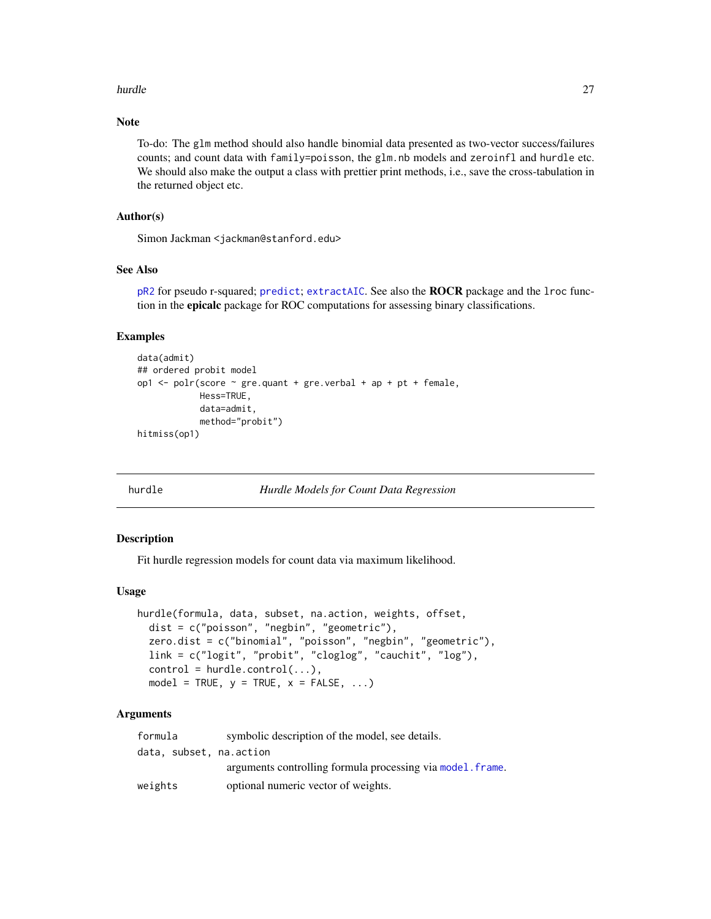#### <span id="page-26-0"></span>hurdle 27 and 27 and 27 and 27 and 27 and 27 and 27 and 27 and 27 and 27 and 27 and 27 and 27 and 27 and 27 and 27

# Note

To-do: The glm method should also handle binomial data presented as two-vector success/failures counts; and count data with family=poisson, the glm.nb models and zeroinfl and hurdle etc. We should also make the output a class with prettier print methods, i.e., save the cross-tabulation in the returned object etc.

# Author(s)

Simon Jackman <jackman@stanford.edu>

#### See Also

[pR2](#page-54-1) for pseudo r-squared; [predict](#page-0-0); [extractAIC](#page-0-0). See also the ROCR package and the lroc function in the epicalc package for ROC computations for assessing binary classifications.

# Examples

```
data(admit)
## ordered probit model
op1 \le polr(score \le gre.quant + gre.verbal + ap + pt + female,
            Hess=TRUE,
            data=admit,
            method="probit")
hitmiss(op1)
```
<span id="page-26-1"></span>hurdle *Hurdle Models for Count Data Regression*

#### Description

Fit hurdle regression models for count data via maximum likelihood.

# Usage

```
hurdle(formula, data, subset, na.action, weights, offset,
  dist = c("poisson", "negbin", "geometric"),
  zero.dist = c("binomial", "poisson", "negbin", "geometric"),
  link = c("logit", "probit", "cloglog", "cauchit", "log"),
  control = \text{hurdle}.\text{control}(\ldots),model = TRUE, y = TRUE, x = FALSE, ...)
```
# Arguments

| formula                 | symbolic description of the model, see details.            |
|-------------------------|------------------------------------------------------------|
| data, subset, na.action |                                                            |
|                         | arguments controlling formula processing via model. frame. |
| weights                 | optional numeric vector of weights.                        |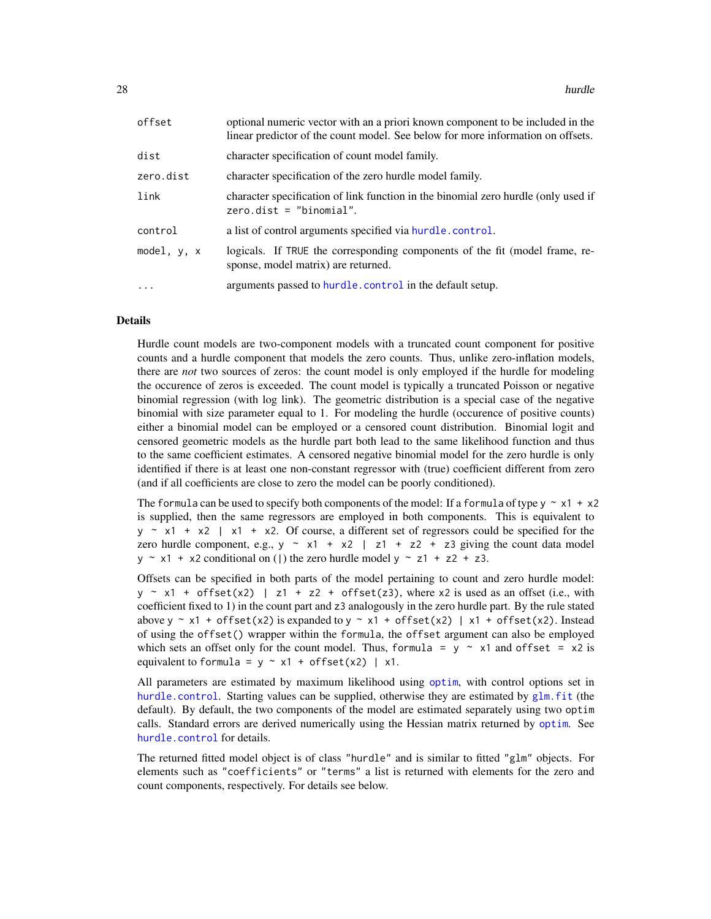| offset      | optional numeric vector with an a priori known component to be included in the<br>linear predictor of the count model. See below for more information on offsets. |
|-------------|-------------------------------------------------------------------------------------------------------------------------------------------------------------------|
| dist        | character specification of count model family.                                                                                                                    |
| zero.dist   | character specification of the zero hurdle model family.                                                                                                          |
| link        | character specification of link function in the binomial zero hurdle (only used if<br>$zero.dist = "binomial".$                                                   |
| control     | a list of control arguments specified via hurdle.control.                                                                                                         |
| model, y, x | logicals. If TRUE the corresponding components of the fit (model frame, re-<br>sponse, model matrix) are returned.                                                |
| $\ddots$    | arguments passed to hurdle.control in the default setup.                                                                                                          |

#### Details

Hurdle count models are two-component models with a truncated count component for positive counts and a hurdle component that models the zero counts. Thus, unlike zero-inflation models, there are *not* two sources of zeros: the count model is only employed if the hurdle for modeling the occurence of zeros is exceeded. The count model is typically a truncated Poisson or negative binomial regression (with log link). The geometric distribution is a special case of the negative binomial with size parameter equal to 1. For modeling the hurdle (occurence of positive counts) either a binomial model can be employed or a censored count distribution. Binomial logit and censored geometric models as the hurdle part both lead to the same likelihood function and thus to the same coefficient estimates. A censored negative binomial model for the zero hurdle is only identified if there is at least one non-constant regressor with (true) coefficient different from zero (and if all coefficients are close to zero the model can be poorly conditioned).

The formula can be used to specify both components of the model: If a formula of type  $y \sim x1 + x2$ is supplied, then the same regressors are employed in both components. This is equivalent to  $y \sim x1 + x2$  | x1 + x2. Of course, a different set of regressors could be specified for the zero hurdle component, e.g.,  $y \sim x1 + x2$  | z1 + z2 + z3 giving the count data model  $y \sim x1 + x2$  conditional on (1) the zero hurdle model  $y \sim z1 + z2 + z3$ .

Offsets can be specified in both parts of the model pertaining to count and zero hurdle model:  $y \sim x1 + \text{offset}(x2)$  | z1 + z2 + offset(z3), where x2 is used as an offset (i.e., with coefficient fixed to 1) in the count part and z3 analogously in the zero hurdle part. By the rule stated above y ~ x1 + offset(x2) is expanded to y ~ x1 + offset(x2) | x1 + offset(x2). Instead of using the offset() wrapper within the formula, the offset argument can also be employed which sets an offset only for the count model. Thus, formula =  $y \sim x1$  and offset =  $x2$  is equivalent to formula =  $y \sim x1 + \text{offset}(x2)$  | x1.

All parameters are estimated by maximum likelihood using [optim](#page-0-0), with control options set in [hurdle.control](#page-30-1). Starting values can be supplied, otherwise they are estimated by [glm.fit](#page-0-0) (the default). By default, the two components of the model are estimated separately using two optim calls. Standard errors are derived numerically using the Hessian matrix returned by [optim](#page-0-0). See [hurdle.control](#page-30-1) for details.

The returned fitted model object is of class "hurdle" and is similar to fitted "glm" objects. For elements such as "coefficients" or "terms" a list is returned with elements for the zero and count components, respectively. For details see below.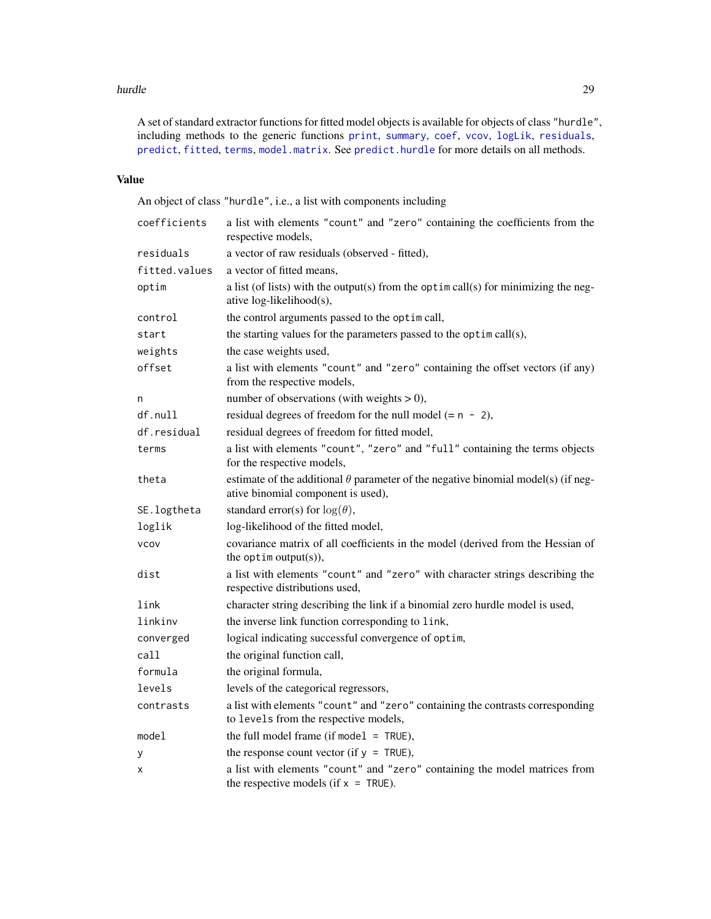#### hurdle 29

A set of standard extractor functions for fitted model objects is available for objects of class "hurdle", including methods to the generic functions [print](#page-0-0), [summary](#page-0-0), [coef](#page-0-0), [vcov](#page-0-0), [logLik](#page-0-0), [residuals](#page-0-0), [predict](#page-0-0), [fitted](#page-0-0), [terms](#page-0-0), [model.matrix](#page-0-0). See [predict.hurdle](#page-56-1) for more details on all methods.

# Value

An object of class "hurdle", i.e., a list with components including

| coefficients  | a list with elements "count" and "zero" containing the coefficients from the<br>respective models,                             |  |  |
|---------------|--------------------------------------------------------------------------------------------------------------------------------|--|--|
| residuals     | a vector of raw residuals (observed - fitted),                                                                                 |  |  |
| fitted.values | a vector of fitted means,                                                                                                      |  |  |
| optim         | a list (of lists) with the output(s) from the optim call(s) for minimizing the neg-<br>ative log-likelihood(s),                |  |  |
| control       | the control arguments passed to the optim call,                                                                                |  |  |
| start         | the starting values for the parameters passed to the optim call(s),                                                            |  |  |
| weights       | the case weights used,                                                                                                         |  |  |
| offset        | a list with elements "count" and "zero" containing the offset vectors (if any)<br>from the respective models,                  |  |  |
| n             | number of observations (with weights $> 0$ ),                                                                                  |  |  |
| df.null       | residual degrees of freedom for the null model $(= n - 2)$ ,                                                                   |  |  |
| df.residual   | residual degrees of freedom for fitted model,                                                                                  |  |  |
| terms         | a list with elements "count", "zero" and "full" containing the terms objects<br>for the respective models,                     |  |  |
| theta         | estimate of the additional $\theta$ parameter of the negative binomial model(s) (if neg-<br>ative binomial component is used), |  |  |
| SE.logtheta   | standard error(s) for $log(\theta)$ ,                                                                                          |  |  |
| loglik        | log-likelihood of the fitted model,                                                                                            |  |  |
| <b>VCOV</b>   | covariance matrix of all coefficients in the model (derived from the Hessian of<br>the optim output $(s)$ ),                   |  |  |
| dist          | a list with elements "count" and "zero" with character strings describing the<br>respective distributions used,                |  |  |
| link          | character string describing the link if a binomial zero hurdle model is used,                                                  |  |  |
| linkinv       | the inverse link function corresponding to link,                                                                               |  |  |
| converged     | logical indicating successful convergence of optim,                                                                            |  |  |
| call          | the original function call,                                                                                                    |  |  |
| formula       | the original formula,                                                                                                          |  |  |
| levels        | levels of the categorical regressors,                                                                                          |  |  |
| contrasts     | a list with elements "count" and "zero" containing the contrasts corresponding<br>to levels from the respective models,        |  |  |
| model         | the full model frame (if model $=$ TRUE),                                                                                      |  |  |
| у             | the response count vector (if $y = TRUE$ ),                                                                                    |  |  |
| х             | a list with elements "count" and "zero" containing the model matrices from<br>the respective models (if $x = TRUE$ ).          |  |  |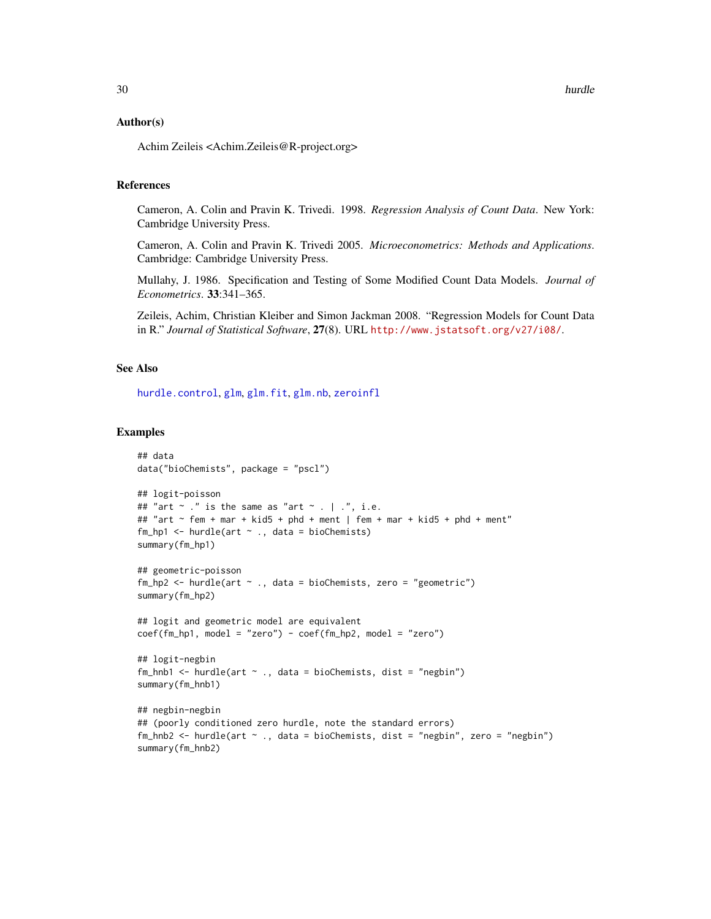#### Author(s)

Achim Zeileis <Achim.Zeileis@R-project.org>

# References

Cameron, A. Colin and Pravin K. Trivedi. 1998. *Regression Analysis of Count Data*. New York: Cambridge University Press.

Cameron, A. Colin and Pravin K. Trivedi 2005. *Microeconometrics: Methods and Applications*. Cambridge: Cambridge University Press.

Mullahy, J. 1986. Specification and Testing of Some Modified Count Data Models. *Journal of Econometrics*. 33:341–365.

Zeileis, Achim, Christian Kleiber and Simon Jackman 2008. "Regression Models for Count Data in R." *Journal of Statistical Software*, 27(8). URL <http://www.jstatsoft.org/v27/i08/>.

#### See Also

[hurdle.control](#page-30-1), [glm](#page-0-0), [glm.fit](#page-0-0), [glm.nb](#page-0-0), [zeroinfl](#page-93-1)

```
## data
data("bioChemists", package = "pscl")
## logit-poisson
## "art \sim ." is the same as "art \sim . | .", i.e.
## "art ~ fem + mar + kid5 + phd + ment | fem + mar + kid5 + phd + ment"
fm_hp1 \leftarrow \text{hurdle}(\text{art} \sim ., \text{ data = bioChemists})summary(fm_hp1)
## geometric-poisson
fm_hp2 \leq -hurdle(art \sim ., data = bioChemists, zero = "geometric")summary(fm_hp2)
## logit and geometric model are equivalent
coef(fm_hp1, model = "zero") - coef(fm_hp2, model = "zero")## logit-negbin
fm_{nhb1} <- hurdle(art \sim ., data = bioChemists, dist = "negbin")
summary(fm_hnb1)
## negbin-negbin
## (poorly conditioned zero hurdle, note the standard errors)
fm_hnb2 <- hurdle(art ~ ., data = bioChemists, dist = "negbin", zero = "negbin")
summary(fm_hnb2)
```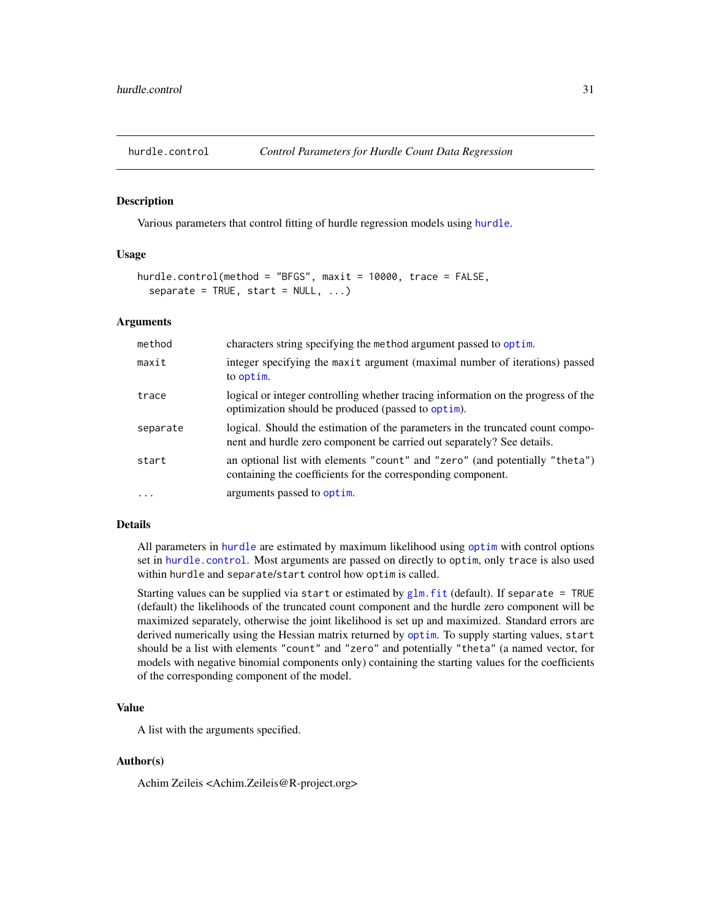<span id="page-30-1"></span><span id="page-30-0"></span>

#### Description

Various parameters that control fitting of hurdle regression models using [hurdle](#page-26-1).

# Usage

```
hurdle.control(method = "BFGS", maxit = 10000, trace = FALSE,
 separate = TRUE, start = NULL, ...)
```
#### Arguments

| method   | characters string specifying the method argument passed to optim.                                                                                        |
|----------|----------------------------------------------------------------------------------------------------------------------------------------------------------|
| maxit    | integer specifying the maxit argument (maximal number of iterations) passed<br>to optim.                                                                 |
| trace    | logical or integer controlling whether tracing information on the progress of the<br>optimization should be produced (passed to optim).                  |
| separate | logical. Should the estimation of the parameters in the truncated count compo-<br>nent and hurdle zero component be carried out separately? See details. |
| start    | an optional list with elements "count" and "zero" (and potentially "theta")<br>containing the coefficients for the corresponding component.              |
| $\cdots$ | arguments passed to optim.                                                                                                                               |

# Details

All parameters in [hurdle](#page-26-1) are estimated by maximum likelihood using [optim](#page-0-0) with control options set in [hurdle.control](#page-30-1). Most arguments are passed on directly to optim, only trace is also used within hurdle and separate/start control how optim is called.

Starting values can be supplied via start or estimated by  $glm$ . fit (default). If separate = TRUE (default) the likelihoods of the truncated count component and the hurdle zero component will be maximized separately, otherwise the joint likelihood is set up and maximized. Standard errors are derived numerically using the Hessian matrix returned by [optim](#page-0-0). To supply starting values, start should be a list with elements "count" and "zero" and potentially "theta" (a named vector, for models with negative binomial components only) containing the starting values for the coefficients of the corresponding component of the model.

# Value

A list with the arguments specified.

#### Author(s)

Achim Zeileis <Achim.Zeileis@R-project.org>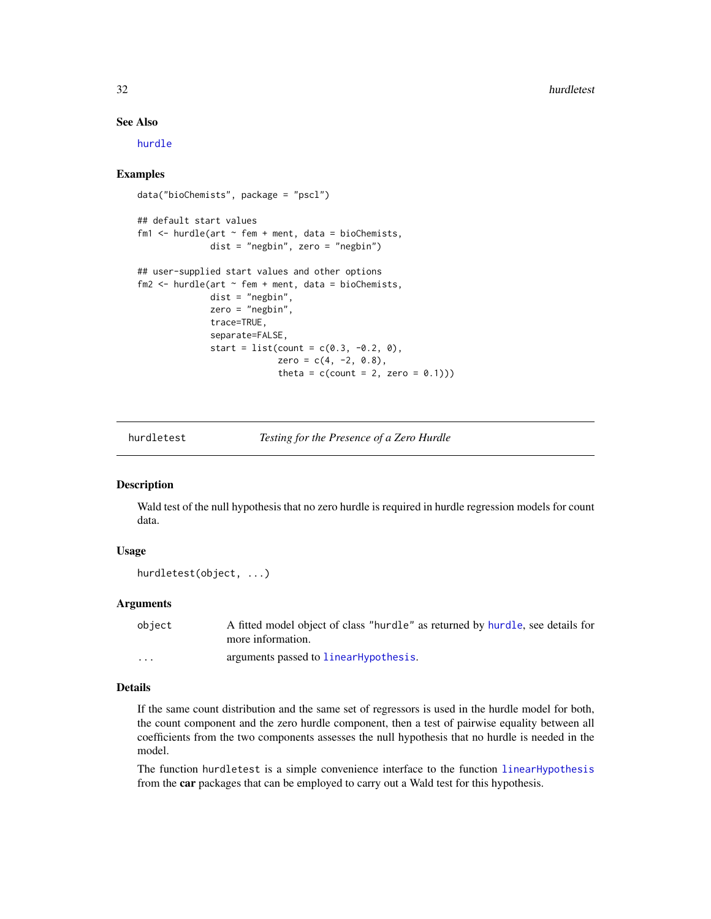# See Also

[hurdle](#page-26-1)

## Examples

```
data("bioChemists", package = "pscl")
## default start values
fm1 \leftarrow hurdle(art \sim fem + ment, data = bioChemists,
              dist = "negbin", zero = "negbin")
## user-supplied start values and other options
fm2 \leq -hurdle (art \sim fem + ment, data = bioChemists,
              dist = "negbin",zero = "negbin",
              trace=TRUE,
              separate=FALSE,
              start = list(count = c(0.3, -0.2, 0),
                            zero = c(4, -2, 0.8),
                            theta = c(count = 2, zero = (0.1)))
```
hurdletest *Testing for the Presence of a Zero Hurdle*

# Description

Wald test of the null hypothesis that no zero hurdle is required in hurdle regression models for count data.

# Usage

```
hurdletest(object, ...)
```
# Arguments

| object   | A fitted model object of class "hurdle" as returned by hurdle, see details for<br>more information. |
|----------|-----------------------------------------------------------------------------------------------------|
| $\cdots$ | arguments passed to linearHypothesis.                                                               |

# Details

If the same count distribution and the same set of regressors is used in the hurdle model for both, the count component and the zero hurdle component, then a test of pairwise equality between all coefficients from the two components assesses the null hypothesis that no hurdle is needed in the model.

The function hurdletest is a simple convenience interface to the function [linearHypothesis](#page-0-0) from the car packages that can be employed to carry out a Wald test for this hypothesis.

<span id="page-31-0"></span>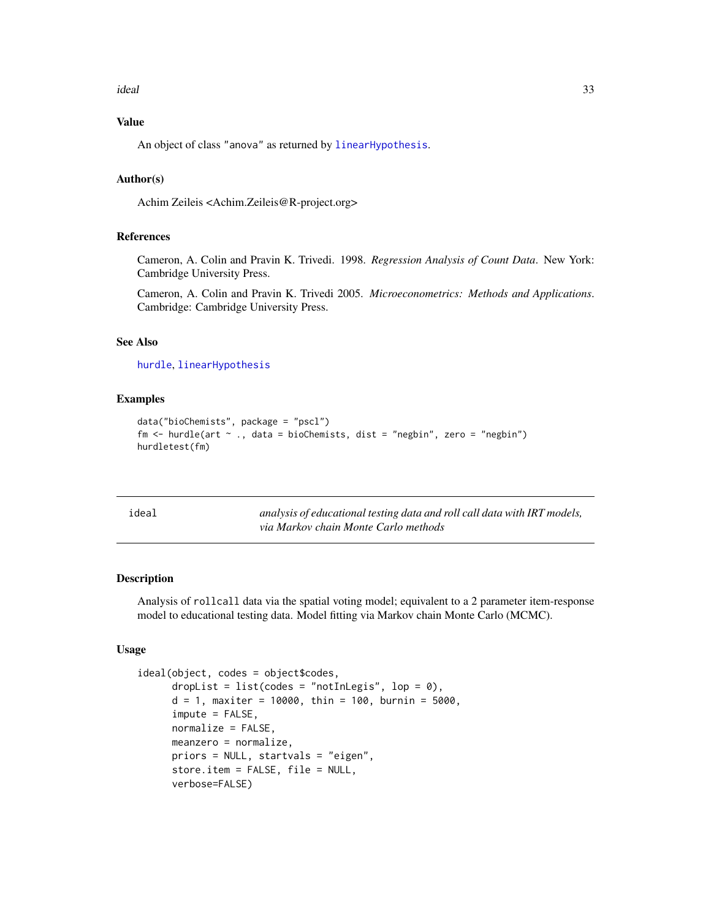#### <span id="page-32-0"></span>ideal 33

# Value

An object of class "anova" as returned by [linearHypothesis](#page-0-0).

# Author(s)

Achim Zeileis <Achim.Zeileis@R-project.org>

# References

Cameron, A. Colin and Pravin K. Trivedi. 1998. *Regression Analysis of Count Data*. New York: Cambridge University Press.

Cameron, A. Colin and Pravin K. Trivedi 2005. *Microeconometrics: Methods and Applications*. Cambridge: Cambridge University Press.

# See Also

[hurdle](#page-26-1), [linearHypothesis](#page-0-0)

#### Examples

```
data("bioChemists", package = "pscl")
fm <- hurdle(art ~ ., data = bioChemists, dist = "negbin", zero = "negbin")
hurdletest(fm)
```
<span id="page-32-1"></span>

analysis of educational testing data and roll call data with IRT models, *via Markov chain Monte Carlo methods*

#### Description

Analysis of rollcall data via the spatial voting model; equivalent to a 2 parameter item-response model to educational testing data. Model fitting via Markov chain Monte Carlo (MCMC).

# Usage

```
ideal(object, codes = object$codes,
      dropList = list(codes = "notInLegis", lop = \emptyset),
      d = 1, maxiter = 10000, thin = 100, burnin = 5000,
      impute = FALSE,
      normalize = FALSE,
      meanzero = normalize,
      priors = NULL, startvals = "eigen",
      store.item = FALSE, file = NULL,
      verbose=FALSE)
```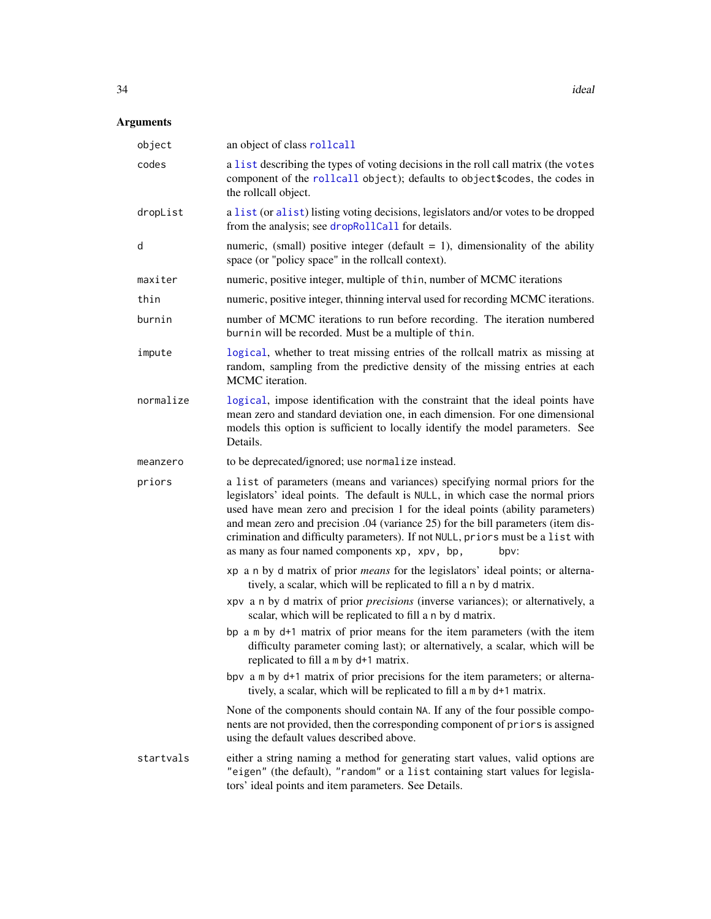# Arguments

| object    | an object of class rollcall                                                                                                                                                                                                                                                                                                                                                                                                                                                     |  |
|-----------|---------------------------------------------------------------------------------------------------------------------------------------------------------------------------------------------------------------------------------------------------------------------------------------------------------------------------------------------------------------------------------------------------------------------------------------------------------------------------------|--|
| codes     | a list describing the types of voting decisions in the roll call matrix (the votes<br>component of the rollcall object); defaults to object \$codes, the codes in<br>the rollcall object.                                                                                                                                                                                                                                                                                       |  |
| dropList  | a list (or alist) listing voting decisions, legislators and/or votes to be dropped<br>from the analysis; see dropRollCall for details.                                                                                                                                                                                                                                                                                                                                          |  |
| d         | numeric, (small) positive integer (default $= 1$ ), dimensionality of the ability<br>space (or "policy space" in the rollcall context).                                                                                                                                                                                                                                                                                                                                         |  |
| maxiter   | numeric, positive integer, multiple of thin, number of MCMC iterations                                                                                                                                                                                                                                                                                                                                                                                                          |  |
| thin      | numeric, positive integer, thinning interval used for recording MCMC iterations.                                                                                                                                                                                                                                                                                                                                                                                                |  |
| burnin    | number of MCMC iterations to run before recording. The iteration numbered<br>burnin will be recorded. Must be a multiple of thin.                                                                                                                                                                                                                                                                                                                                               |  |
| impute    | logical, whether to treat missing entries of the rollcall matrix as missing at<br>random, sampling from the predictive density of the missing entries at each<br>MCMC iteration.                                                                                                                                                                                                                                                                                                |  |
| normalize | logical, impose identification with the constraint that the ideal points have<br>mean zero and standard deviation one, in each dimension. For one dimensional<br>models this option is sufficient to locally identify the model parameters. See<br>Details.                                                                                                                                                                                                                     |  |
| meanzero  | to be deprecated/ignored; use normalize instead.                                                                                                                                                                                                                                                                                                                                                                                                                                |  |
| priors    | a list of parameters (means and variances) specifying normal priors for the<br>legislators' ideal points. The default is NULL, in which case the normal priors<br>used have mean zero and precision 1 for the ideal points (ability parameters)<br>and mean zero and precision .04 (variance 25) for the bill parameters (item dis-<br>crimination and difficulty parameters). If not NULL, priors must be a list with<br>as many as four named components xp, xpv, bp,<br>bpv: |  |
|           | xp a n by d matrix of prior <i>means</i> for the legislators' ideal points; or alterna-<br>tively, a scalar, which will be replicated to fill a n by d matrix.                                                                                                                                                                                                                                                                                                                  |  |
|           | xpv a n by d matrix of prior <i>precisions</i> (inverse variances); or alternatively, a<br>scalar, which will be replicated to fill a n by d matrix.                                                                                                                                                                                                                                                                                                                            |  |
|           | bp a m by d+1 matrix of prior means for the item parameters (with the item<br>difficulty parameter coming last); or alternatively, a scalar, which will be<br>replicated to fill a m by d+1 matrix.                                                                                                                                                                                                                                                                             |  |
|           | bpv a m by d+1 matrix of prior precisions for the item parameters; or alterna-<br>tively, a scalar, which will be replicated to fill a m by d+1 matrix.                                                                                                                                                                                                                                                                                                                         |  |
|           | None of the components should contain NA. If any of the four possible compo-<br>nents are not provided, then the corresponding component of priors is assigned<br>using the default values described above.                                                                                                                                                                                                                                                                     |  |
| startvals | either a string naming a method for generating start values, valid options are<br>"eigen" (the default), "random" or a list containing start values for legisla-<br>tors' ideal points and item parameters. See Details.                                                                                                                                                                                                                                                        |  |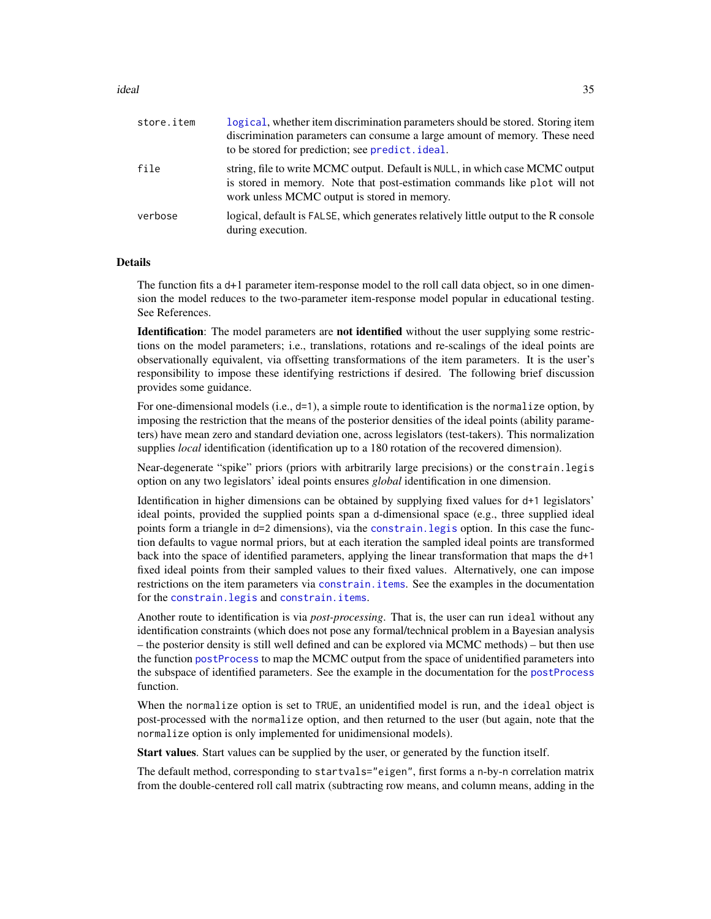#### ideal 35

| store.item | logical, whether item discrimination parameters should be stored. Storing item<br>discrimination parameters can consume a large amount of memory. These need<br>to be stored for prediction; see predict. ideal. |
|------------|------------------------------------------------------------------------------------------------------------------------------------------------------------------------------------------------------------------|
| file       | string, file to write MCMC output. Default is NULL, in which case MCMC output<br>is stored in memory. Note that post-estimation commands like plot will not<br>work unless MCMC output is stored in memory.      |
| verbose    | logical, default is FALSE, which generates relatively little output to the R console<br>during execution.                                                                                                        |

#### Details

The function fits a d+1 parameter item-response model to the roll call data object, so in one dimension the model reduces to the two-parameter item-response model popular in educational testing. See References.

**Identification**: The model parameters are **not identified** without the user supplying some restrictions on the model parameters; i.e., translations, rotations and re-scalings of the ideal points are observationally equivalent, via offsetting transformations of the item parameters. It is the user's responsibility to impose these identifying restrictions if desired. The following brief discussion provides some guidance.

For one-dimensional models (i.e., d=1), a simple route to identification is the normalize option, by imposing the restriction that the means of the posterior densities of the ideal points (ability parameters) have mean zero and standard deviation one, across legislators (test-takers). This normalization supplies *local* identification (identification up to a 180 rotation of the recovered dimension).

Near-degenerate "spike" priors (priors with arbitrarily large precisions) or the constrain.legis option on any two legislators' ideal points ensures *global* identification in one dimension.

Identification in higher dimensions can be obtained by supplying fixed values for d+1 legislators' ideal points, provided the supplied points span a d-dimensional space (e.g., three supplied ideal points form a triangle in d=2 dimensions), via the [constrain.legis](#page-16-1) option. In this case the function defaults to vague normal priors, but at each iteration the sampled ideal points are transformed back into the space of identified parameters, applying the linear transformation that maps the d+1 fixed ideal points from their sampled values to their fixed values. Alternatively, one can impose restrictions on the item parameters via constrain. items. See the examples in the documentation for the [constrain.legis](#page-16-1) and [constrain.items](#page-14-1).

Another route to identification is via *post-processing*. That is, the user can run ideal without any identification constraints (which does not pose any formal/technical problem in a Bayesian analysis – the posterior density is still well defined and can be explored via MCMC methods) – but then use the function [postProcess](#page-52-1) to map the MCMC output from the space of unidentified parameters into the subspace of identified parameters. See the example in the documentation for the [postProcess](#page-52-1) function.

When the normalize option is set to TRUE, an unidentified model is run, and the ideal object is post-processed with the normalize option, and then returned to the user (but again, note that the normalize option is only implemented for unidimensional models).

Start values. Start values can be supplied by the user, or generated by the function itself.

The default method, corresponding to startvals="eigen", first forms a n-by-n correlation matrix from the double-centered roll call matrix (subtracting row means, and column means, adding in the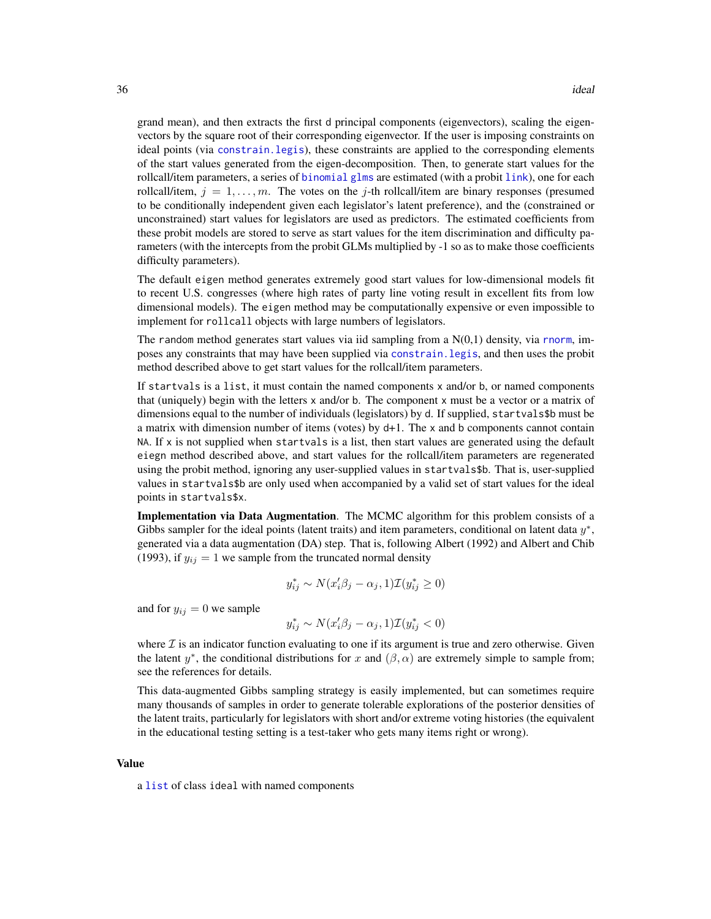grand mean), and then extracts the first d principal components (eigenvectors), scaling the eigenvectors by the square root of their corresponding eigenvector. If the user is imposing constraints on ideal points (via [constrain.legis](#page-16-1)), these constraints are applied to the corresponding elements of the start values generated from the eigen-decomposition. Then, to generate start values for the rollcall/item parameters, a series of [binomial](#page-0-0) [glms](#page-0-0) are estimated (with a probit [link](#page-0-0)), one for each rollcall/item,  $j = 1, \ldots, m$ . The votes on the j-th rollcall/item are binary responses (presumed to be conditionally independent given each legislator's latent preference), and the (constrained or unconstrained) start values for legislators are used as predictors. The estimated coefficients from these probit models are stored to serve as start values for the item discrimination and difficulty parameters (with the intercepts from the probit GLMs multiplied by -1 so as to make those coefficients difficulty parameters).

The default eigen method generates extremely good start values for low-dimensional models fit to recent U.S. congresses (where high rates of party line voting result in excellent fits from low dimensional models). The eigen method may be computationally expensive or even impossible to implement for rollcall objects with large numbers of legislators.

The random method generates start values via iid sampling from a  $N(0,1)$  density, via [rnorm](#page-0-0), imposes any constraints that may have been supplied via [constrain.legis](#page-16-1), and then uses the probit method described above to get start values for the rollcall/item parameters.

If startvals is a list, it must contain the named components x and/or b, or named components that (uniquely) begin with the letters x and/or b. The component x must be a vector or a matrix of dimensions equal to the number of individuals (legislators) by d. If supplied, startvals\$b must be a matrix with dimension number of items (votes) by d+1. The x and b components cannot contain NA. If x is not supplied when startvals is a list, then start values are generated using the default eiegn method described above, and start values for the rollcall/item parameters are regenerated using the probit method, ignoring any user-supplied values in startvals\$b. That is, user-supplied values in startvals\$b are only used when accompanied by a valid set of start values for the ideal points in startvals\$x.

Implementation via Data Augmentation. The MCMC algorithm for this problem consists of a Gibbs sampler for the ideal points (latent traits) and item parameters, conditional on latent data  $y^*$ , generated via a data augmentation (DA) step. That is, following Albert (1992) and Albert and Chib (1993), if  $y_{ij} = 1$  we sample from the truncated normal density

$$
y_{ij}^* \sim N(x_i'\beta_j - \alpha_j, 1)\mathcal{I}(y_{ij}^* \ge 0)
$$

and for  $y_{ij} = 0$  we sample

$$
y_{ij}^* \sim N(x_i'\beta_j - \alpha_j, 1)\mathcal{I}(y_{ij}^* < 0)
$$

where  $\mathcal I$  is an indicator function evaluating to one if its argument is true and zero otherwise. Given the latent  $y^*$ , the conditional distributions for x and  $(\beta, \alpha)$  are extremely simple to sample from; see the references for details.

This data-augmented Gibbs sampling strategy is easily implemented, but can sometimes require many thousands of samples in order to generate tolerable explorations of the posterior densities of the latent traits, particularly for legislators with short and/or extreme voting histories (the equivalent in the educational testing setting is a test-taker who gets many items right or wrong).

#### Value

a [list](#page-0-0) of class ideal with named components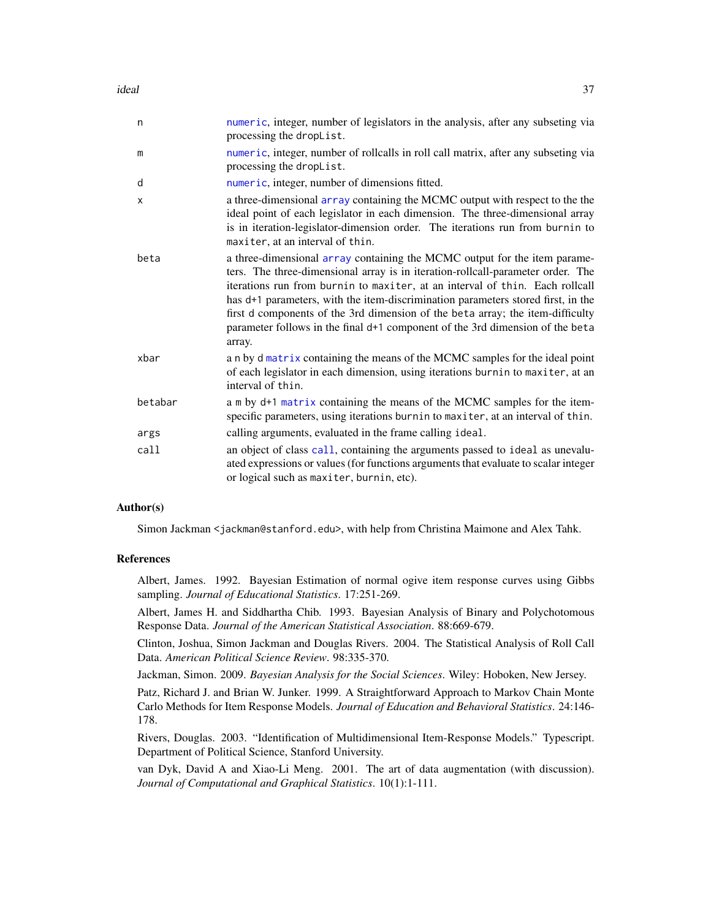### ideal 37

| n       | numeric, integer, number of legislators in the analysis, after any subseting via<br>processing the dropList.                                                                                                                                                                                                                                                                                                                                                                                                  |
|---------|---------------------------------------------------------------------------------------------------------------------------------------------------------------------------------------------------------------------------------------------------------------------------------------------------------------------------------------------------------------------------------------------------------------------------------------------------------------------------------------------------------------|
| m       | numeric, integer, number of rollcalls in roll call matrix, after any subseting via<br>processing the dropList.                                                                                                                                                                                                                                                                                                                                                                                                |
| d       | numeric, integer, number of dimensions fitted.                                                                                                                                                                                                                                                                                                                                                                                                                                                                |
| X       | a three-dimensional array containing the MCMC output with respect to the the<br>ideal point of each legislator in each dimension. The three-dimensional array<br>is in iteration-legislator-dimension order. The iterations run from burnin to<br>maxiter, at an interval of thin.                                                                                                                                                                                                                            |
| beta    | a three-dimensional array containing the MCMC output for the item parame-<br>ters. The three-dimensional array is in iteration-rollcall-parameter order. The<br>iterations run from burnin to maxiter, at an interval of thin. Each rollcall<br>has d+1 parameters, with the item-discrimination parameters stored first, in the<br>first d components of the 3rd dimension of the beta array; the item-difficulty<br>parameter follows in the final d+1 component of the 3rd dimension of the beta<br>array. |
| xbar    | a n by d matrix containing the means of the MCMC samples for the ideal point<br>of each legislator in each dimension, using iterations burnin to maxiter, at an<br>interval of thin.                                                                                                                                                                                                                                                                                                                          |
| betabar | a m by d+1 matrix containing the means of the MCMC samples for the item-<br>specific parameters, using iterations burnin to maxiter, at an interval of thin.                                                                                                                                                                                                                                                                                                                                                  |
| args    | calling arguments, evaluated in the frame calling ideal.                                                                                                                                                                                                                                                                                                                                                                                                                                                      |
| call    | an object of class call, containing the arguments passed to ideal as unevalu-<br>ated expressions or values (for functions arguments that evaluate to scalar integer<br>or logical such as maxiter, burnin, etc).                                                                                                                                                                                                                                                                                             |

### Author(s)

Simon Jackman <jackman@stanford.edu>, with help from Christina Maimone and Alex Tahk.

#### References

Albert, James. 1992. Bayesian Estimation of normal ogive item response curves using Gibbs sampling. *Journal of Educational Statistics*. 17:251-269.

Albert, James H. and Siddhartha Chib. 1993. Bayesian Analysis of Binary and Polychotomous Response Data. *Journal of the American Statistical Association*. 88:669-679.

Clinton, Joshua, Simon Jackman and Douglas Rivers. 2004. The Statistical Analysis of Roll Call Data. *American Political Science Review*. 98:335-370.

Jackman, Simon. 2009. *Bayesian Analysis for the Social Sciences*. Wiley: Hoboken, New Jersey.

Patz, Richard J. and Brian W. Junker. 1999. A Straightforward Approach to Markov Chain Monte Carlo Methods for Item Response Models. *Journal of Education and Behavioral Statistics*. 24:146- 178.

Rivers, Douglas. 2003. "Identification of Multidimensional Item-Response Models." Typescript. Department of Political Science, Stanford University.

van Dyk, David A and Xiao-Li Meng. 2001. The art of data augmentation (with discussion). *Journal of Computational and Graphical Statistics*. 10(1):1-111.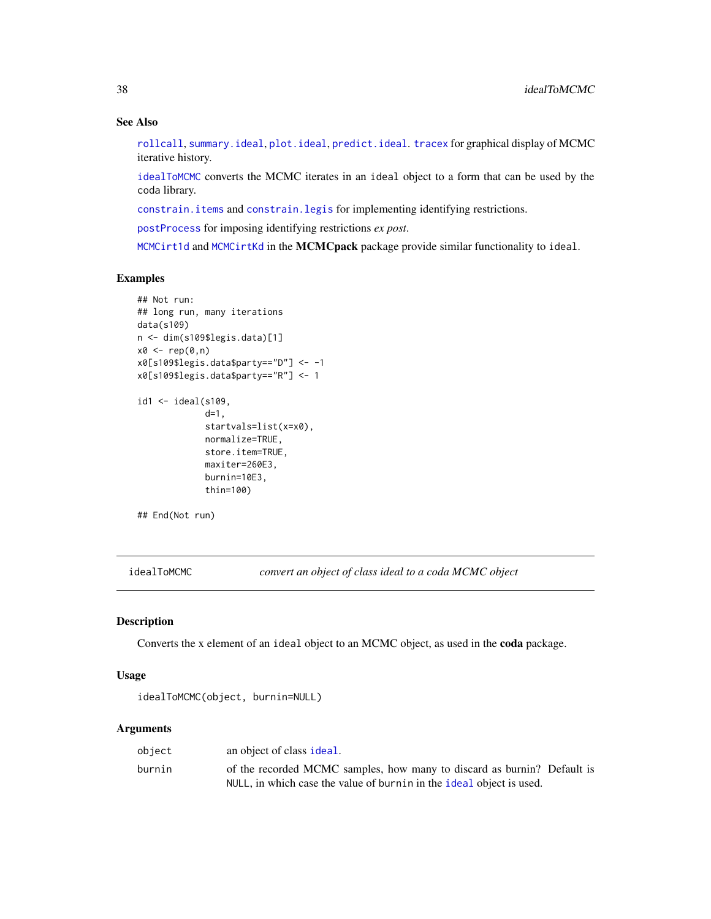# See Also

[rollcall](#page-72-0), [summary.ideal](#page-81-0), [plot.ideal](#page-46-0), [predict.ideal](#page-58-0). [tracex](#page-85-0) for graphical display of MCMC iterative history.

[idealToMCMC](#page-37-0) converts the MCMC iterates in an ideal object to a form that can be used by the coda library.

[constrain.items](#page-14-0) and [constrain.legis](#page-16-0) for implementing identifying restrictions.

[postProcess](#page-52-0) for imposing identifying restrictions *ex post*.

[MCMCirt1d](#page-0-0) and [MCMCirtKd](#page-0-0) in the MCMCpack package provide similar functionality to ideal.

### Examples

```
## Not run:
## long run, many iterations
data(s109)
n <- dim(s109$legis.data)[1]
x0 \leftarrow rep(0,n)x0[s109$legis.data$party=="D"] <- -1
x0[s109$legis.data$party=="R"] <- 1
id1 <- ideal(s109,
             d=1,
             startvals=list(x=x0),
             normalize=TRUE,
             store.item=TRUE,
             maxiter=260E3,
             burnin=10E3,
             thin=100)
```
## End(Not run)

<span id="page-37-0"></span>idealToMCMC *convert an object of class ideal to a coda MCMC object*

# Description

Converts the x element of an ideal object to an MCMC object, as used in the coda package.

## Usage

```
idealToMCMC(object, burnin=NULL)
```
## Arguments

| object | an object of class ideal.                                               |
|--------|-------------------------------------------------------------------------|
| burnin | of the recorded MCMC samples, how many to discard as burnin? Default is |
|        | NULL, in which case the value of burnin in the ideal object is used.    |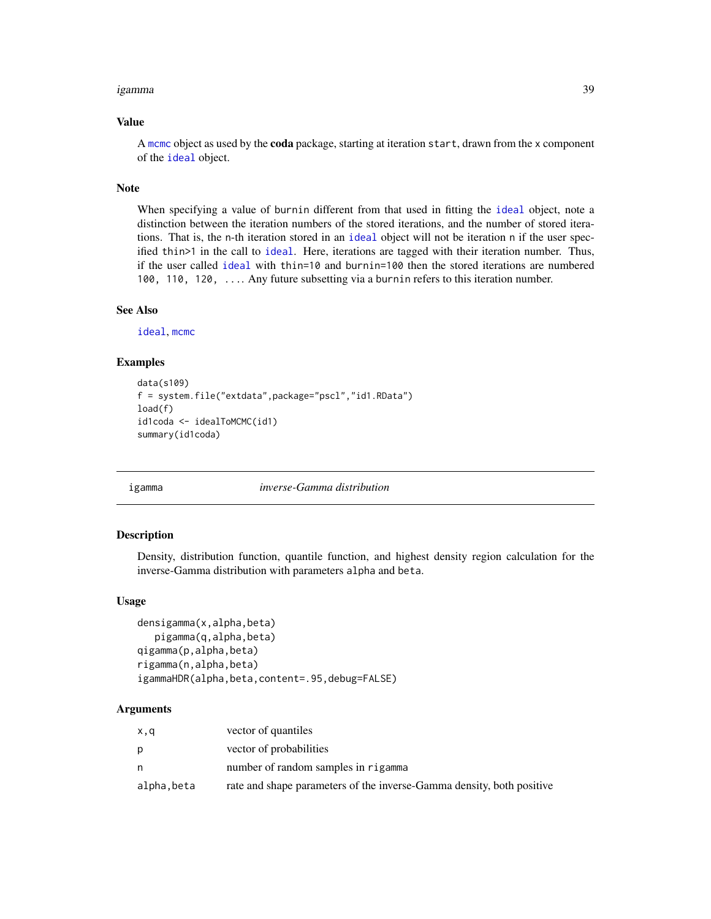#### igamma 39

## Value

A [mcmc](#page-0-0) object as used by the coda package, starting at iteration start, drawn from the x component of the [ideal](#page-32-0) object.

### Note

When specifying a value of burnin different from that used in fitting the [ideal](#page-32-0) object, note a distinction between the iteration numbers of the stored iterations, and the number of stored iterations. That is, the n-th iteration stored in an [ideal](#page-32-0) object will not be iteration n if the user specified thin>1 in the call to [ideal](#page-32-0). Here, iterations are tagged with their iteration number. Thus, if the user called [ideal](#page-32-0) with thin=10 and burnin=100 then the stored iterations are numbered 100, 110, 120, .... Any future subsetting via a burnin refers to this iteration number.

#### See Also

[ideal](#page-32-0), [mcmc](#page-0-0)

# Examples

```
data(s109)
f = system.file("extdata",package="pscl","id1.RData")
load(f)
id1coda <- idealToMCMC(id1)
summary(id1coda)
```
igamma *inverse-Gamma distribution*

## **Description**

Density, distribution function, quantile function, and highest density region calculation for the inverse-Gamma distribution with parameters alpha and beta.

#### Usage

```
densigamma(x,alpha,beta)
   pigamma(q,alpha,beta)
qigamma(p,alpha,beta)
rigamma(n,alpha,beta)
igammaHDR(alpha,beta,content=.95,debug=FALSE)
```
# Arguments

| x,q        | vector of quantiles                                                   |
|------------|-----------------------------------------------------------------------|
| Ŋ          | vector of probabilities                                               |
| n          | number of random samples in rigamma                                   |
| alpha,beta | rate and shape parameters of the inverse-Gamma density, both positive |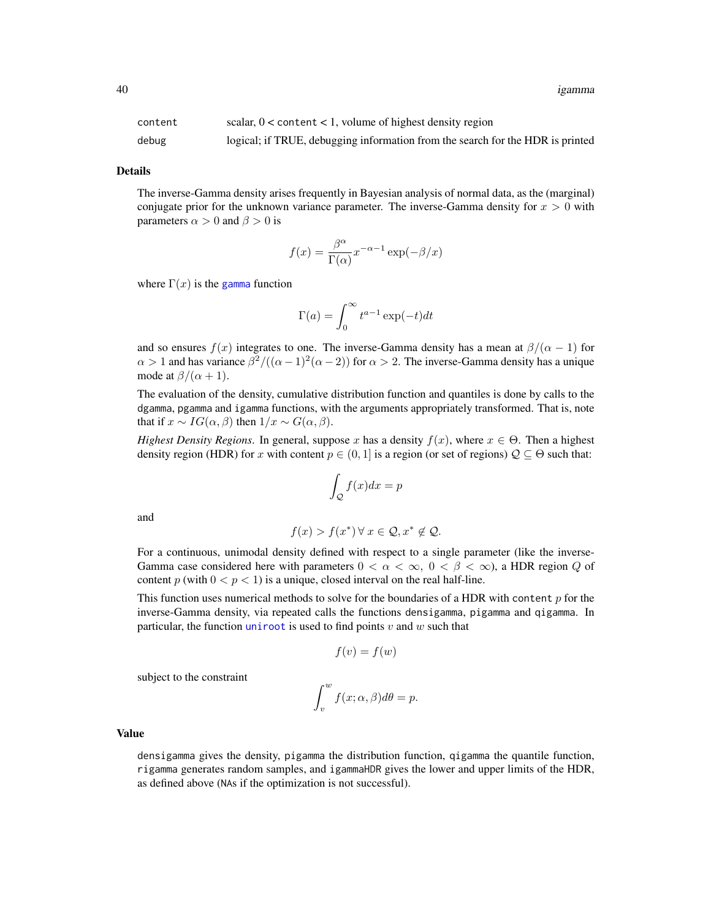40 igamma

| content | scalar, $0 <$ content $< 1$ , volume of highest density region                 |
|---------|--------------------------------------------------------------------------------|
| debug   | logical; if TRUE, debugging information from the search for the HDR is printed |

Details

The inverse-Gamma density arises frequently in Bayesian analysis of normal data, as the (marginal) conjugate prior for the unknown variance parameter. The inverse-Gamma density for  $x > 0$  with parameters  $\alpha > 0$  and  $\beta > 0$  is

$$
f(x) = \frac{\beta^{\alpha}}{\Gamma(\alpha)} x^{-\alpha - 1} \exp(-\beta/x)
$$

where  $\Gamma(x)$  is the [gamma](#page-0-0) function

$$
\Gamma(a) = \int_0^\infty t^{a-1} \exp(-t) dt
$$

and so ensures  $f(x)$  integrates to one. The inverse-Gamma density has a mean at  $\beta/(\alpha - 1)$  for  $\alpha > 1$  and has variance  $\beta^2/((\alpha - 1)^2(\alpha - 2))$  for  $\alpha > 2$ . The inverse-Gamma density has a unique mode at  $\beta/(\alpha + 1)$ .

The evaluation of the density, cumulative distribution function and quantiles is done by calls to the dgamma, pgamma and igamma functions, with the arguments appropriately transformed. That is, note that if  $x \sim IG(\alpha, \beta)$  then  $1/x \sim G(\alpha, \beta)$ .

*Highest Density Regions*. In general, suppose x has a density  $f(x)$ , where  $x \in \Theta$ . Then a highest density region (HDR) for x with content  $p \in (0, 1]$  is a region (or set of regions)  $\mathcal{Q} \subseteq \Theta$  such that:

$$
\int_{\mathcal{Q}} f(x)dx = p
$$

and

$$
f(x) > f(x^*) \,\forall \, x \in \mathcal{Q}, x^* \notin \mathcal{Q}.
$$

For a continuous, unimodal density defined with respect to a single parameter (like the inverse-Gamma case considered here with parameters  $0 < \alpha < \infty$ ,  $0 < \beta < \infty$ ), a HDR region Q of content p (with  $0 < p < 1$ ) is a unique, closed interval on the real half-line.

This function uses numerical methods to solve for the boundaries of a HDR with content  $p$  for the inverse-Gamma density, via repeated calls the functions densigamma, pigamma and qigamma. In particular, the function [uniroot](#page-0-0) is used to find points  $v$  and  $w$  such that

$$
f(v) = f(w)
$$

subject to the constraint

$$
\int_v^w f(x; \alpha, \beta) d\theta = p.
$$

## Value

densigamma gives the density, pigamma the distribution function, qigamma the quantile function, rigamma generates random samples, and igammaHDR gives the lower and upper limits of the HDR, as defined above (NAs if the optimization is not successful).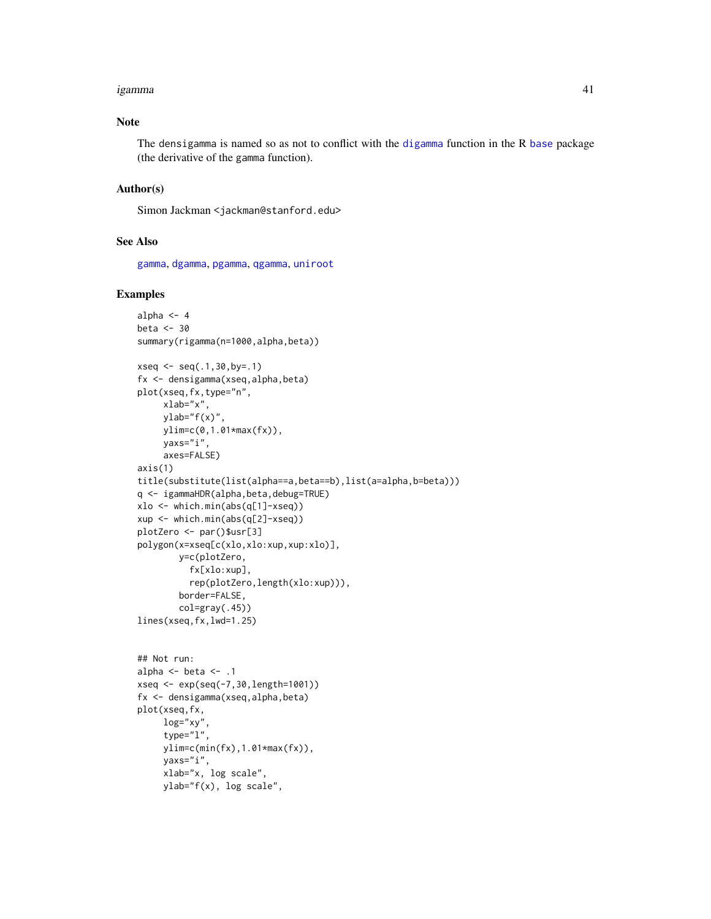#### igamma 41

## Note

The densigamma is named so as not to conflict with the [digamma](#page-0-0) function in the R [base](#page-0-0) package (the derivative of the gamma function).

## Author(s)

Simon Jackman <jackman@stanford.edu>

# See Also

[gamma](#page-0-0), [dgamma](#page-0-0), [pgamma](#page-0-0), [qgamma](#page-0-0), [uniroot](#page-0-0)

## Examples

```
alpha <-4beta <-30summary(rigamma(n=1000,alpha,beta))
xseq \leftarrow seq(.1, 30, by=.1)fx <- densigamma(xseq,alpha,beta)
plot(xseq,fx,type="n",
     xlab="x",
     vlab="f(x)".
     ylim=c(0,1.01*max(fx)),
     yaxs="i",
     axes=FALSE)
axis(1)
title(substitute(list(alpha==a,beta==b),list(a=alpha,b=beta)))
q <- igammaHDR(alpha,beta,debug=TRUE)
xlo <- which.min(abs(q[1]-xseq))
xup <- which.min(abs(q[2]-xseq))
plotZero <- par()$usr[3]
polygon(x=xseq[c(xlo,xlo:xup,xup:xlo)],
        y=c(plotZero,
          fx[xlo:xup],
          rep(plotZero,length(xlo:xup))),
        border=FALSE,
        col=gray(.45))
lines(xseq,fx,lwd=1.25)
## Not run:
alpha \leq- beta \leq- .1
xseq <- exp(seq(-7,30,length=1001))
fx <- densigamma(xseq,alpha,beta)
plot(xseq,fx,
     log="xy",
     type="l",
     ylim=c(min(fx),1.01*max(fx)),
```
yaxs="i", xlab="x, log scale", ylab="f(x), log scale",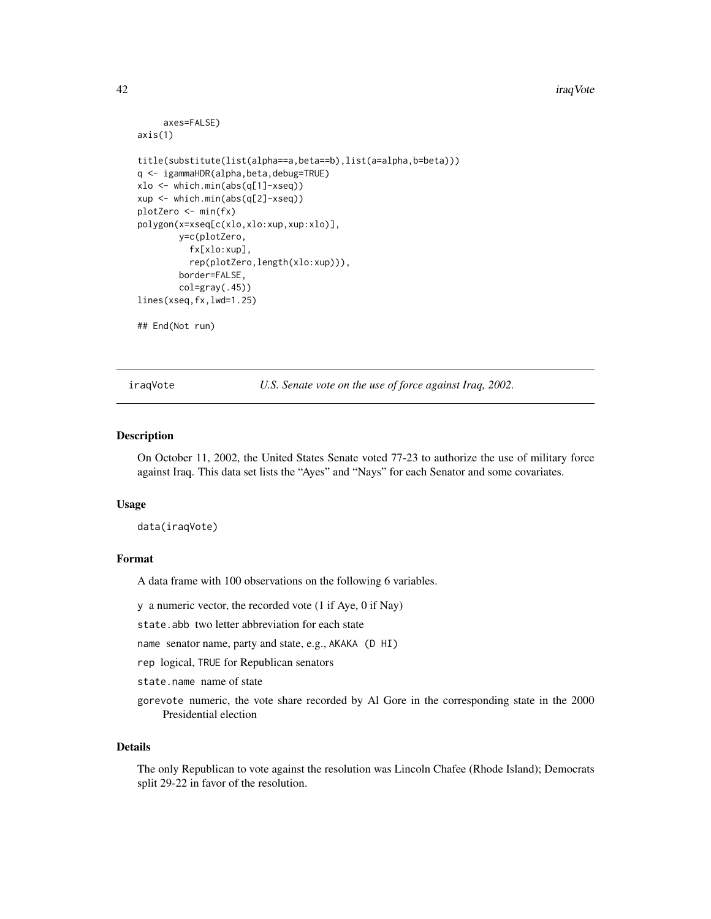#### 42 **installation** and the contract of the contract of the contract of the contract of the contract of the contract of the contract of the contract of the contract of the contract of the contract of the contract of the cont

```
axes=FALSE)
axis(1)
title(substitute(list(alpha==a,beta==b),list(a=alpha,b=beta)))
q <- igammaHDR(alpha,beta,debug=TRUE)
xlo <- which.min(abs(q[1]-xseq))
xup <- which.min(abs(q[2]-xseq))
plotZero <- min(fx)
polygon(x=xseq[c(xlo,xlo:xup,xup:xlo)],
       y=c(plotZero,
          fx[xlo:xup],
          rep(plotZero,length(xlo:xup))),
        border=FALSE,
        col=gray(.45))
lines(xseq,fx,lwd=1.25)
## End(Not run)
```
iraqVote *U.S. Senate vote on the use of force against Iraq, 2002.*

## **Description**

On October 11, 2002, the United States Senate voted 77-23 to authorize the use of military force against Iraq. This data set lists the "Ayes" and "Nays" for each Senator and some covariates.

#### Usage

data(iraqVote)

## Format

A data frame with 100 observations on the following 6 variables.

y a numeric vector, the recorded vote (1 if Aye, 0 if Nay)

state.abb two letter abbreviation for each state

name senator name, party and state, e.g., AKAKA (D HI)

rep logical, TRUE for Republican senators

state.name name of state

gorevote numeric, the vote share recorded by Al Gore in the corresponding state in the 2000 Presidential election

#### Details

The only Republican to vote against the resolution was Lincoln Chafee (Rhode Island); Democrats split 29-22 in favor of the resolution.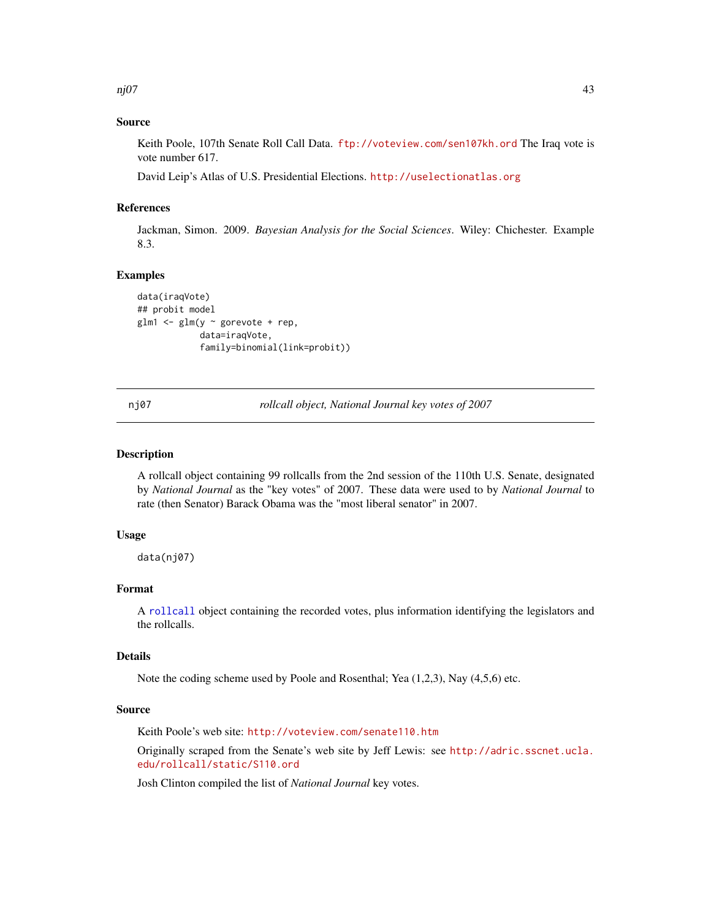nj07 **a** 43

## Source

Keith Poole, 107th Senate Roll Call Data. <ftp://voteview.com/sen107kh.ord> The Iraq vote is vote number 617.

David Leip's Atlas of U.S. Presidential Elections. <http://uselectionatlas.org>

## References

Jackman, Simon. 2009. *Bayesian Analysis for the Social Sciences*. Wiley: Chichester. Example 8.3.

## Examples

```
data(iraqVote)
## probit model
glm1 <- glm(y ~ gorevote + rep,
            data=iraqVote,
            family=binomial(link=probit))
```
nj07 *rollcall object, National Journal key votes of 2007*

## Description

A rollcall object containing 99 rollcalls from the 2nd session of the 110th U.S. Senate, designated by *National Journal* as the "key votes" of 2007. These data were used to by *National Journal* to rate (then Senator) Barack Obama was the "most liberal senator" in 2007.

### Usage

data(nj07)

## Format

A [rollcall](#page-72-0) object containing the recorded votes, plus information identifying the legislators and the rollcalls.

### Details

Note the coding scheme used by Poole and Rosenthal; Yea (1,2,3), Nay (4,5,6) etc.

### Source

Keith Poole's web site: <http://voteview.com/senate110.htm>

Originally scraped from the Senate's web site by Jeff Lewis: see [http://adric.sscnet.ucla.](http://adric.sscnet.ucla.edu/rollcall/static/S110.ord) [edu/rollcall/static/S110.ord](http://adric.sscnet.ucla.edu/rollcall/static/S110.ord)

Josh Clinton compiled the list of *National Journal* key votes.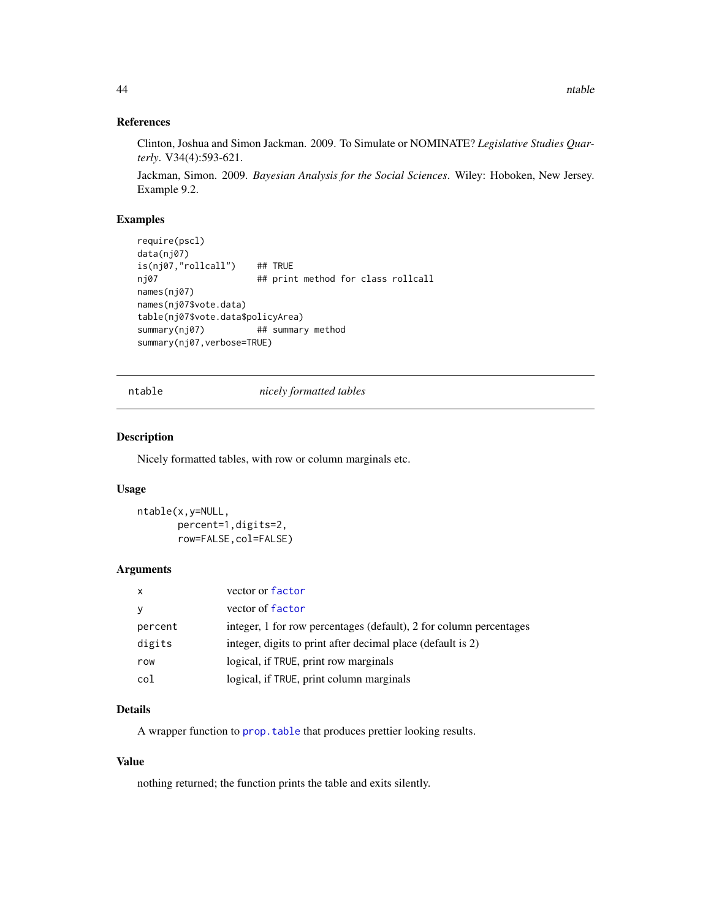### References

Clinton, Joshua and Simon Jackman. 2009. To Simulate or NOMINATE? *Legislative Studies Quarterly*. V34(4):593-621.

Jackman, Simon. 2009. *Bayesian Analysis for the Social Sciences*. Wiley: Hoboken, New Jersey. Example 9.2.

## Examples

```
require(pscl)
data(nj07)
is(nj07,"rollcall") ## TRUE
nj07 ## print method for class rollcall
names(nj07)
names(nj07$vote.data)
table(nj07$vote.data$policyArea)
summary(nj07) ## summary method
summary(nj07,verbose=TRUE)
```
ntable *nicely formatted tables*

#### Description

Nicely formatted tables, with row or column marginals etc.

### Usage

```
ntable(x,y=NULL,
       percent=1,digits=2,
       row=FALSE,col=FALSE)
```
### Arguments

| $\mathsf{x}$ | vector or factor                                                   |
|--------------|--------------------------------------------------------------------|
|              | vector of factor                                                   |
| percent      | integer, 1 for row percentages (default), 2 for column percentages |
| digits       | integer, digits to print after decimal place (default is 2)        |
| row          | logical, if TRUE, print row marginals                              |
| col          | logical, if TRUE, print column marginals                           |

# Details

A wrapper function to [prop.table](#page-0-0) that produces prettier looking results.

## Value

nothing returned; the function prints the table and exits silently.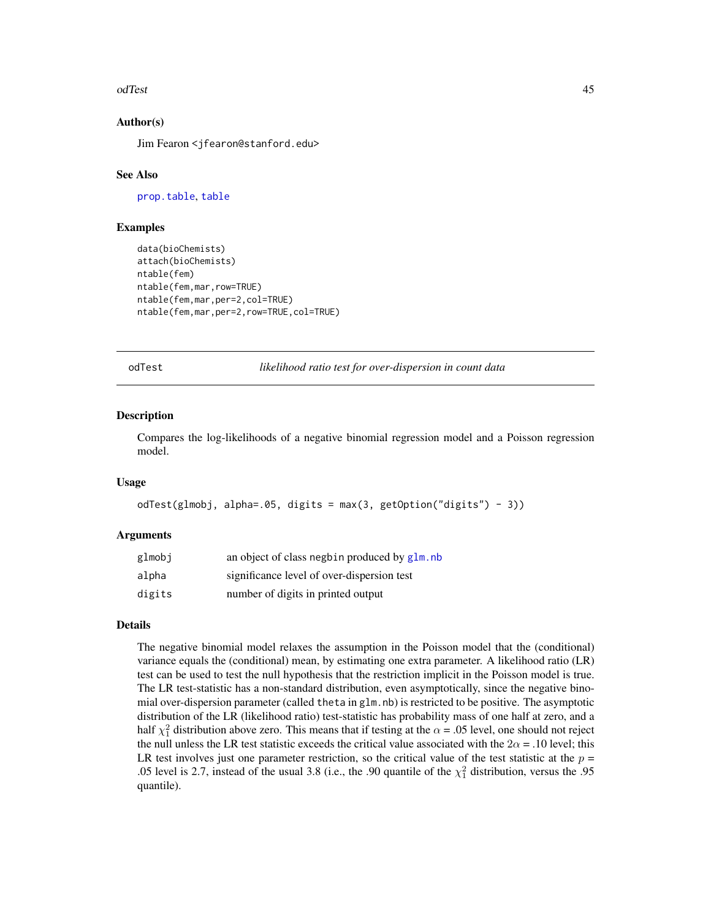#### odTest 45

## Author(s)

Jim Fearon <jfearon@stanford.edu>

### See Also

[prop.table](#page-0-0), [table](#page-0-0)

### Examples

```
data(bioChemists)
attach(bioChemists)
ntable(fem)
ntable(fem,mar,row=TRUE)
ntable(fem,mar,per=2,col=TRUE)
ntable(fem,mar,per=2,row=TRUE,col=TRUE)
```
odTest *likelihood ratio test for over-dispersion in count data*

### Description

Compares the log-likelihoods of a negative binomial regression model and a Poisson regression model.

#### Usage

```
odTest(glmobj, alpha=.05, digits = max(3, getOption("digits") - 3))
```
### Arguments

| glmobj | an object of class negbin produced by glm, nb |
|--------|-----------------------------------------------|
| alpha  | significance level of over-dispersion test    |
| digits | number of digits in printed output            |

## Details

The negative binomial model relaxes the assumption in the Poisson model that the (conditional) variance equals the (conditional) mean, by estimating one extra parameter. A likelihood ratio (LR) test can be used to test the null hypothesis that the restriction implicit in the Poisson model is true. The LR test-statistic has a non-standard distribution, even asymptotically, since the negative binomial over-dispersion parameter (called theta in glm.nb) is restricted to be positive. The asymptotic distribution of the LR (likelihood ratio) test-statistic has probability mass of one half at zero, and a half  $\chi_1^2$  distribution above zero. This means that if testing at the  $\alpha$  = .05 level, one should not reject the null unless the LR test statistic exceeds the critical value associated with the  $2\alpha = .10$  level; this LR test involves just one parameter restriction, so the critical value of the test statistic at the  $p =$ .05 level is 2.7, instead of the usual 3.8 (i.e., the .90 quantile of the  $\chi^2$  distribution, versus the .95 quantile).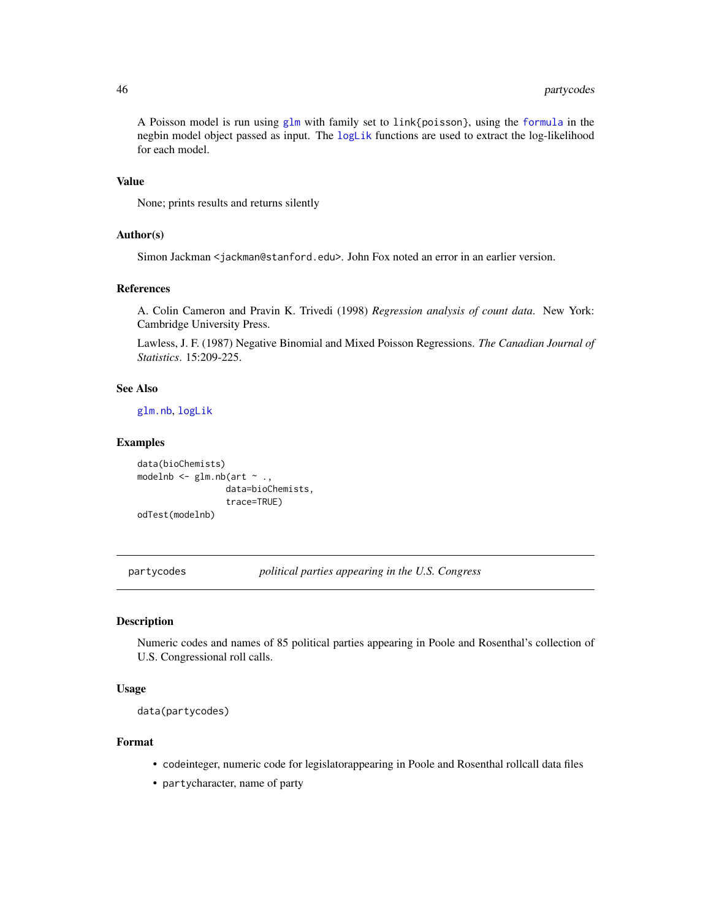# 46 partycodes

A Poisson model is run using [glm](#page-0-0) with family set to link{poisson}, using the [formula](#page-0-0) in the negbin model object passed as input. The [logLik](#page-0-0) functions are used to extract the log-likelihood for each model.

## Value

None; prints results and returns silently

## Author(s)

Simon Jackman < jackman@stanford.edu>. John Fox noted an error in an earlier version.

## References

A. Colin Cameron and Pravin K. Trivedi (1998) *Regression analysis of count data*. New York: Cambridge University Press.

Lawless, J. F. (1987) Negative Binomial and Mixed Poisson Regressions. *The Canadian Journal of Statistics*. 15:209-225.

## See Also

[glm.nb](#page-0-0), [logLik](#page-0-0)

#### Examples

```
data(bioChemists)
modelnb \leq glm.nb(art \sim .,
                  data=bioChemists,
                  trace=TRUE)
odTest(modelnb)
```
partycodes *political parties appearing in the U.S. Congress*

#### Description

Numeric codes and names of 85 political parties appearing in Poole and Rosenthal's collection of U.S. Congressional roll calls.

## Usage

```
data(partycodes)
```
# Format

- codeinteger, numeric code for legislatorappearing in Poole and Rosenthal rollcall data files
- partycharacter, name of party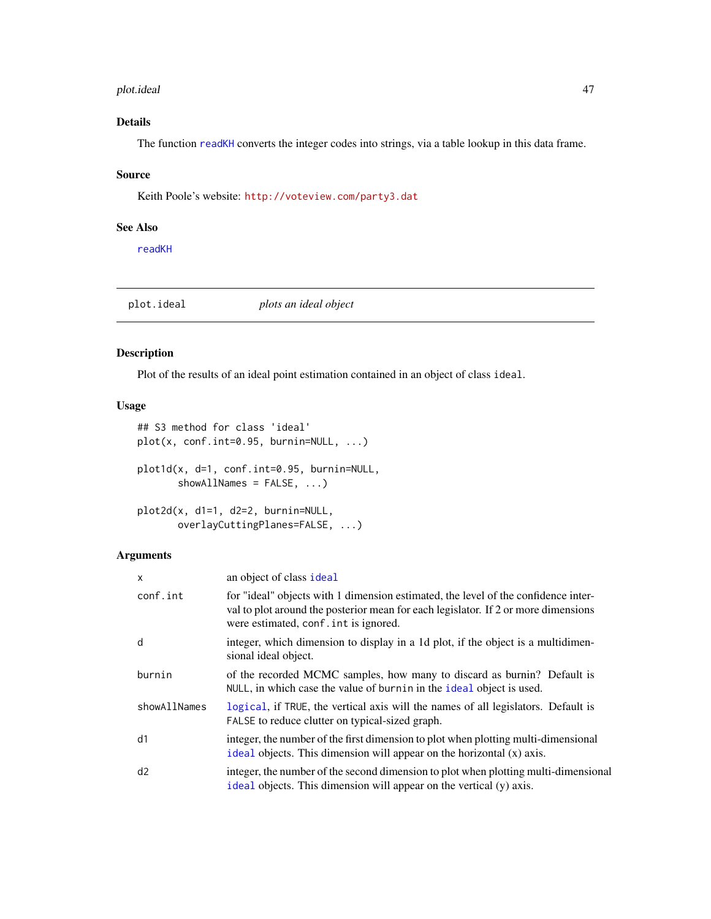#### plot.ideal 47

# Details

The function [readKH](#page-67-0) converts the integer codes into strings, via a table lookup in this data frame.

#### Source

Keith Poole's website: <http://voteview.com/party3.dat>

## See Also

[readKH](#page-67-0)

<span id="page-46-0"></span>plot.ideal *plots an ideal object*

## <span id="page-46-1"></span>Description

Plot of the results of an ideal point estimation contained in an object of class ideal.

# Usage

```
## S3 method for class 'ideal'
plot(x, conf.int=0.95, burnin=NULL, ...)
plot1d(x, d=1, conf.int=0.95, burnin=NULL,
       showAllNames = FALSE, ...)
plot2d(x, d1=1, d2=2, burnin=NULL,
       overlayCuttingPlanes=FALSE, ...)
```
# Arguments

| X            | an object of class ideal                                                                                                                                                                                          |
|--------------|-------------------------------------------------------------------------------------------------------------------------------------------------------------------------------------------------------------------|
| conf.int     | for "ideal" objects with 1 dimension estimated, the level of the confidence inter-<br>val to plot around the posterior mean for each legislator. If 2 or more dimensions<br>were estimated, conf. int is ignored. |
| d            | integer, which dimension to display in a 1d plot, if the object is a multidimen-<br>sional ideal object.                                                                                                          |
| burnin       | of the recorded MCMC samples, how many to discard as burnin? Default is<br>NULL, in which case the value of burnin in the ideal object is used.                                                                   |
| showAllNames | logical, if TRUE, the vertical axis will the names of all legislators. Default is<br>FALSE to reduce clutter on typical-sized graph.                                                                              |
| d1           | integer, the number of the first dimension to plot when plotting multi-dimensional<br>ideal objects. This dimension will appear on the horizontal $(x)$ axis.                                                     |
| d2           | integer, the number of the second dimension to plot when plotting multi-dimensional<br>ideal objects. This dimension will appear on the vertical (y) axis.                                                        |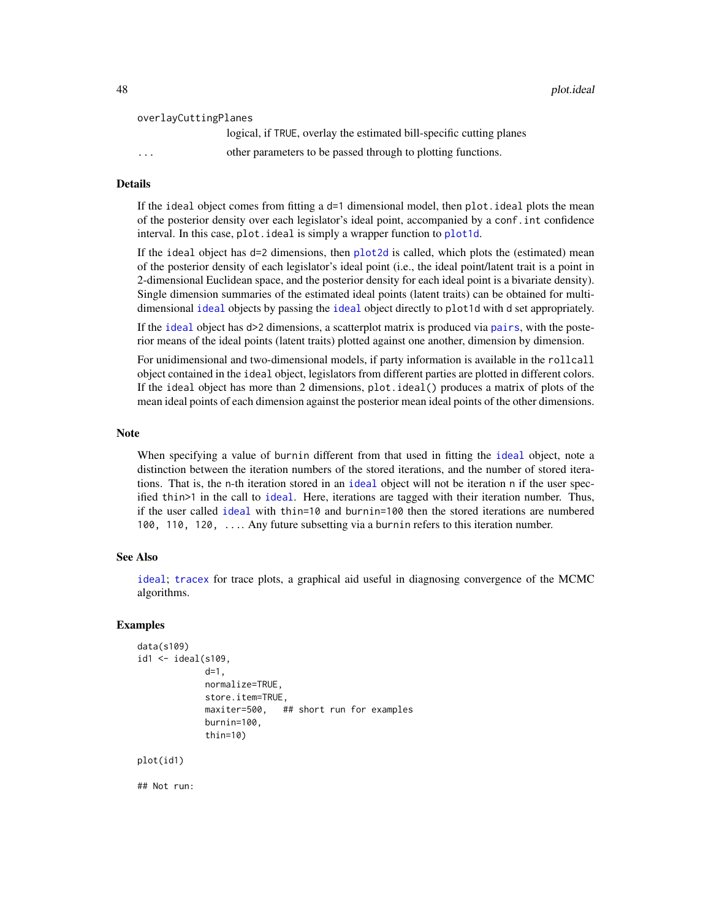48 plot.ideal

```
overlayCuttingPlanes
```
logical, if TRUE, overlay the estimated bill-specific cutting planes ... other parameters to be passed through to plotting functions.

## Details

If the ideal object comes from fitting a  $d=1$  dimensional model, then plot.ideal plots the mean of the posterior density over each legislator's ideal point, accompanied by a conf.int confidence interval. In this case, plot. ideal is simply a wrapper function to [plot1d](#page-46-1).

If the ideal object has d=2 dimensions, then [plot2d](#page-46-1) is called, which plots the (estimated) mean of the posterior density of each legislator's ideal point (i.e., the ideal point/latent trait is a point in 2-dimensional Euclidean space, and the posterior density for each ideal point is a bivariate density). Single dimension summaries of the estimated ideal points (latent traits) can be obtained for multidimensional [ideal](#page-32-0) objects by passing the [ideal](#page-32-0) object directly to plot1d with d set appropriately.

If the [ideal](#page-32-0) object has d>2 dimensions, a scatterplot matrix is produced via [pairs](#page-0-0), with the posterior means of the ideal points (latent traits) plotted against one another, dimension by dimension.

For unidimensional and two-dimensional models, if party information is available in the rollcall object contained in the ideal object, legislators from different parties are plotted in different colors. If the ideal object has more than 2 dimensions, plot.ideal() produces a matrix of plots of the mean ideal points of each dimension against the posterior mean ideal points of the other dimensions.

#### **Note**

When specifying a value of burnin different from that used in fitting the [ideal](#page-32-0) object, note a distinction between the iteration numbers of the stored iterations, and the number of stored iterations. That is, the n-th iteration stored in an [ideal](#page-32-0) object will not be iteration n if the user specified thin>1 in the call to [ideal](#page-32-0). Here, iterations are tagged with their iteration number. Thus, if the user called [ideal](#page-32-0) with thin=10 and burnin=100 then the stored iterations are numbered 100, 110, 120, .... Any future subsetting via a burnin refers to this iteration number.

#### See Also

[ideal](#page-32-0); [tracex](#page-85-0) for trace plots, a graphical aid useful in diagnosing convergence of the MCMC algorithms.

### Examples

```
data(s109)
id1 \leftarrow ideal(s109,d=1,
             normalize=TRUE,
             store.item=TRUE,
             maxiter=500, ## short run for examples
             burnin=100,
             thin=10)
```
plot(id1)

## Not run: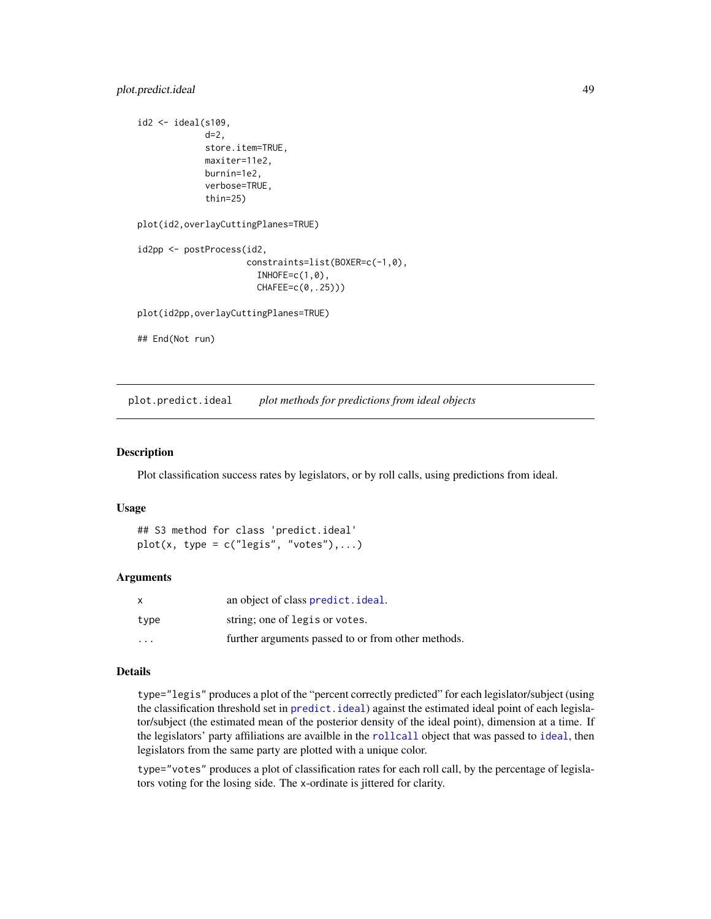# plot.predict.ideal 49

```
id2 <- ideal(s109,
             d=2,
             store.item=TRUE,
             maxiter=11e2,
             burnin=1e2,
             verbose=TRUE,
             thin=25)
plot(id2,overlayCuttingPlanes=TRUE)
id2pp <- postProcess(id2,
                     constraints=list(BOXER=c(-1,0),
                       INHOFE=c(1,0),CHAFEE=c(0,.25)))
plot(id2pp,overlayCuttingPlanes=TRUE)
## End(Not run)
```
<span id="page-48-0"></span>

plot.predict.ideal *plot methods for predictions from ideal objects*

## Description

Plot classification success rates by legislators, or by roll calls, using predictions from ideal.

### Usage

```
## S3 method for class 'predict.ideal'
plot(x, type = c("legis", "votes"),...)
```
#### Arguments

| $\mathsf{x}$            | an object of class predict. ideal.                 |
|-------------------------|----------------------------------------------------|
| type                    | string; one of legis or votes.                     |
| $\cdot$ $\cdot$ $\cdot$ | further arguments passed to or from other methods. |

## Details

type="legis" produces a plot of the "percent correctly predicted" for each legislator/subject (using the classification threshold set in [predict.ideal](#page-58-0)) against the estimated ideal point of each legislator/subject (the estimated mean of the posterior density of the ideal point), dimension at a time. If the legislators' party affiliations are availble in the [rollcall](#page-72-0) object that was passed to [ideal](#page-32-0), then legislators from the same party are plotted with a unique color.

type="votes" produces a plot of classification rates for each roll call, by the percentage of legislators voting for the losing side. The x-ordinate is jittered for clarity.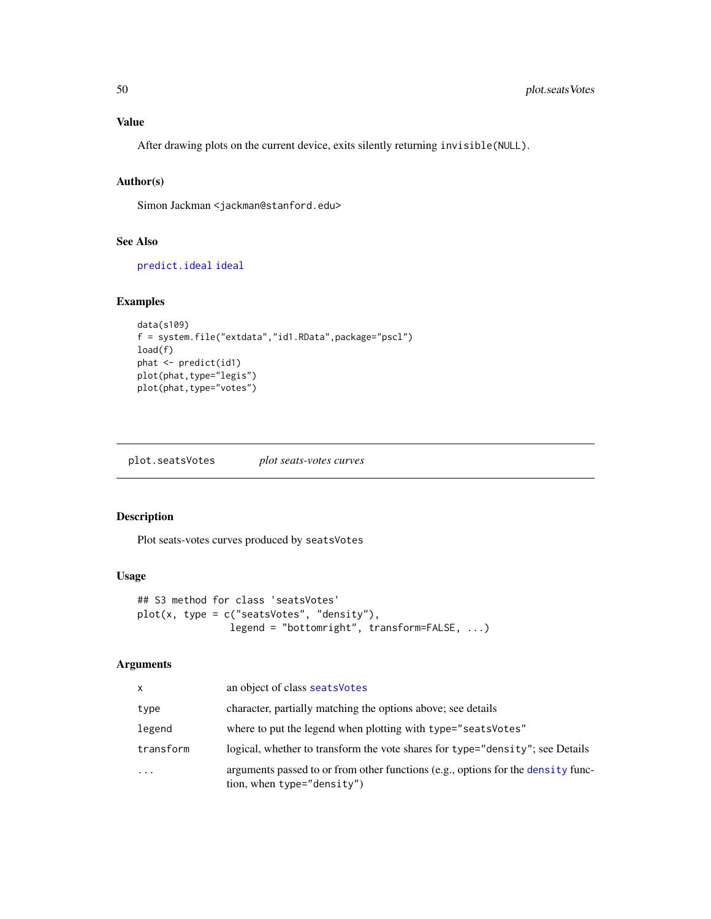# Value

After drawing plots on the current device, exits silently returning invisible(NULL).

# Author(s)

Simon Jackman <jackman@stanford.edu>

# See Also

[predict.ideal](#page-58-0) [ideal](#page-32-0)

# Examples

```
data(s109)
f = system.file("extdata","id1.RData",package="pscl")
load(f)
phat <- predict(id1)
plot(phat,type="legis")
plot(phat,type="votes")
```
plot.seatsVotes *plot seats-votes curves*

# Description

Plot seats-votes curves produced by seatsVotes

## Usage

```
## S3 method for class 'seatsVotes'
plot(x, type = c("seatsVotes", "density"),
                legend = "bottomright", transform=FALSE, ...)
```
# Arguments

| x         | an object of class seats Votes                                                                                 |
|-----------|----------------------------------------------------------------------------------------------------------------|
| type      | character, partially matching the options above; see details                                                   |
| legend    | where to put the legend when plotting with type="seats Votes"                                                  |
| transform | logical, whether to transform the vote shares for type="density"; see Details                                  |
| $\cdots$  | arguments passed to or from other functions (e.g., options for the density func-<br>tion, when type="density") |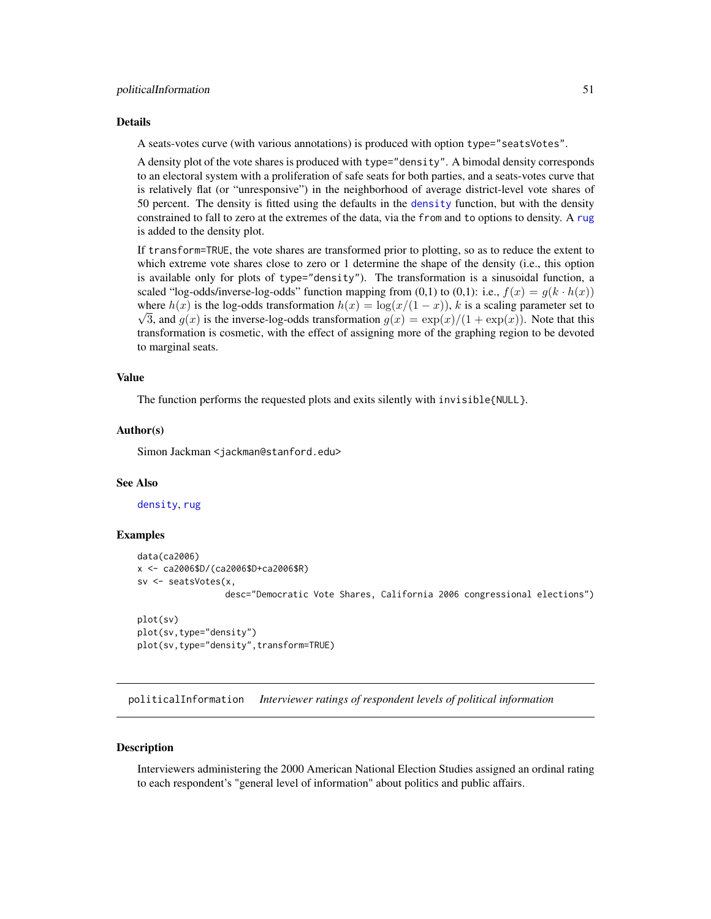#### politicalInformation 51

#### Details

A seats-votes curve (with various annotations) is produced with option type="seatsVotes".

A density plot of the vote shares is produced with type="density". A bimodal density corresponds to an electoral system with a proliferation of safe seats for both parties, and a seats-votes curve that is relatively flat (or "unresponsive") in the neighborhood of average district-level vote shares of 50 percent. The density is fitted using the defaults in the [density](#page-0-0) function, but with the density constrained to fall to zero at the extremes of the data, via the from and to options to density. A [rug](#page-0-0) is added to the density plot.

If transform=TRUE, the vote shares are transformed prior to plotting, so as to reduce the extent to which extreme vote shares close to zero or 1 determine the shape of the density (i.e., this option is available only for plots of type="density"). The transformation is a sinusoidal function, a scaled "log-odds/inverse-log-odds" function mapping from (0,1) to (0,1): i.e.,  $f(x) = g(k \cdot h(x))$ where  $h(x)$  is the log-odds transformation  $h(x) = \log(x/(1-x))$ , k is a scaling parameter set to  $\sqrt{3}$ , and  $g(x)$  is the inverse-log-odds transformation  $g(x) = \exp(x)/(1 + \exp(x))$ . Note that this transformation is cosmetic, with the effect of assigning more of the graphing region to be devoted to marginal seats.

# Value

The function performs the requested plots and exits silently with invisible{NULL}.

#### Author(s)

Simon Jackman <jackman@stanford.edu>

#### See Also

[density](#page-0-0), [rug](#page-0-0)

### Examples

```
data(ca2006)
x <- ca2006$D/(ca2006$D+ca2006$R)
sv <- seatsVotes(x,
                 desc="Democratic Vote Shares, California 2006 congressional elections")
```

```
plot(sv)
plot(sv,type="density")
plot(sv,type="density",transform=TRUE)
```
politicalInformation *Interviewer ratings of respondent levels of political information*

## Description

Interviewers administering the 2000 American National Election Studies assigned an ordinal rating to each respondent's "general level of information" about politics and public affairs.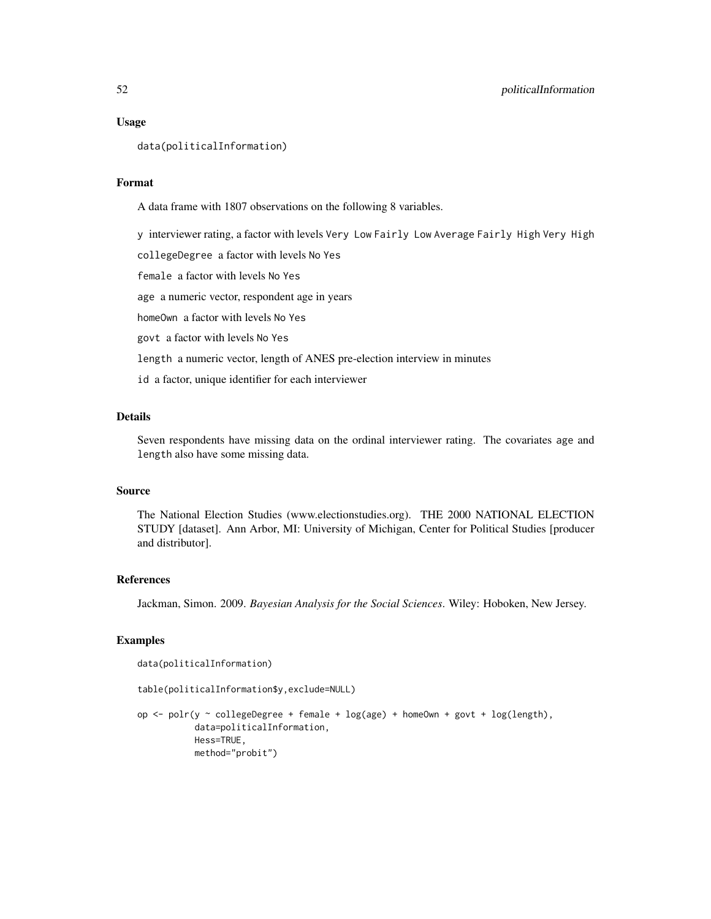### Usage

```
data(politicalInformation)
```
## Format

A data frame with 1807 observations on the following 8 variables.

y interviewer rating, a factor with levels Very Low Fairly Low Average Fairly High Very High

collegeDegree a factor with levels No Yes

female a factor with levels No Yes

age a numeric vector, respondent age in years

homeOwn a factor with levels No Yes

govt a factor with levels No Yes

length a numeric vector, length of ANES pre-election interview in minutes

id a factor, unique identifier for each interviewer

### Details

Seven respondents have missing data on the ordinal interviewer rating. The covariates age and length also have some missing data.

# Source

The National Election Studies (www.electionstudies.org). THE 2000 NATIONAL ELECTION STUDY [dataset]. Ann Arbor, MI: University of Michigan, Center for Political Studies [producer and distributor].

## References

Jackman, Simon. 2009. *Bayesian Analysis for the Social Sciences*. Wiley: Hoboken, New Jersey.

## Examples

```
data(politicalInformation)
```
table(politicalInformation\$y,exclude=NULL)

op <- polr(y ~ collegeDegree + female + log(age) + homeOwn + govt + log(length), data=politicalInformation, Hess=TRUE, method="probit")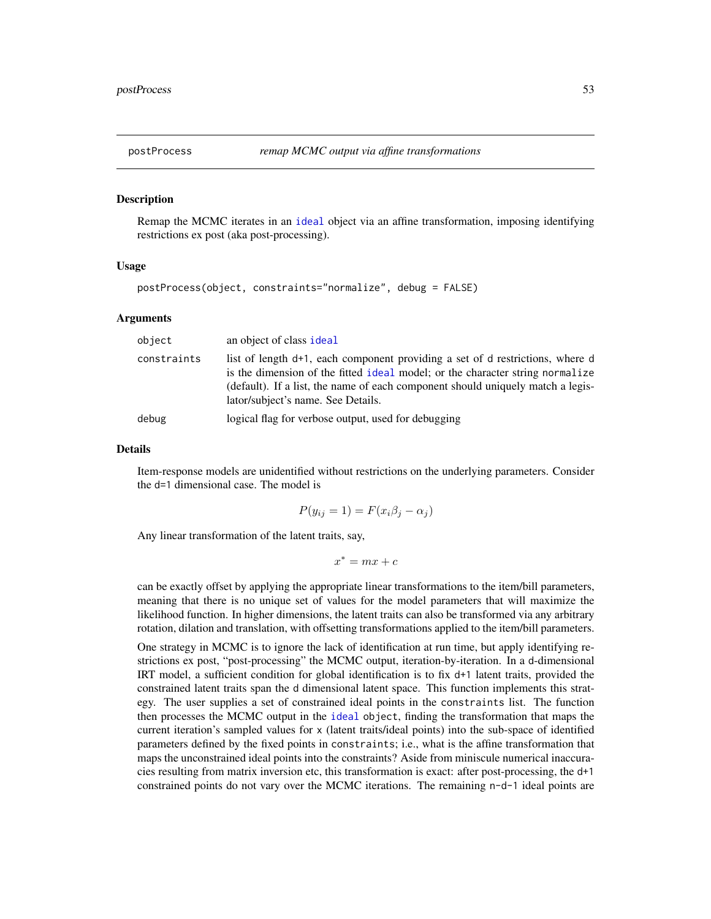### <span id="page-52-0"></span>Description

Remap the MCMC iterates in an [ideal](#page-32-0) object via an affine transformation, imposing identifying restrictions ex post (aka post-processing).

## Usage

```
postProcess(object, constraints="normalize", debug = FALSE)
```
### Arguments

| object      | an object of class ideal                                                                                                                                                                                                                                                                |
|-------------|-----------------------------------------------------------------------------------------------------------------------------------------------------------------------------------------------------------------------------------------------------------------------------------------|
| constraints | list of length d+1, each component providing a set of d restrictions, where d<br>is the dimension of the fitted ideal model; or the character string normalize<br>(default). If a list, the name of each component should uniquely match a legis-<br>lator/subject's name. See Details. |
| debug       | logical flag for verbose output, used for debugging                                                                                                                                                                                                                                     |

#### Details

Item-response models are unidentified without restrictions on the underlying parameters. Consider the d=1 dimensional case. The model is

$$
P(y_{ij} = 1) = F(x_i \beta_j - \alpha_j)
$$

Any linear transformation of the latent traits, say,

$$
x^* = mx + c
$$

can be exactly offset by applying the appropriate linear transformations to the item/bill parameters, meaning that there is no unique set of values for the model parameters that will maximize the likelihood function. In higher dimensions, the latent traits can also be transformed via any arbitrary rotation, dilation and translation, with offsetting transformations applied to the item/bill parameters.

One strategy in MCMC is to ignore the lack of identification at run time, but apply identifying restrictions ex post, "post-processing" the MCMC output, iteration-by-iteration. In a d-dimensional IRT model, a sufficient condition for global identification is to fix d+1 latent traits, provided the constrained latent traits span the d dimensional latent space. This function implements this strategy. The user supplies a set of constrained ideal points in the constraints list. The function then processes the MCMC output in the [ideal](#page-32-0) object, finding the transformation that maps the current iteration's sampled values for x (latent traits/ideal points) into the sub-space of identified parameters defined by the fixed points in constraints; i.e., what is the affine transformation that maps the unconstrained ideal points into the constraints? Aside from miniscule numerical inaccuracies resulting from matrix inversion etc, this transformation is exact: after post-processing, the d+1 constrained points do not vary over the MCMC iterations. The remaining  $n-d-1$  ideal points are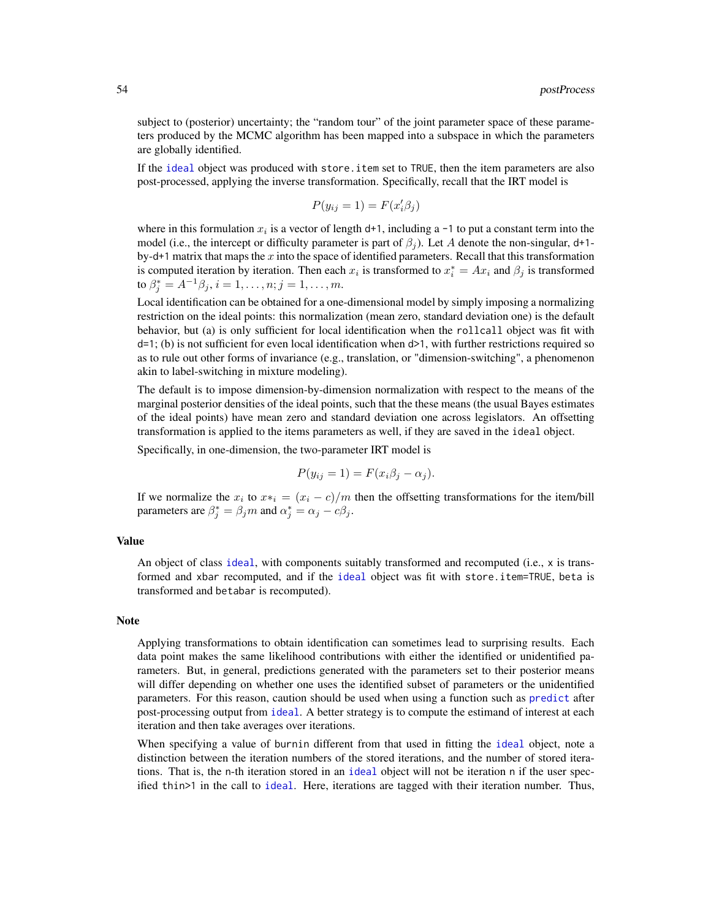subject to (posterior) uncertainty; the "random tour" of the joint parameter space of these parameters produced by the MCMC algorithm has been mapped into a subspace in which the parameters are globally identified.

If the [ideal](#page-32-0) object was produced with store.item set to TRUE, then the item parameters are also post-processed, applying the inverse transformation. Specifically, recall that the IRT model is

$$
P(y_{ij} = 1) = F(x_i' \beta_j)
$$

where in this formulation  $x_i$  is a vector of length d+1, including a -1 to put a constant term into the model (i.e., the intercept or difficulty parameter is part of  $\beta_i$ ). Let A denote the non-singular, d+1by-d+1 matrix that maps the x into the space of identified parameters. Recall that this transformation is computed iteration by iteration. Then each  $x_i$  is transformed to  $x_i^* = Ax_i$  and  $\beta_j$  is transformed to  $\beta_j^* = A^{-1} \beta_j, i = 1, \dots, n; j = 1, \dots, m$ .

Local identification can be obtained for a one-dimensional model by simply imposing a normalizing restriction on the ideal points: this normalization (mean zero, standard deviation one) is the default behavior, but (a) is only sufficient for local identification when the rollcall object was fit with d=1; (b) is not sufficient for even local identification when d>1, with further restrictions required so as to rule out other forms of invariance (e.g., translation, or "dimension-switching", a phenomenon akin to label-switching in mixture modeling).

The default is to impose dimension-by-dimension normalization with respect to the means of the marginal posterior densities of the ideal points, such that the these means (the usual Bayes estimates of the ideal points) have mean zero and standard deviation one across legislators. An offsetting transformation is applied to the items parameters as well, if they are saved in the ideal object.

Specifically, in one-dimension, the two-parameter IRT model is

$$
P(y_{ij} = 1) = F(x_i \beta_j - \alpha_j).
$$

If we normalize the  $x_i$  to  $x*_i = (x_i - c)/m$  then the offsetting transformations for the item/bill parameters are  $\beta_j^* = \beta_j m$  and  $\alpha_j^* = \alpha_j - c\beta_j$ .

## Value

An object of class [ideal](#page-32-0), with components suitably transformed and recomputed (i.e., x is transformed and xbar recomputed, and if the [ideal](#page-32-0) object was fit with store.item=TRUE, beta is transformed and betabar is recomputed).

#### Note

Applying transformations to obtain identification can sometimes lead to surprising results. Each data point makes the same likelihood contributions with either the identified or unidentified parameters. But, in general, predictions generated with the parameters set to their posterior means will differ depending on whether one uses the identified subset of parameters or the unidentified parameters. For this reason, caution should be used when using a function such as [predict](#page-0-0) after post-processing output from [ideal](#page-32-0). A better strategy is to compute the estimand of interest at each iteration and then take averages over iterations.

When specifying a value of burnin different from that used in fitting the [ideal](#page-32-0) object, note a distinction between the iteration numbers of the stored iterations, and the number of stored iterations. That is, the n-th iteration stored in an [ideal](#page-32-0) object will not be iteration n if the user specified thin>1 in the call to [ideal](#page-32-0). Here, iterations are tagged with their iteration number. Thus,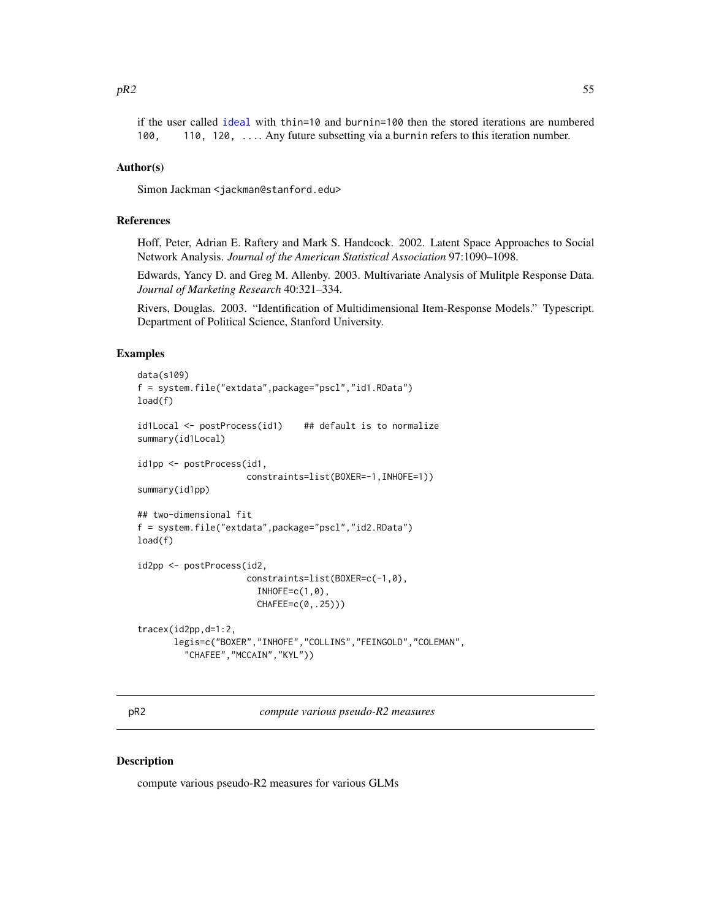if the user called [ideal](#page-32-0) with thin=10 and burnin=100 then the stored iterations are numbered 100, 110, 120, .... Any future subsetting via a burnin refers to this iteration number.

### Author(s)

Simon Jackman <jackman@stanford.edu>

## References

Hoff, Peter, Adrian E. Raftery and Mark S. Handcock. 2002. Latent Space Approaches to Social Network Analysis. *Journal of the American Statistical Association* 97:1090–1098.

Edwards, Yancy D. and Greg M. Allenby. 2003. Multivariate Analysis of Mulitple Response Data. *Journal of Marketing Research* 40:321–334.

Rivers, Douglas. 2003. "Identification of Multidimensional Item-Response Models." Typescript. Department of Political Science, Stanford University.

# Examples

```
data(s109)
f = system.file("extdata",package="pscl","id1.RData")
load(f)
id1Local <- postProcess(id1) ## default is to normalize
summary(id1Local)
id1pp <- postProcess(id1,
                     constraints=list(BOXER=-1,INHOFE=1))
summary(id1pp)
## two-dimensional fit
f = system.file("extdata",package="pscl","id2.RData")
load(f)
id2pp <- postProcess(id2,
                     constraints=list(BOXER=c(-1,0),
                       INHOFE=c(1,0),
                       CHAFEE=c(0,.25)))
tracex(id2pp,d=1:2,
      legis=c("BOXER","INHOFE","COLLINS","FEINGOLD","COLEMAN",
         "CHAFEE","MCCAIN","KYL"))
```
pR2 *compute various pseudo-R2 measures*

#### **Description**

compute various pseudo-R2 measures for various GLMs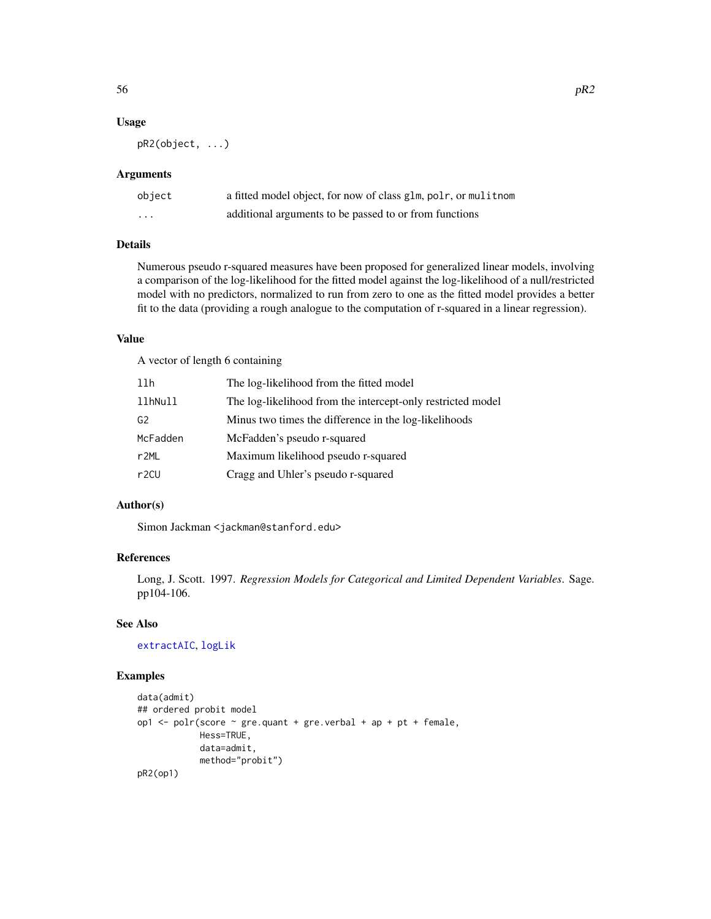### Usage

pR2(object, ...)

### Arguments

| object   | a fitted model object, for now of class glm, polr, or mulitnom |
|----------|----------------------------------------------------------------|
| $\cdots$ | additional arguments to be passed to or from functions         |

## Details

Numerous pseudo r-squared measures have been proposed for generalized linear models, involving a comparison of the log-likelihood for the fitted model against the log-likelihood of a null/restricted model with no predictors, normalized to run from zero to one as the fitted model provides a better fit to the data (providing a rough analogue to the computation of r-squared in a linear regression).

## Value

A vector of length 6 containing

| llh               | The log-likelihood from the fitted model                    |
|-------------------|-------------------------------------------------------------|
| llhNull           | The log-likelihood from the intercept-only restricted model |
| G <sub>2</sub>    | Minus two times the difference in the log-likelihoods       |
| McFadden          | McFadden's pseudo r-squared                                 |
| r <sub>2ML</sub>  | Maximum likelihood pseudo r-squared                         |
| r <sub>2</sub> CU | Cragg and Uhler's pseudo r-squared                          |

## Author(s)

Simon Jackman <jackman@stanford.edu>

## References

Long, J. Scott. 1997. *Regression Models for Categorical and Limited Dependent Variables*. Sage. pp104-106.

# See Also

[extractAIC](#page-0-0), [logLik](#page-0-0)

# Examples

```
data(admit)
## ordered probit model
op1 <- polr(score ~ gre.quant + gre.verbal + ap + pt + female,
           Hess=TRUE,
            data=admit,
           method="probit")
pR2(op1)
```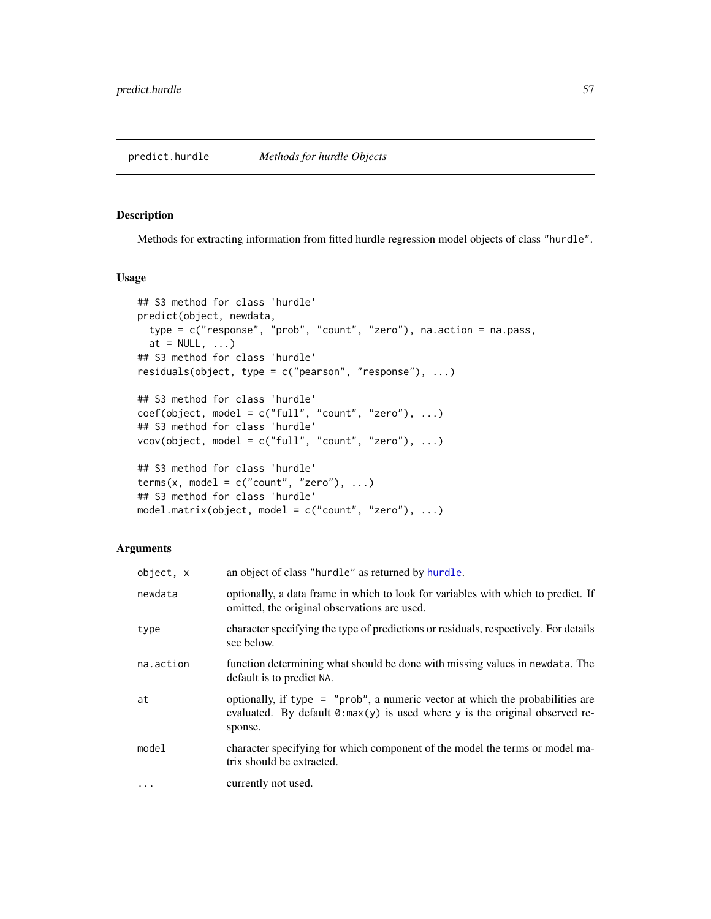## Description

Methods for extracting information from fitted hurdle regression model objects of class "hurdle".

## Usage

```
## S3 method for class 'hurdle'
predict(object, newdata,
  type = c("response", "prob", "count", "zero"), na.action = na.pass,
  at = NULL, ...)## S3 method for class 'hurdle'
residuals(object, type = c("pearson", "response"), ...)
## S3 method for class 'hurdle'
coef(object, model = c("full", "count", "zero"), ...)## S3 method for class 'hurdle'
vcov(object, model = c("full", "count", "zero"), ...)## S3 method for class 'hurdle'
terms(x, model = c("count", "zero"), ...)## S3 method for class 'hurdle'
model.matrix(object, model = c("count", "zero"), ...)
```
# Arguments

| object, x | an object of class "hurdle" as returned by hurdle.                                                                                                                               |
|-----------|----------------------------------------------------------------------------------------------------------------------------------------------------------------------------------|
| newdata   | optionally, a data frame in which to look for variables with which to predict. If<br>omitted, the original observations are used.                                                |
| type      | character specifying the type of predictions or residuals, respectively. For details<br>see below.                                                                               |
| na.action | function determining what should be done with missing values in newdata. The<br>default is to predict NA.                                                                        |
| at        | optionally, if type = "prob", a numeric vector at which the probabilities are<br>evaluated. By default $\theta$ : max(y) is used where y is the original observed re-<br>sponse. |
| mode1     | character specifying for which component of the model the terms or model ma-<br>trix should be extracted.                                                                        |
| $\cdots$  | currently not used.                                                                                                                                                              |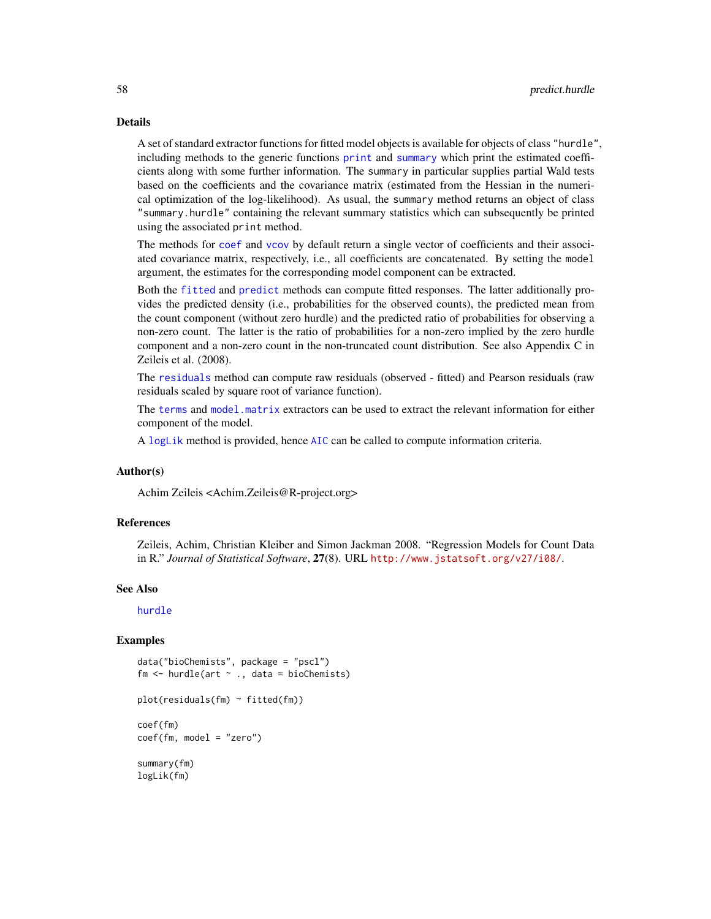### Details

A set of standard extractor functions for fitted model objects is available for objects of class "hurdle", including methods to the generic functions [print](#page-0-0) and [summary](#page-0-0) which print the estimated coefficients along with some further information. The summary in particular supplies partial Wald tests based on the coefficients and the covariance matrix (estimated from the Hessian in the numerical optimization of the log-likelihood). As usual, the summary method returns an object of class "summary.hurdle" containing the relevant summary statistics which can subsequently be printed using the associated print method.

The methods for [coef](#page-0-0) and [vcov](#page-0-0) by default return a single vector of coefficients and their associated covariance matrix, respectively, i.e., all coefficients are concatenated. By setting the model argument, the estimates for the corresponding model component can be extracted.

Both the [fitted](#page-0-0) and [predict](#page-0-0) methods can compute fitted responses. The latter additionally provides the predicted density (i.e., probabilities for the observed counts), the predicted mean from the count component (without zero hurdle) and the predicted ratio of probabilities for observing a non-zero count. The latter is the ratio of probabilities for a non-zero implied by the zero hurdle component and a non-zero count in the non-truncated count distribution. See also Appendix C in Zeileis et al. (2008).

The [residuals](#page-0-0) method can compute raw residuals (observed - fitted) and Pearson residuals (raw residuals scaled by square root of variance function).

The [terms](#page-0-0) and [model.matrix](#page-0-0) extractors can be used to extract the relevant information for either component of the model.

A [logLik](#page-0-0) method is provided, hence [AIC](#page-0-0) can be called to compute information criteria.

## Author(s)

Achim Zeileis <Achim.Zeileis@R-project.org>

### References

Zeileis, Achim, Christian Kleiber and Simon Jackman 2008. "Regression Models for Count Data in R." *Journal of Statistical Software*, 27(8). URL <http://www.jstatsoft.org/v27/i08/>.

### See Also

[hurdle](#page-26-0)

## Examples

```
data("bioChemists", package = "pscl")
fm \leq hurdle(art \sim ., data = bioChemists)
```

```
plot(residuals(fm) ~ fitted(fm))
```

```
coef(fm)
coef(fm, model = "zero")
```
summary(fm) logLik(fm)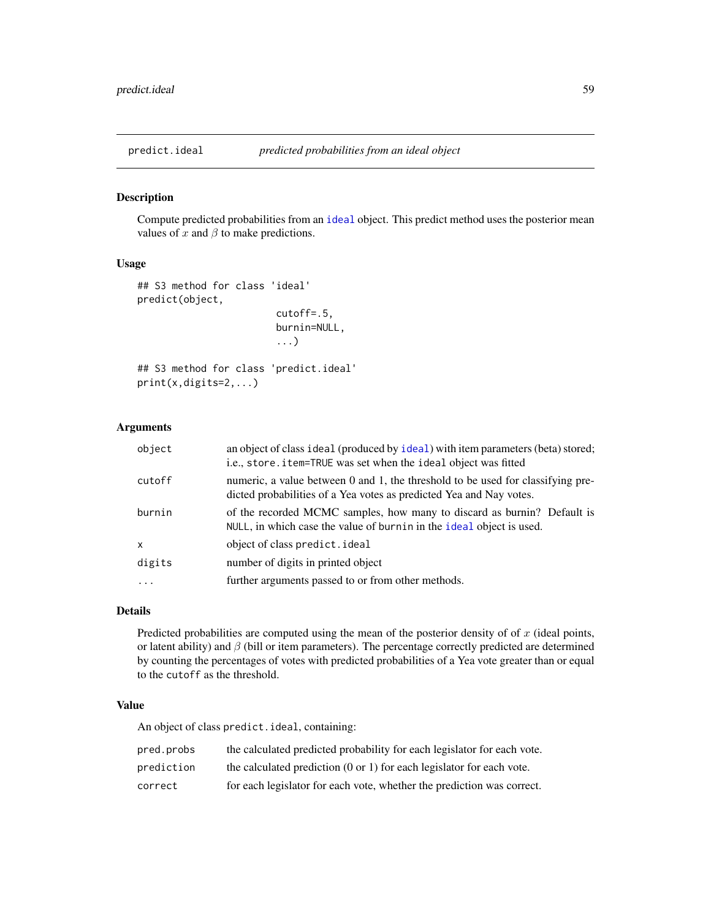<span id="page-58-0"></span>

# Description

Compute predicted probabilities from an [ideal](#page-32-0) object. This predict method uses the posterior mean values of  $x$  and  $\beta$  to make predictions.

### Usage

```
## S3 method for class 'ideal'
predict(object,
                        cutoff=.5,
                        burnin=NULL,
                         ...)
## S3 method for class 'predict.ideal'
```
## print(x,digits=2,...)

# Arguments

| object       | an object of class ideal (produced by ideal) with item parameters (beta) stored;<br>i.e., store.item=TRUE was set when the ideal object was fitted     |
|--------------|--------------------------------------------------------------------------------------------------------------------------------------------------------|
| cutoff       | numeric, a value between 0 and 1, the threshold to be used for classifying pre-<br>dicted probabilities of a Yea votes as predicted Yea and Nay votes. |
| burnin       | of the recorded MCMC samples, how many to discard as burnin? Default is<br>NULL, in which case the value of burnin in the ideal object is used.        |
| $\mathsf{x}$ | object of class predict. ideal                                                                                                                         |
| digits       | number of digits in printed object                                                                                                                     |
| $\cdots$     | further arguments passed to or from other methods.                                                                                                     |

## Details

Predicted probabilities are computed using the mean of the posterior density of of  $x$  (ideal points, or latent ability) and  $\beta$  (bill or item parameters). The percentage correctly predicted are determined by counting the percentages of votes with predicted probabilities of a Yea vote greater than or equal to the cutoff as the threshold.

## Value

An object of class predict.ideal, containing:

| pred.probs | the calculated predicted probability for each legislator for each vote.          |
|------------|----------------------------------------------------------------------------------|
| prediction | the calculated prediction $(0 \text{ or } 1)$ for each legislator for each vote. |
| correct    | for each legislator for each vote, whether the prediction was correct.           |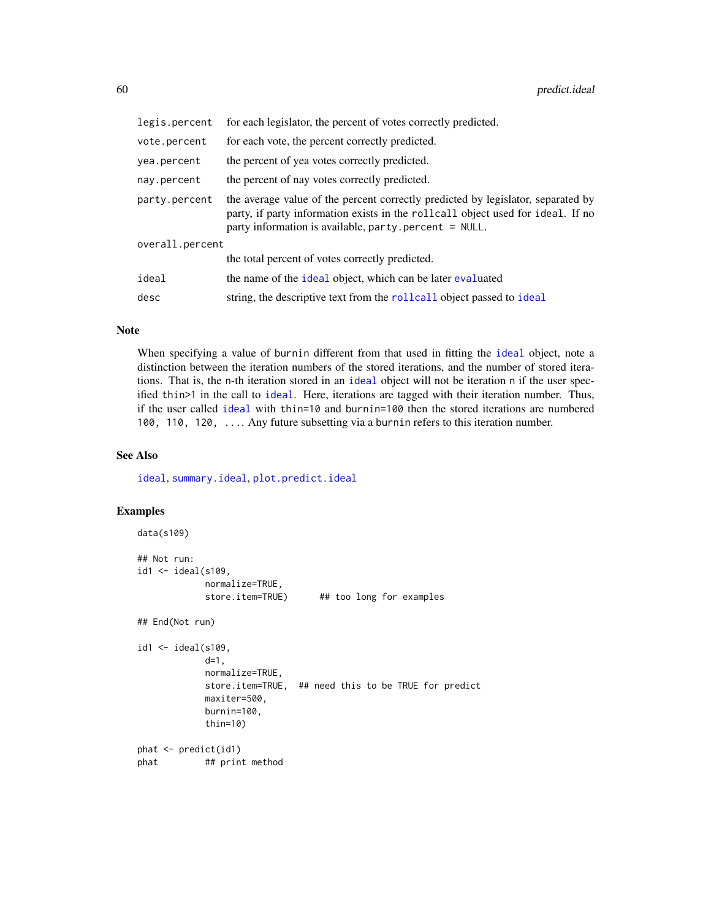| legis.percent   | for each legislator, the percent of votes correctly predicted.                                                                                                                                                               |
|-----------------|------------------------------------------------------------------------------------------------------------------------------------------------------------------------------------------------------------------------------|
| vote.percent    | for each vote, the percent correctly predicted.                                                                                                                                                                              |
| yea.percent     | the percent of yea votes correctly predicted.                                                                                                                                                                                |
| nay.percent     | the percent of nay votes correctly predicted.                                                                                                                                                                                |
| party.percent   | the average value of the percent correctly predicted by legislator, separated by<br>party, if party information exists in the rollcall object used for ideal. If no<br>party information is available, party.percent = NULL. |
| overall.percent |                                                                                                                                                                                                                              |
|                 | the total percent of votes correctly predicted.                                                                                                                                                                              |
| ideal           | the name of the ideal object, which can be later evaluated                                                                                                                                                                   |
| desc            | string, the descriptive text from the rollcall object passed to ideal                                                                                                                                                        |

### Note

When specifying a value of burnin different from that used in fitting the [ideal](#page-32-0) object, note a distinction between the iteration numbers of the stored iterations, and the number of stored iterations. That is, the n-th iteration stored in an [ideal](#page-32-0) object will not be iteration n if the user specified thin>1 in the call to [ideal](#page-32-0). Here, iterations are tagged with their iteration number. Thus, if the user called [ideal](#page-32-0) with thin=10 and burnin=100 then the stored iterations are numbered 100, 110, 120, .... Any future subsetting via a burnin refers to this iteration number.

### See Also

[ideal](#page-32-0), [summary.ideal](#page-81-0), [plot.predict.ideal](#page-48-0)

### Examples

```
data(s109)
## Not run:
id1 \leftarrow ideal(s109,normalize=TRUE,
            store.item=TRUE) ## too long for examples
## End(Not run)
id1 <- ideal(s109,
            d=1,
            normalize=TRUE,
            store.item=TRUE, ## need this to be TRUE for predict
            maxiter=500,
            burnin=100,
            thin=10)
phat <- predict(id1)
phat ## print method
```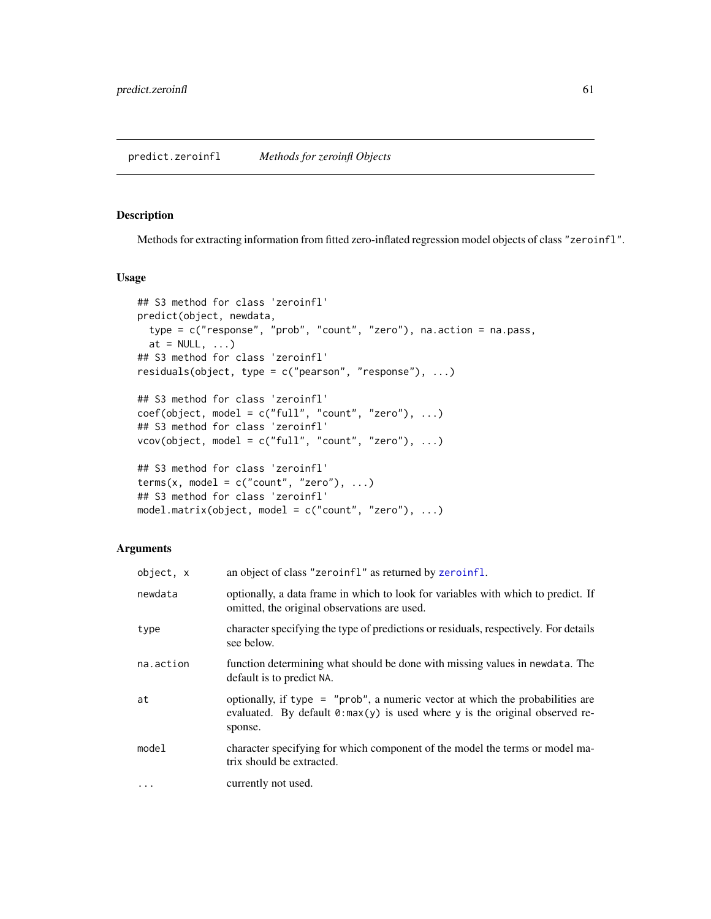## <span id="page-60-0"></span>Description

Methods for extracting information from fitted zero-inflated regression model objects of class "zeroinfl".

## Usage

```
## S3 method for class 'zeroinfl'
predict(object, newdata,
  type = c("response", "prob", "count", "zero"), na.action = na.pass,
  at = NULL, ...)## S3 method for class 'zeroinfl'
residuals(object, type = c("pearson", "response"), ...)
## S3 method for class 'zeroinfl'
coef(object, model = c("full", "count", "zero"), ...)## S3 method for class 'zeroinfl'
vcov(object, model = c("full", "count", "zero"), ...)
## S3 method for class 'zeroinfl'
terms(x, model = c("count", "zero"), ...)## S3 method for class 'zeroinfl'
model.matrix(object, model = c("count", "zero"), ...)
```
# Arguments

| object, x | an object of class "zeroinf1" as returned by zeroinf1.                                                                                                                           |
|-----------|----------------------------------------------------------------------------------------------------------------------------------------------------------------------------------|
| newdata   | optionally, a data frame in which to look for variables with which to predict. If<br>omitted, the original observations are used.                                                |
| type      | character specifying the type of predictions or residuals, respectively. For details<br>see below.                                                                               |
| na.action | function determining what should be done with missing values in newdata. The<br>default is to predict NA.                                                                        |
| at        | optionally, if type = "prob", a numeric vector at which the probabilities are<br>evaluated. By default $\theta$ : max(y) is used where y is the original observed re-<br>sponse. |
| model     | character specifying for which component of the model the terms or model ma-<br>trix should be extracted.                                                                        |
| $\cdots$  | currently not used.                                                                                                                                                              |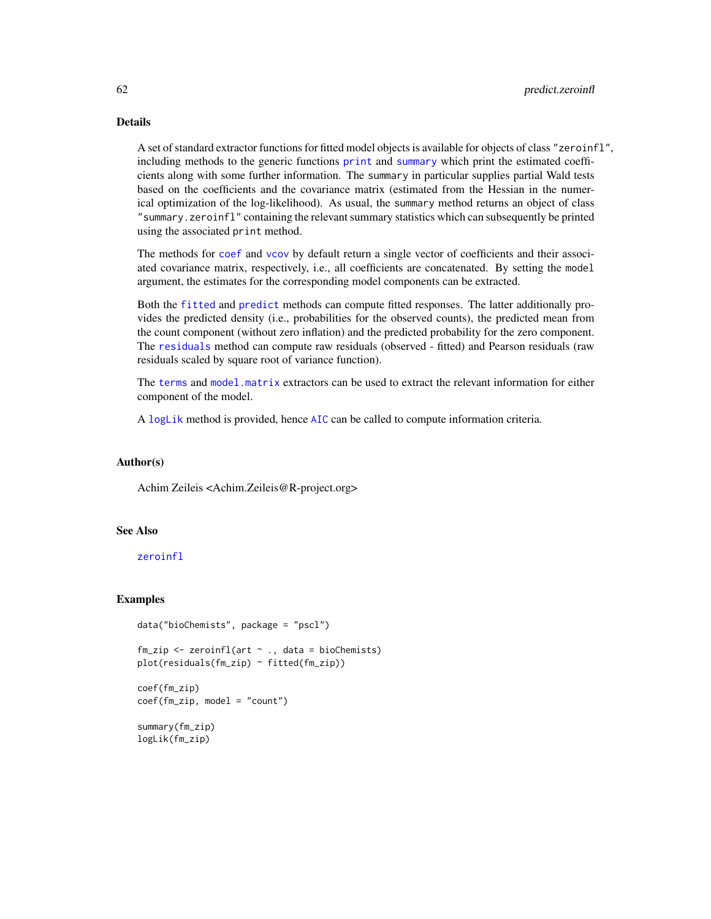# Details

A set of standard extractor functions for fitted model objects is available for objects of class "zeroinfl", including methods to the generic functions [print](#page-0-0) and [summary](#page-0-0) which print the estimated coefficients along with some further information. The summary in particular supplies partial Wald tests based on the coefficients and the covariance matrix (estimated from the Hessian in the numerical optimization of the log-likelihood). As usual, the summary method returns an object of class "summary.zeroinfl" containing the relevant summary statistics which can subsequently be printed using the associated print method.

The methods for [coef](#page-0-0) and [vcov](#page-0-0) by default return a single vector of coefficients and their associated covariance matrix, respectively, i.e., all coefficients are concatenated. By setting the model argument, the estimates for the corresponding model components can be extracted.

Both the [fitted](#page-0-0) and [predict](#page-0-0) methods can compute fitted responses. The latter additionally provides the predicted density (i.e., probabilities for the observed counts), the predicted mean from the count component (without zero inflation) and the predicted probability for the zero component. The [residuals](#page-0-0) method can compute raw residuals (observed - fitted) and Pearson residuals (raw residuals scaled by square root of variance function).

The [terms](#page-0-0) and [model.matrix](#page-0-0) extractors can be used to extract the relevant information for either component of the model.

A [logLik](#page-0-0) method is provided, hence [AIC](#page-0-0) can be called to compute information criteria.

## Author(s)

Achim Zeileis <Achim.Zeileis@R-project.org>

# See Also

[zeroinfl](#page-93-0)

### Examples

```
data("bioChemists", package = "pscl")
fm\_zip \leftarrow zeroinfl(art \sim ., data = bioChemists)plot(residuals(fm_zip) ~ fitted(fm_zip))
coef(fm_zip)
coef(fm_zip, model = "count")
```

```
summary(fm_zip)
logLik(fm_zip)
```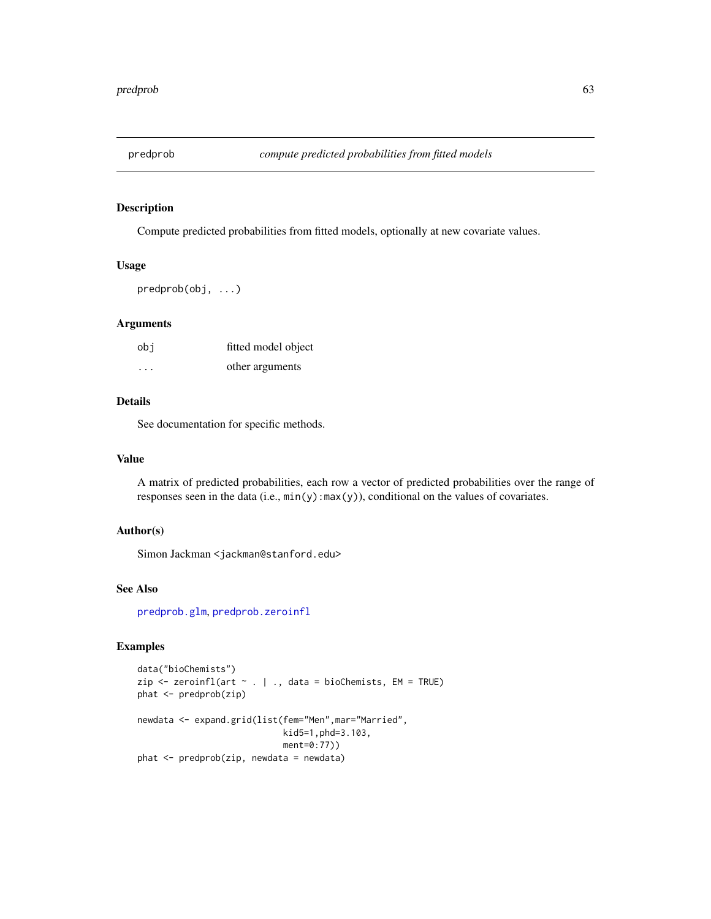<span id="page-62-0"></span>

## Description

Compute predicted probabilities from fitted models, optionally at new covariate values.

## Usage

predprob(obj, ...)

## Arguments

| obi                  | fitted model object |
|----------------------|---------------------|
| $\ddot{\phantom{0}}$ | other arguments     |

## Details

See documentation for specific methods.

## Value

A matrix of predicted probabilities, each row a vector of predicted probabilities over the range of responses seen in the data (i.e., min(y):max(y)), conditional on the values of covariates.

# Author(s)

Simon Jackman <jackman@stanford.edu>

## See Also

[predprob.glm](#page-63-0), [predprob.zeroinfl](#page-60-0)

## Examples

```
data("bioChemists")
zip <- zeroinfl(art ~ . | ., data = bioChemists, EM = TRUE)
phat <- predprob(zip)
newdata <- expand.grid(list(fem="Men",mar="Married",
                            kid5=1,phd=3.103,
                            ment=0:77))
phat <- predprob(zip, newdata = newdata)
```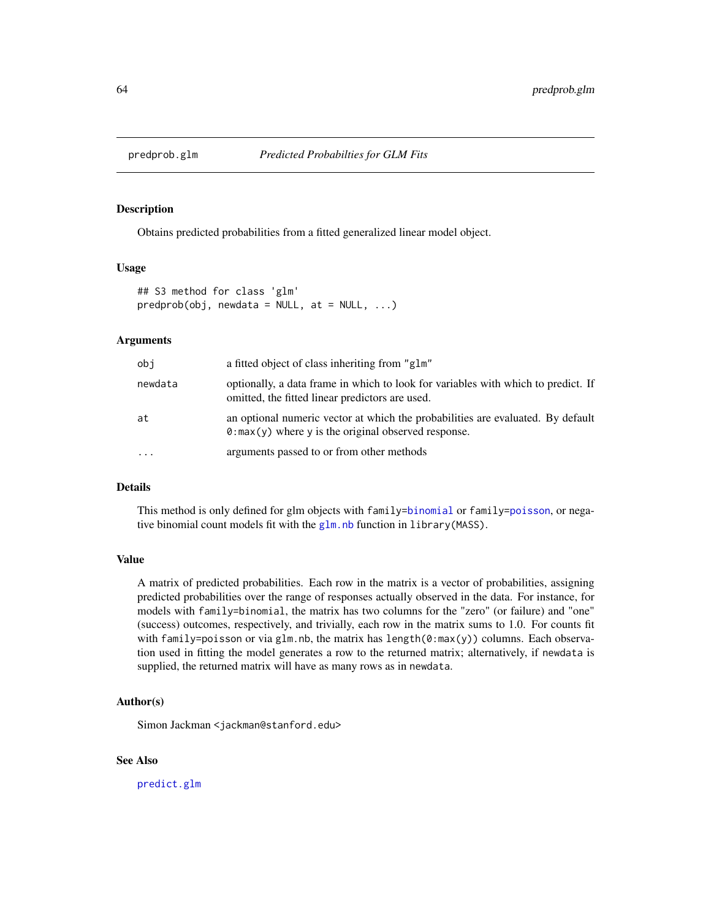<span id="page-63-0"></span>

## Description

Obtains predicted probabilities from a fitted generalized linear model object.

### Usage

```
## S3 method for class 'glm'
predprob(obj, newdata = NULL, at = NULL, ...)
```
## Arguments

| obj     | a fitted object of class inheriting from "glm"                                                                                                  |
|---------|-------------------------------------------------------------------------------------------------------------------------------------------------|
| newdata | optionally, a data frame in which to look for variables with which to predict. If<br>omitted, the fitted linear predictors are used.            |
| at      | an optional numeric vector at which the probabilities are evaluated. By default<br>$\theta$ : max(y) where y is the original observed response. |
| .       | arguments passed to or from other methods                                                                                                       |

### Details

This method is only defined for glm objects with family[=binomial](#page-0-0) or family[=poisson](#page-0-0), or negative binomial count models fit with the  $g \ln n$  function in library (MASS).

#### Value

A matrix of predicted probabilities. Each row in the matrix is a vector of probabilities, assigning predicted probabilities over the range of responses actually observed in the data. For instance, for models with family=binomial, the matrix has two columns for the "zero" (or failure) and "one" (success) outcomes, respectively, and trivially, each row in the matrix sums to 1.0. For counts fit with family=poisson or via glm.nb, the matrix has length(0:max(y)) columns. Each observation used in fitting the model generates a row to the returned matrix; alternatively, if newdata is supplied, the returned matrix will have as many rows as in newdata.

## Author(s)

Simon Jackman <jackman@stanford.edu>

## See Also

[predict.glm](#page-0-0)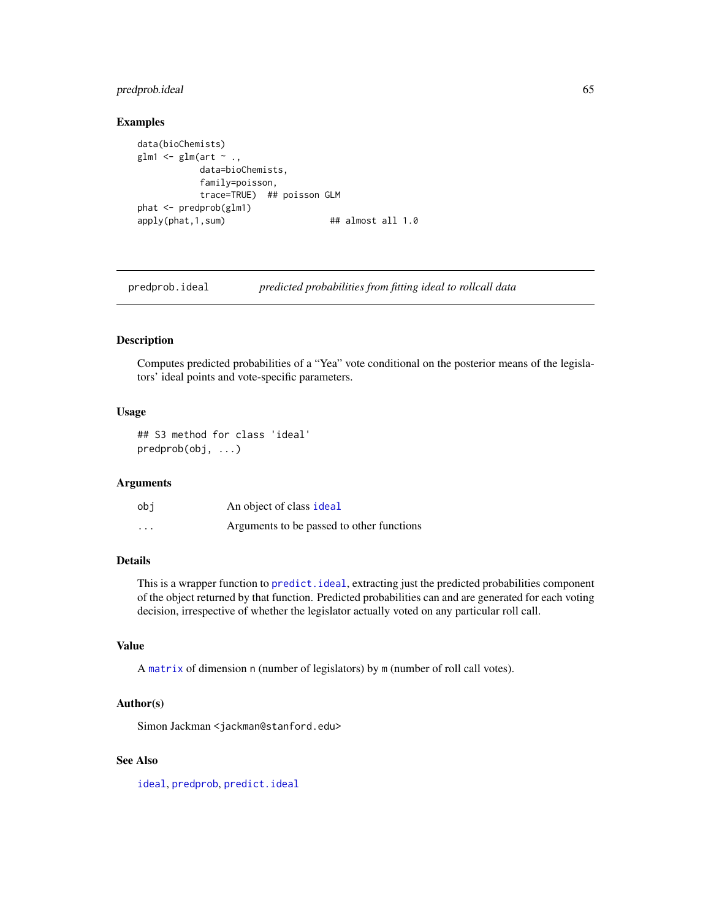# predprob.ideal 65

### Examples

```
data(bioChemists)
glm1 \leq glm(art \sim .,
           data=bioChemists,
           family=poisson,
           trace=TRUE) ## poisson GLM
phat <- predprob(glm1)
apply(phat, 1, sum) ## almost all 1.0
```
predprob.ideal *predicted probabilities from fitting ideal to rollcall data*

### Description

Computes predicted probabilities of a "Yea" vote conditional on the posterior means of the legislators' ideal points and vote-specific parameters.

### Usage

## S3 method for class 'ideal' predprob(obj, ...)

### Arguments

| obi      | An object of class ideal                  |
|----------|-------------------------------------------|
| $\cdots$ | Arguments to be passed to other functions |

## Details

This is a wrapper function to [predict.ideal](#page-58-0), extracting just the predicted probabilities component of the object returned by that function. Predicted probabilities can and are generated for each voting decision, irrespective of whether the legislator actually voted on any particular roll call.

## Value

A [matrix](#page-0-0) of dimension n (number of legislators) by m (number of roll call votes).

## Author(s)

Simon Jackman <jackman@stanford.edu>

## See Also

[ideal](#page-32-0), [predprob](#page-62-0), [predict.ideal](#page-58-0)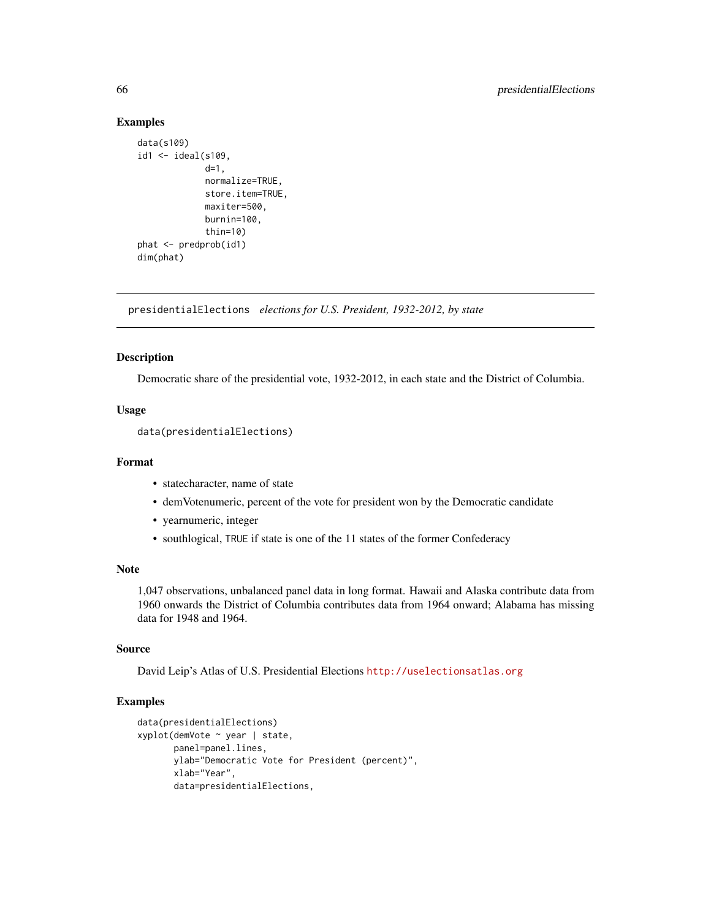### Examples

```
data(s109)
id1 \le ideal(s109,
             d=1,
             normalize=TRUE,
             store.item=TRUE,
             maxiter=500,
             burnin=100,
             thin=10)
phat <- predprob(id1)
dim(phat)
```
presidentialElections *elections for U.S. President, 1932-2012, by state*

# Description

Democratic share of the presidential vote, 1932-2012, in each state and the District of Columbia.

## Usage

data(presidentialElections)

#### Format

- statecharacter, name of state
- demVotenumeric, percent of the vote for president won by the Democratic candidate
- yearnumeric, integer
- southlogical, TRUE if state is one of the 11 states of the former Confederacy

## Note

1,047 observations, unbalanced panel data in long format. Hawaii and Alaska contribute data from 1960 onwards the District of Columbia contributes data from 1964 onward; Alabama has missing data for 1948 and 1964.

### Source

David Leip's Atlas of U.S. Presidential Elections <http://uselectionsatlas.org>

### Examples

```
data(presidentialElections)
xyplot(demVote ~ year | state,
      panel=panel.lines,
      ylab="Democratic Vote for President (percent)",
      xlab="Year",
      data=presidentialElections,
```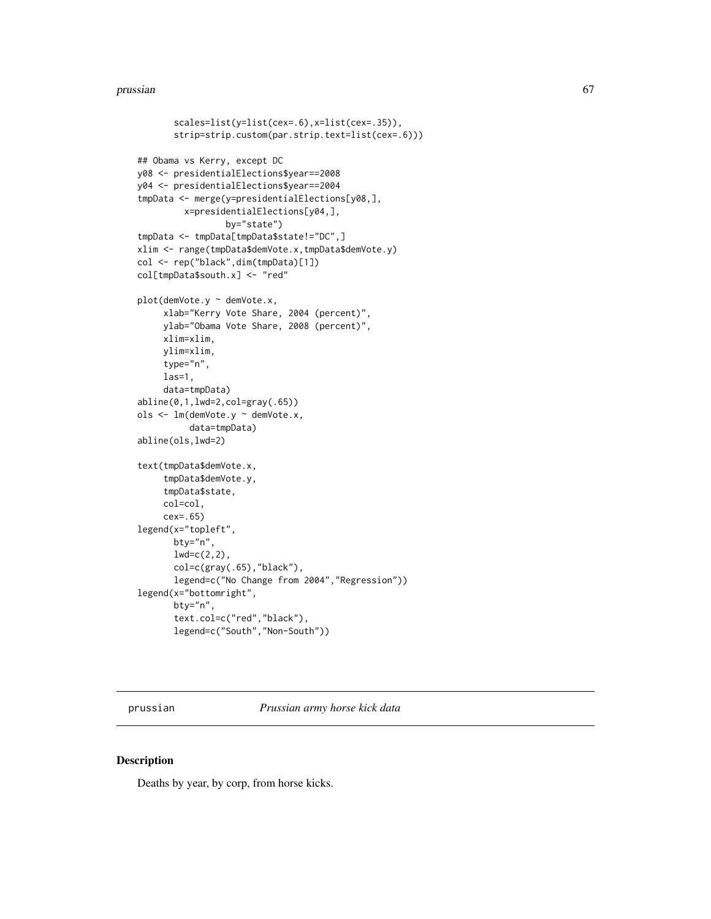#### prussian 67

```
scales=list(y=list(cex=.6),x=list(cex=.35)),
       strip=strip.custom(par.strip.text=list(cex=.6)))
## Obama vs Kerry, except DC
y08 <- presidentialElections$year==2008
y04 <- presidentialElections$year==2004
tmpData <- merge(y=presidentialElections[y08,],
         x=presidentialElections[y04,],
                 by="state")
tmpData <- tmpData[tmpData$state!="DC",]
xlim <- range(tmpData$demVote.x,tmpData$demVote.y)
col <- rep("black",dim(tmpData)[1])
col[tmpData$south.x] <- "red"
plot(demVote.y ~ demVote.x,
     xlab="Kerry Vote Share, 2004 (percent)",
    ylab="Obama Vote Share, 2008 (percent)",
    xlim=xlim,
    ylim=xlim,
     type="n",
    las=1,
     data=tmpData)
abline(0,1,lwd=2,col=gray(.65))
ols <- lm(demVote.y ~ demVote.x,
          data=tmpData)
abline(ols,lwd=2)
text(tmpData$demVote.x,
     tmpData$demVote.y,
     tmpData$state,
     col=col,
     cex=.65)
legend(x="topleft",
      bty="n",
       lwd=c(2,2),
       col=c(gray(.65),"black"),
       legend=c("No Change from 2004","Regression"))
legend(x="bottomright",
       bty="n",
       text.col=c("red","black"),
       legend=c("South","Non-South"))
```
prussian *Prussian army horse kick data*

# Description

Deaths by year, by corp, from horse kicks.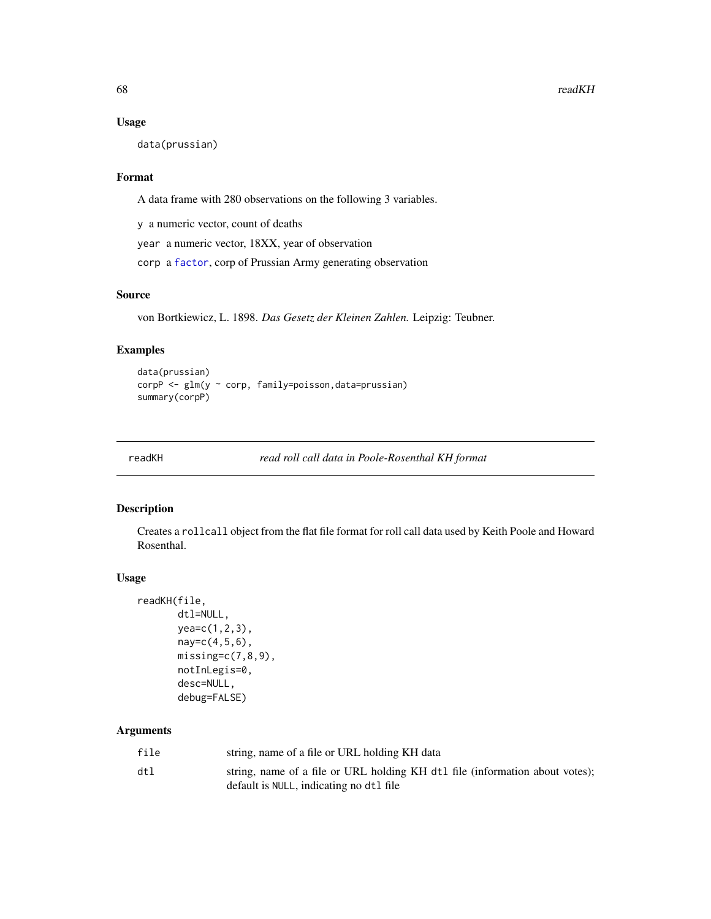## Usage

data(prussian)

## Format

A data frame with 280 observations on the following 3 variables.

y a numeric vector, count of deaths

year a numeric vector, 18XX, year of observation

corp a [factor](#page-0-0), corp of Prussian Army generating observation

# Source

von Bortkiewicz, L. 1898. *Das Gesetz der Kleinen Zahlen.* Leipzig: Teubner.

# Examples

```
data(prussian)
corpP <- glm(y ~ corp, family=poisson,data=prussian)
summary(corpP)
```
<span id="page-67-0"></span>

readKH *read roll call data in Poole-Rosenthal KH format*

## Description

Creates a rollcall object from the flat file format for roll call data used by Keith Poole and Howard Rosenthal.

#### Usage

```
readKH(file,
       dtl=NULL,
       yea=c(1,2,3),
       nay=c(4,5,6),
       missing=c(7,8,9),
       notInLegis=0,
       desc=NULL,
       debug=FALSE)
```
## Arguments

| file | string, name of a file or URL holding KH data                                                                           |
|------|-------------------------------------------------------------------------------------------------------------------------|
| dtl  | string, name of a file or URL holding KH dt1 file (information about votes);<br>default is NULL, indicating no dt1 file |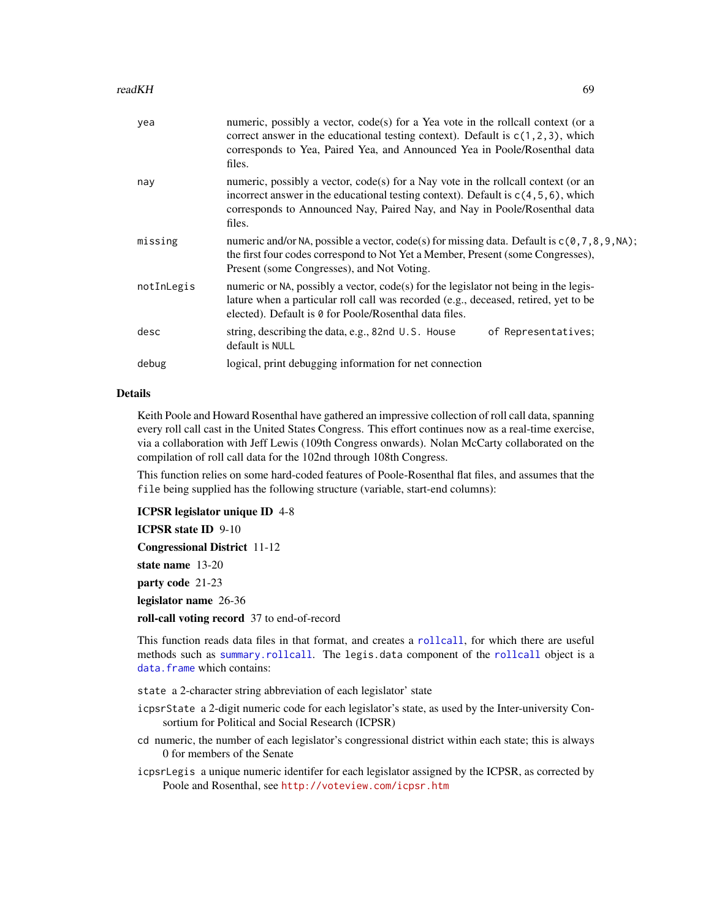#### readKH 69

| yea        | numeric, possibly a vector, code(s) for a Yea vote in the rollcall context (or a<br>correct answer in the educational testing context). Default is $c(1, 2, 3)$ , which<br>corresponds to Yea, Paired Yea, and Announced Yea in Poole/Rosenthal data<br>files.    |
|------------|-------------------------------------------------------------------------------------------------------------------------------------------------------------------------------------------------------------------------------------------------------------------|
| nay        | numeric, possibly a vector, code(s) for a Nay vote in the rollcall context (or an<br>incorrect answer in the educational testing context). Default is $c(4, 5, 6)$ , which<br>corresponds to Announced Nay, Paired Nay, and Nay in Poole/Rosenthal data<br>files. |
| missing    | numeric and/or NA, possible a vector, $code(s)$ for missing data. Default is $c(0, 7, 8, 9, NA)$ ;<br>the first four codes correspond to Not Yet a Member, Present (some Congresses),<br>Present (some Congresses), and Not Voting.                               |
| notInLegis | numeric or NA, possibly a vector, code(s) for the legislator not being in the legis-<br>lature when a particular roll call was recorded (e.g., deceased, retired, yet to be<br>elected). Default is 0 for Poole/Rosenthal data files.                             |
| desc       | string, describing the data, e.g., 82nd U.S. House<br>of Representatives;<br>default is NULL                                                                                                                                                                      |
| debug      | logical, print debugging information for net connection                                                                                                                                                                                                           |

### Details

Keith Poole and Howard Rosenthal have gathered an impressive collection of roll call data, spanning every roll call cast in the United States Congress. This effort continues now as a real-time exercise, via a collaboration with Jeff Lewis (109th Congress onwards). Nolan McCarty collaborated on the compilation of roll call data for the 102nd through 108th Congress.

This function relies on some hard-coded features of Poole-Rosenthal flat files, and assumes that the file being supplied has the following structure (variable, start-end columns):

ICPSR legislator unique ID 4-8

ICPSR state ID 9-10

Congressional District 11-12

state name 13-20

party code 21-23

legislator name 26-36

roll-call voting record 37 to end-of-record

This function reads data files in that format, and creates a [rollcall](#page-72-0), for which there are useful methods such as [summary.rollcall](#page-83-0). The legis.data component of the [rollcall](#page-72-0) object is a data. frame which contains:

state a 2-character string abbreviation of each legislator' state

- icpsrState a 2-digit numeric code for each legislator's state, as used by the Inter-university Consortium for Political and Social Research (ICPSR)
- cd numeric, the number of each legislator's congressional district within each state; this is always 0 for members of the Senate
- icpsrLegis a unique numeric identifer for each legislator assigned by the ICPSR, as corrected by Poole and Rosenthal, see <http://voteview.com/icpsr.htm>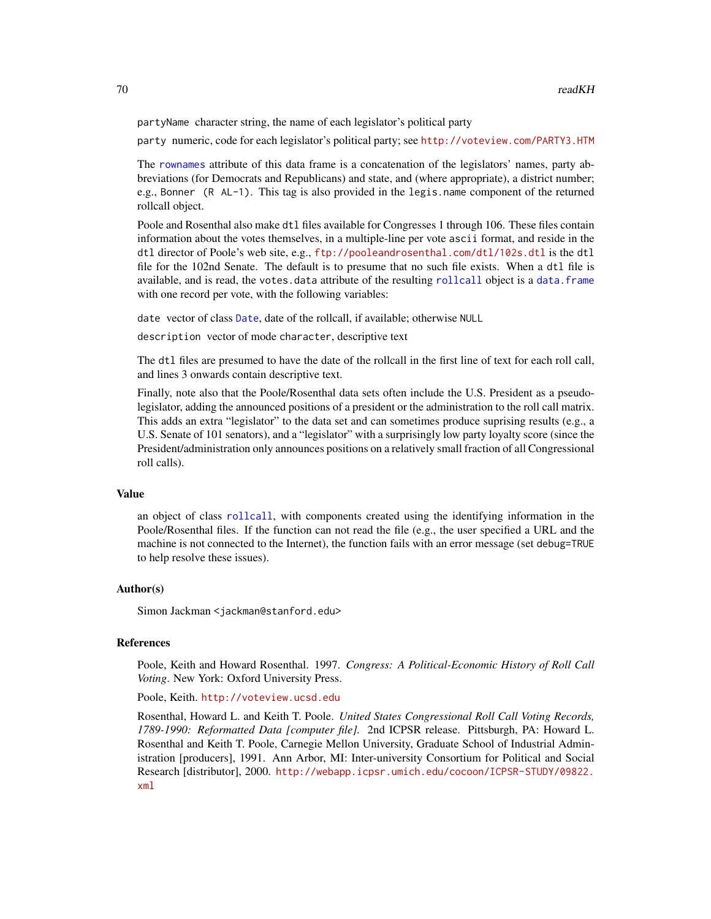partyName character string, the name of each legislator's political party

party numeric, code for each legislator's political party; see <http://voteview.com/PARTY3.HTM>

The [rownames](#page-0-0) attribute of this data frame is a concatenation of the legislators' names, party abbreviations (for Democrats and Republicans) and state, and (where appropriate), a district number; e.g., Bonner (R AL-1). This tag is also provided in the legis.name component of the returned rollcall object.

Poole and Rosenthal also make dtl files available for Congresses 1 through 106. These files contain information about the votes themselves, in a multiple-line per vote ascii format, and reside in the dtl director of Poole's web site, e.g., <ftp://pooleandrosenthal.com/dtl/102s.dtl> is the dtl file for the 102nd Senate. The default is to presume that no such file exists. When a dtl file is available, and is read, the votes.data attribute of the resulting [rollcall](#page-72-0) object is a [data.frame](#page-0-0) with one record per vote, with the following variables:

date vector of class [Date](#page-0-0), date of the rollcall, if available; otherwise NULL

description vector of mode character, descriptive text

The dtl files are presumed to have the date of the rollcall in the first line of text for each roll call, and lines 3 onwards contain descriptive text.

Finally, note also that the Poole/Rosenthal data sets often include the U.S. President as a pseudolegislator, adding the announced positions of a president or the administration to the roll call matrix. This adds an extra "legislator" to the data set and can sometimes produce suprising results (e.g., a U.S. Senate of 101 senators), and a "legislator" with a surprisingly low party loyalty score (since the President/administration only announces positions on a relatively small fraction of all Congressional roll calls).

### Value

an object of class [rollcall](#page-72-0), with components created using the identifying information in the Poole/Rosenthal files. If the function can not read the file (e.g., the user specified a URL and the machine is not connected to the Internet), the function fails with an error message (set debug=TRUE to help resolve these issues).

### Author(s)

Simon Jackman <jackman@stanford.edu>

### References

Poole, Keith and Howard Rosenthal. 1997. *Congress: A Political-Economic History of Roll Call Voting*. New York: Oxford University Press.

Poole, Keith. <http://voteview.ucsd.edu>

Rosenthal, Howard L. and Keith T. Poole. *United States Congressional Roll Call Voting Records, 1789-1990: Reformatted Data [computer file].* 2nd ICPSR release. Pittsburgh, PA: Howard L. Rosenthal and Keith T. Poole, Carnegie Mellon University, Graduate School of Industrial Administration [producers], 1991. Ann Arbor, MI: Inter-university Consortium for Political and Social Research [distributor], 2000. [http://webapp.icpsr.umich.edu/cocoon/ICPSR-STUDY/09822.](http://webapp.icpsr.umich.edu/cocoon/ICPSR-STUDY/09822.xml) [xml](http://webapp.icpsr.umich.edu/cocoon/ICPSR-STUDY/09822.xml)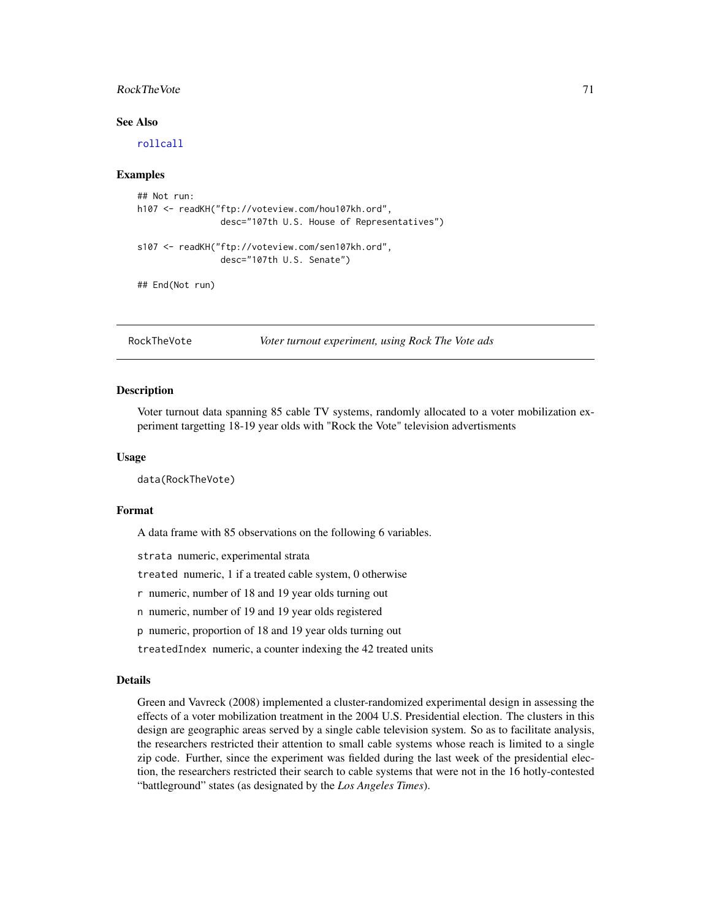## RockTheVote 71

## See Also

[rollcall](#page-72-0)

## Examples

```
## Not run:
h107 <- readKH("ftp://voteview.com/hou107kh.ord",
                desc="107th U.S. House of Representatives")
s107 <- readKH("ftp://voteview.com/sen107kh.ord",
                desc="107th U.S. Senate")
## End(Not run)
```
RockTheVote *Voter turnout experiment, using Rock The Vote ads*

### Description

Voter turnout data spanning 85 cable TV systems, randomly allocated to a voter mobilization experiment targetting 18-19 year olds with "Rock the Vote" television advertisments

## Usage

data(RockTheVote)

#### Format

A data frame with 85 observations on the following 6 variables.

strata numeric, experimental strata

treated numeric, 1 if a treated cable system, 0 otherwise

r numeric, number of 18 and 19 year olds turning out

n numeric, number of 19 and 19 year olds registered

p numeric, proportion of 18 and 19 year olds turning out

treatedIndex numeric, a counter indexing the 42 treated units

#### Details

Green and Vavreck (2008) implemented a cluster-randomized experimental design in assessing the effects of a voter mobilization treatment in the 2004 U.S. Presidential election. The clusters in this design are geographic areas served by a single cable television system. So as to facilitate analysis, the researchers restricted their attention to small cable systems whose reach is limited to a single zip code. Further, since the experiment was fielded during the last week of the presidential election, the researchers restricted their search to cable systems that were not in the 16 hotly-contested "battleground" states (as designated by the *Los Angeles Times*).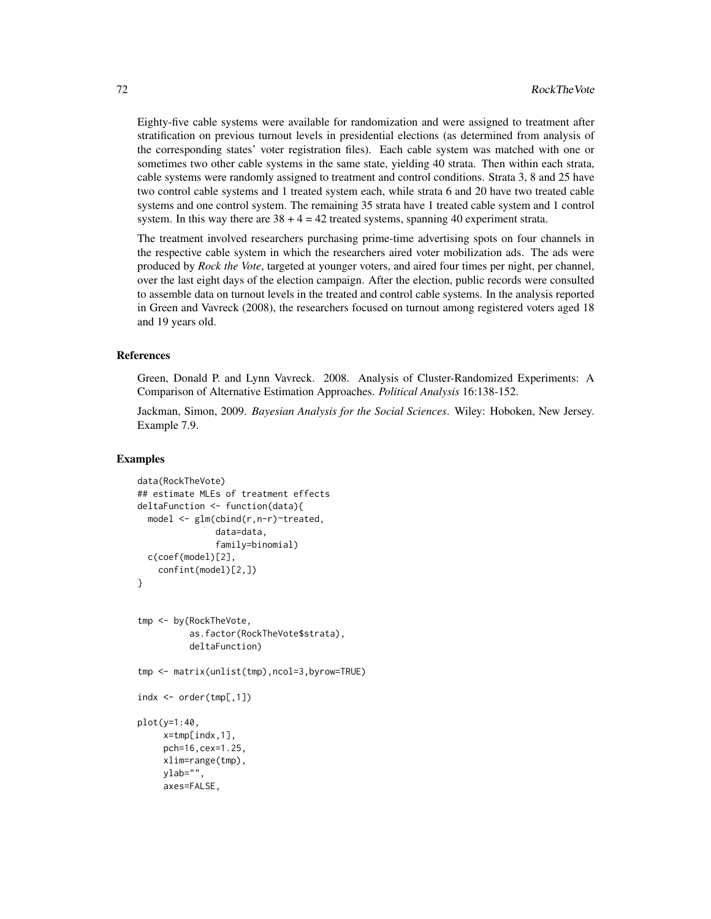Eighty-five cable systems were available for randomization and were assigned to treatment after stratification on previous turnout levels in presidential elections (as determined from analysis of the corresponding states' voter registration files). Each cable system was matched with one or sometimes two other cable systems in the same state, yielding 40 strata. Then within each strata, cable systems were randomly assigned to treatment and control conditions. Strata 3, 8 and 25 have two control cable systems and 1 treated system each, while strata 6 and 20 have two treated cable systems and one control system. The remaining 35 strata have 1 treated cable system and 1 control system. In this way there are  $38 + 4 = 42$  treated systems, spanning 40 experiment strata.

The treatment involved researchers purchasing prime-time advertising spots on four channels in the respective cable system in which the researchers aired voter mobilization ads. The ads were produced by *Rock the Vote*, targeted at younger voters, and aired four times per night, per channel, over the last eight days of the election campaign. After the election, public records were consulted to assemble data on turnout levels in the treated and control cable systems. In the analysis reported in Green and Vavreck (2008), the researchers focused on turnout among registered voters aged 18 and 19 years old.

### References

Green, Donald P. and Lynn Vavreck. 2008. Analysis of Cluster-Randomized Experiments: A Comparison of Alternative Estimation Approaches. *Political Analysis* 16:138-152.

Jackman, Simon, 2009. *Bayesian Analysis for the Social Sciences*. Wiley: Hoboken, New Jersey. Example 7.9.

### Examples

```
data(RockTheVote)
## estimate MLEs of treatment effects
deltaFunction <- function(data){
 model <- glm(cbind(r,n-r)~treated,
               data=data,
               family=binomial)
 c(coef(model)[2],
    confint(model)[2,])
}
tmp <- by(RockTheVote,
          as.factor(RockTheVote$strata),
          deltaFunction)
tmp <- matrix(unlist(tmp),ncol=3,byrow=TRUE)
indx < -</math> order(tmp[, 1])plot(y=1:40,
     x=tmp[indx,1],
     pch=16,cex=1.25,
     xlim=range(tmp),
     ylab="",
     axes=FALSE,
```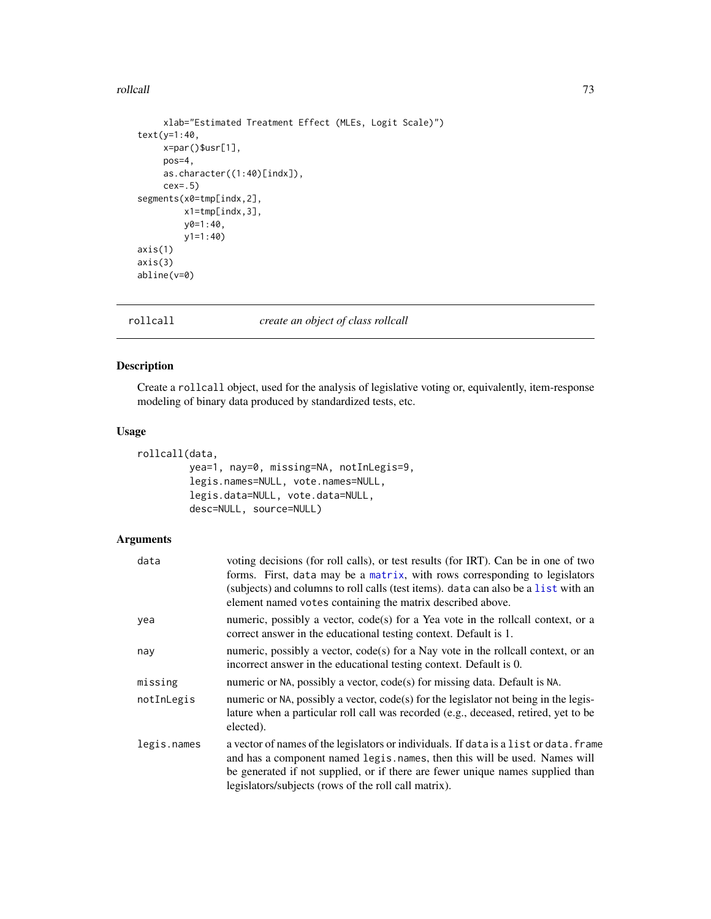#### <span id="page-72-1"></span>rollcall and the control of the control of the control of the control of the control of the control of the control of the control of the control of the control of the control of the control of the control of the control of

```
xlab="Estimated Treatment Effect (MLEs, Logit Scale)")
text(y=1:40,
    x=par()$usr[1],
    pos=4,
    as.character((1:40)[indx]),
    cex=.5)
segments(x0=tmp[indx,2],
        x1=tmp[indx,3],
        y0=1:40,
        y1=1:40)
axis(1)
axis(3)
abline(v=0)
```
<span id="page-72-0"></span>

#### rollcall *create an object of class rollcall*

#### Description

Create a rollcall object, used for the analysis of legislative voting or, equivalently, item-response modeling of binary data produced by standardized tests, etc.

#### Usage

```
rollcall(data,
        yea=1, nay=0, missing=NA, notInLegis=9,
         legis.names=NULL, vote.names=NULL,
         legis.data=NULL, vote.data=NULL,
         desc=NULL, source=NULL)
```
#### Arguments

| data        | voting decisions (for roll calls), or test results (for IRT). Can be in one of two<br>forms. First, data may be a matrix, with rows corresponding to legislators<br>(subjects) and columns to roll calls (test items). data can also be a list with an<br>element named votes containing the matrix described above. |
|-------------|----------------------------------------------------------------------------------------------------------------------------------------------------------------------------------------------------------------------------------------------------------------------------------------------------------------------|
| yea         | numeric, possibly a vector, code(s) for a Yea vote in the rollcall context, or a<br>correct answer in the educational testing context. Default is 1.                                                                                                                                                                 |
| nay         | numeric, possibly a vector, code(s) for a Nay vote in the rollcall context, or an<br>incorrect answer in the educational testing context. Default is 0.                                                                                                                                                              |
| missing     | numeric or NA, possibly a vector, code(s) for missing data. Default is NA.                                                                                                                                                                                                                                           |
| notInLegis  | numeric or NA, possibly a vector, $code(s)$ for the legislator not being in the legis-<br>lature when a particular roll call was recorded (e.g., deceased, retired, yet to be<br>elected).                                                                                                                           |
| legis.names | a vector of names of the legislators or individuals. If data is a list or data. frame<br>and has a component named legis. names, then this will be used. Names will<br>be generated if not supplied, or if there are fewer unique names supplied than<br>legislators/subjects (rows of the roll call matrix).        |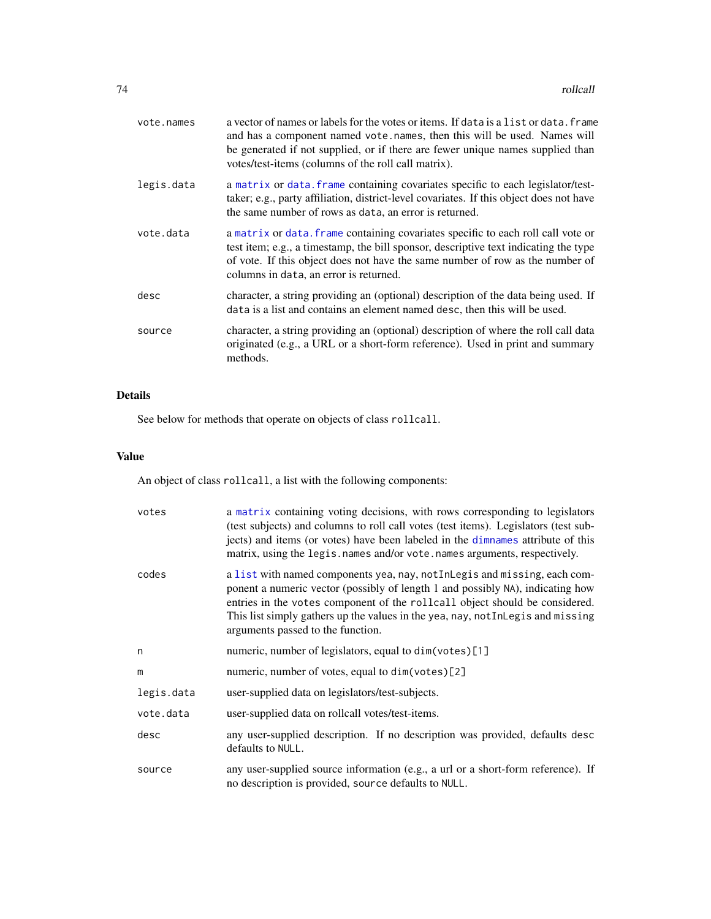<span id="page-73-0"></span>

| vote.names | a vector of names or labels for the votes or items. If data is a list or data. frame<br>and has a component named vote.names, then this will be used. Names will<br>be generated if not supplied, or if there are fewer unique names supplied than<br>votes/test-items (columns of the roll call matrix). |
|------------|-----------------------------------------------------------------------------------------------------------------------------------------------------------------------------------------------------------------------------------------------------------------------------------------------------------|
| legis.data | a matrix or data. frame containing covariates specific to each legislator/test-<br>taker; e.g., party affiliation, district-level covariates. If this object does not have<br>the same number of rows as data, an error is returned.                                                                      |
| vote.data  | a matrix or data. Frame containing covariates specific to each roll call vote or<br>test item; e.g., a timestamp, the bill sponsor, descriptive text indicating the type<br>of vote. If this object does not have the same number of row as the number of<br>columns in data, an error is returned.       |
| desc       | character, a string providing an (optional) description of the data being used. If<br>data is a list and contains an element named desc, then this will be used.                                                                                                                                          |
| source     | character, a string providing an (optional) description of where the roll call data<br>originated (e.g., a URL or a short-form reference). Used in print and summary<br>methods.                                                                                                                          |

### Details

See below for methods that operate on objects of class rollcall.

#### Value

An object of class rollcall, a list with the following components:

| votes      | a matrix containing voting decisions, with rows corresponding to legislators<br>(test subjects) and columns to roll call votes (test items). Legislators (test sub-<br>jects) and items (or votes) have been labeled in the dimnames attribute of this<br>matrix, using the legis.names and/or vote.names arguments, respectively.                                 |
|------------|--------------------------------------------------------------------------------------------------------------------------------------------------------------------------------------------------------------------------------------------------------------------------------------------------------------------------------------------------------------------|
| codes      | a list with named components yea, nay, not InLegis and missing, each com-<br>ponent a numeric vector (possibly of length 1 and possibly NA), indicating how<br>entries in the votes component of the rollcall object should be considered.<br>This list simply gathers up the values in the yea, nay, not InLegis and missing<br>arguments passed to the function. |
| n          | numeric, number of legislators, equal to dim(votes)[1]                                                                                                                                                                                                                                                                                                             |
| m          | numeric, number of votes, equal to dim(votes)[2]                                                                                                                                                                                                                                                                                                                   |
| legis.data | user-supplied data on legislators/test-subjects.                                                                                                                                                                                                                                                                                                                   |
| vote.data  | user-supplied data on rollcall votes/test-items.                                                                                                                                                                                                                                                                                                                   |
| desc       | any user-supplied description. If no description was provided, defaults desc<br>defaults to NULL.                                                                                                                                                                                                                                                                  |
| source     | any user-supplied source information (e.g., a url or a short-form reference). If<br>no description is provided, source defaults to NULL.                                                                                                                                                                                                                           |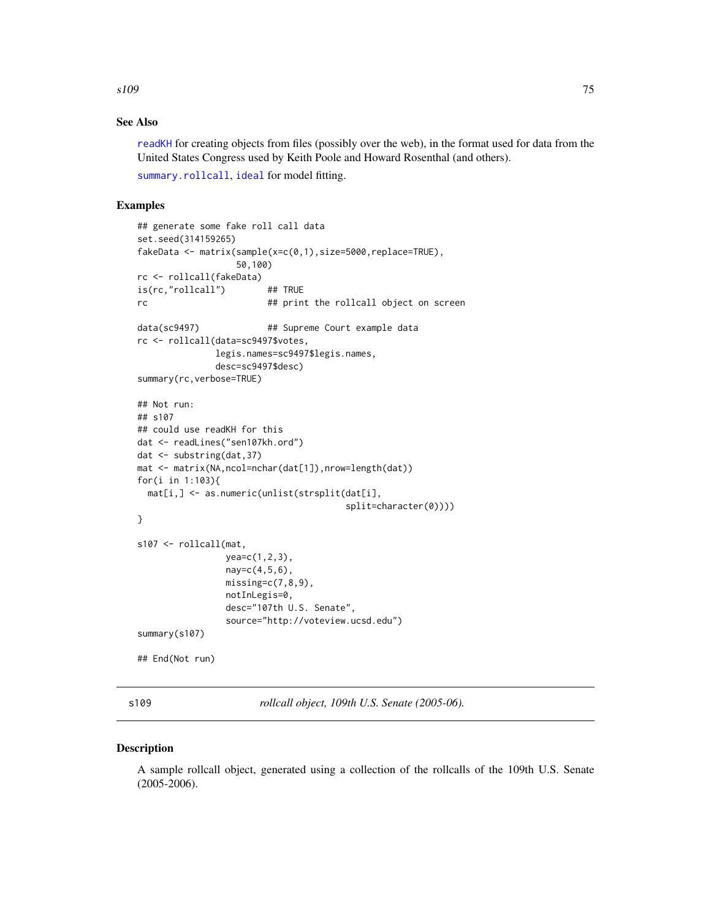<span id="page-74-0"></span> $s109$  75

#### See Also

[readKH](#page-67-0) for creating objects from files (possibly over the web), in the format used for data from the United States Congress used by Keith Poole and Howard Rosenthal (and others).

[summary.rollcall](#page-83-0), [ideal](#page-32-0) for model fitting.

#### Examples

```
## generate some fake roll call data
set.seed(314159265)
fakeData <- matrix(sample(x=c(0,1),size=5000,replace=TRUE),
                  50,100)
rc <- rollcall(fakeData)
is(rc,"rollcall") ## TRUE
rc At the rollcall object on screen
data(sc9497) \# Supreme Court example data
rc <- rollcall(data=sc9497$votes,
              legis.names=sc9497$legis.names,
              desc=sc9497$desc)
summary(rc,verbose=TRUE)
## Not run:
## s107
## could use readKH for this
dat <- readLines("sen107kh.ord")
dat <- substring(dat,37)
mat <- matrix(NA,ncol=nchar(dat[1]),nrow=length(dat))
for(i in 1:103){
 mat[i,] <- as.numeric(unlist(strsplit(dat[i],
                                      split=character(0))))
}
s107 <- rollcall(mat,
                yea=c(1,2,3),
                nay=c(4,5,6),
                missing=c(7,8,9),
                notInLegis=0,
                desc="107th U.S. Senate",
                source="http://voteview.ucsd.edu")
summary(s107)
## End(Not run)
```
s109 *rollcall object, 109th U.S. Senate (2005-06).*

#### Description

A sample rollcall object, generated using a collection of the rollcalls of the 109th U.S. Senate (2005-2006).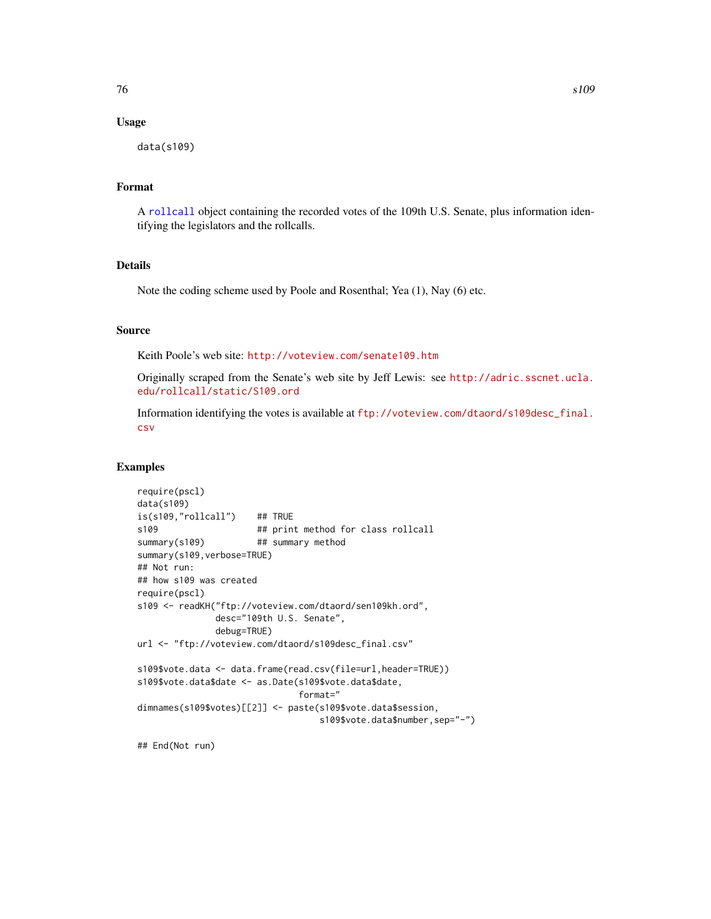#### <span id="page-75-0"></span>Usage

data(s109)

#### Format

A [rollcall](#page-72-0) object containing the recorded votes of the 109th U.S. Senate, plus information identifying the legislators and the rollcalls.

#### Details

Note the coding scheme used by Poole and Rosenthal; Yea (1), Nay (6) etc.

#### Source

Keith Poole's web site: <http://voteview.com/senate109.htm>

Originally scraped from the Senate's web site by Jeff Lewis: see [http://adric.sscnet.ucla.](http://adric.sscnet.ucla.edu/rollcall/static/S109.ord) [edu/rollcall/static/S109.ord](http://adric.sscnet.ucla.edu/rollcall/static/S109.ord)

Information identifying the votes is available at [ftp://voteview.com/dtaord/s109desc\\_final.](ftp://voteview.com/dtaord/s109desc_final.csv) [csv](ftp://voteview.com/dtaord/s109desc_final.csv)

#### Examples

```
require(pscl)
data(s109)
is(s109,"rollcall") ## TRUE
s109 ## print method for class rollcall
summary(s109) ## summary method
summary(s109,verbose=TRUE)
## Not run:
## how s109 was created
require(pscl)
s109 <- readKH("ftp://voteview.com/dtaord/sen109kh.ord",
              desc="109th U.S. Senate",
              debug=TRUE)
url <- "ftp://voteview.com/dtaord/s109desc_final.csv"
s109$vote.data <- data.frame(read.csv(file=url,header=TRUE))
s109$vote.data$date <- as.Date(s109$vote.data$date,
                              format="
dimnames(s109$votes)[[2]] <- paste(s109$vote.data$session,
                                 s109$vote.data$number,sep="-")
```
## End(Not run)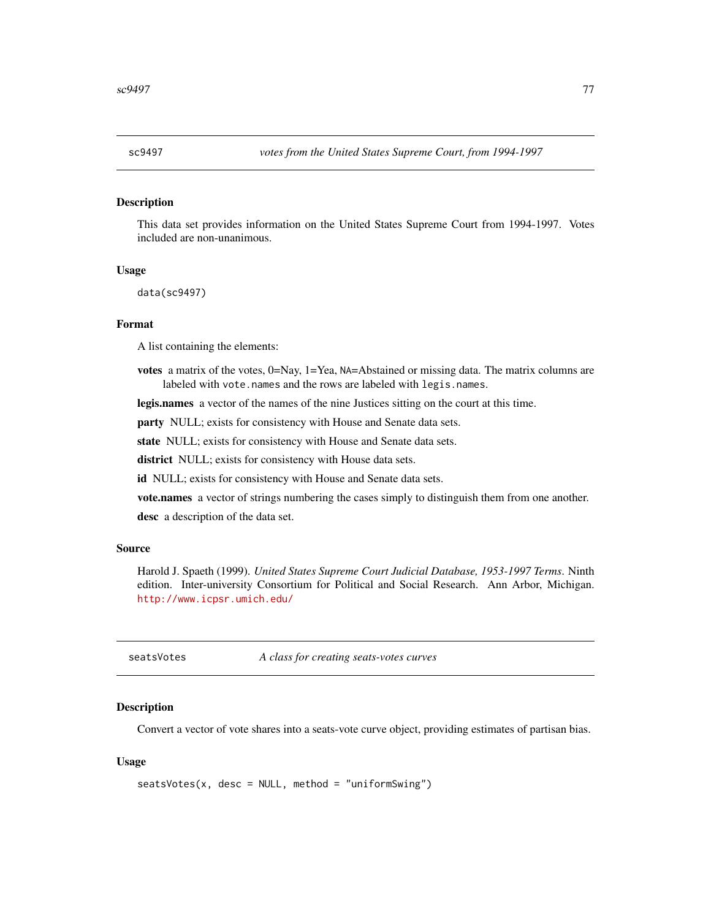<span id="page-76-0"></span>

#### Description

This data set provides information on the United States Supreme Court from 1994-1997. Votes included are non-unanimous.

#### Usage

data(sc9497)

#### Format

A list containing the elements:

votes a matrix of the votes, 0=Nay, 1=Yea, NA=Abstained or missing data. The matrix columns are labeled with vote.names and the rows are labeled with legis.names.

legis.names a vector of the names of the nine Justices sitting on the court at this time.

party NULL; exists for consistency with House and Senate data sets.

state NULL; exists for consistency with House and Senate data sets.

district NULL; exists for consistency with House data sets.

id NULL; exists for consistency with House and Senate data sets.

vote.names a vector of strings numbering the cases simply to distinguish them from one another.

desc a description of the data set.

#### Source

Harold J. Spaeth (1999). *United States Supreme Court Judicial Database, 1953-1997 Terms*. Ninth edition. Inter-university Consortium for Political and Social Research. Ann Arbor, Michigan. <http://www.icpsr.umich.edu/>

seatsVotes *A class for creating seats-votes curves*

#### Description

Convert a vector of vote shares into a seats-vote curve object, providing estimates of partisan bias.

#### Usage

```
seatsVotes(x, desc = NULL, method = "uniformSwing")
```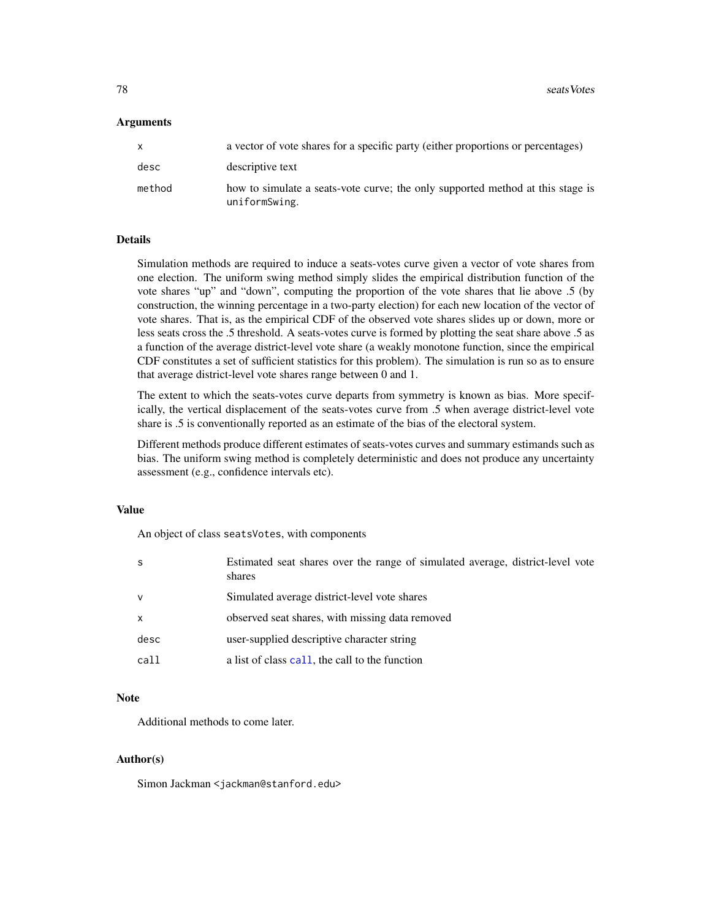<span id="page-77-0"></span>**78** seatsVotes

#### **Arguments**

|        | a vector of vote shares for a specific party (either proportions or percentages)                |
|--------|-------------------------------------------------------------------------------------------------|
| desc   | descriptive text                                                                                |
| method | how to simulate a seats-vote curve; the only supported method at this stage is<br>uniformSwing. |

#### Details

Simulation methods are required to induce a seats-votes curve given a vector of vote shares from one election. The uniform swing method simply slides the empirical distribution function of the vote shares "up" and "down", computing the proportion of the vote shares that lie above .5 (by construction, the winning percentage in a two-party election) for each new location of the vector of vote shares. That is, as the empirical CDF of the observed vote shares slides up or down, more or less seats cross the .5 threshold. A seats-votes curve is formed by plotting the seat share above .5 as a function of the average district-level vote share (a weakly monotone function, since the empirical CDF constitutes a set of sufficient statistics for this problem). The simulation is run so as to ensure that average district-level vote shares range between 0 and 1.

The extent to which the seats-votes curve departs from symmetry is known as bias. More specifically, the vertical displacement of the seats-votes curve from .5 when average district-level vote share is .5 is conventionally reported as an estimate of the bias of the electoral system.

Different methods produce different estimates of seats-votes curves and summary estimands such as bias. The uniform swing method is completely deterministic and does not produce any uncertainty assessment (e.g., confidence intervals etc).

#### Value

An object of class seatsVotes, with components

| -S           | Estimated seat shares over the range of simulated average, district-level vote<br>shares |
|--------------|------------------------------------------------------------------------------------------|
| $\mathsf{v}$ | Simulated average district-level vote shares                                             |
| $\mathsf{x}$ | observed seat shares, with missing data removed                                          |
| desc         | user-supplied descriptive character string                                               |
| call         | a list of class call, the call to the function                                           |
|              |                                                                                          |

#### Note

Additional methods to come later.

#### Author(s)

Simon Jackman <jackman@stanford.edu>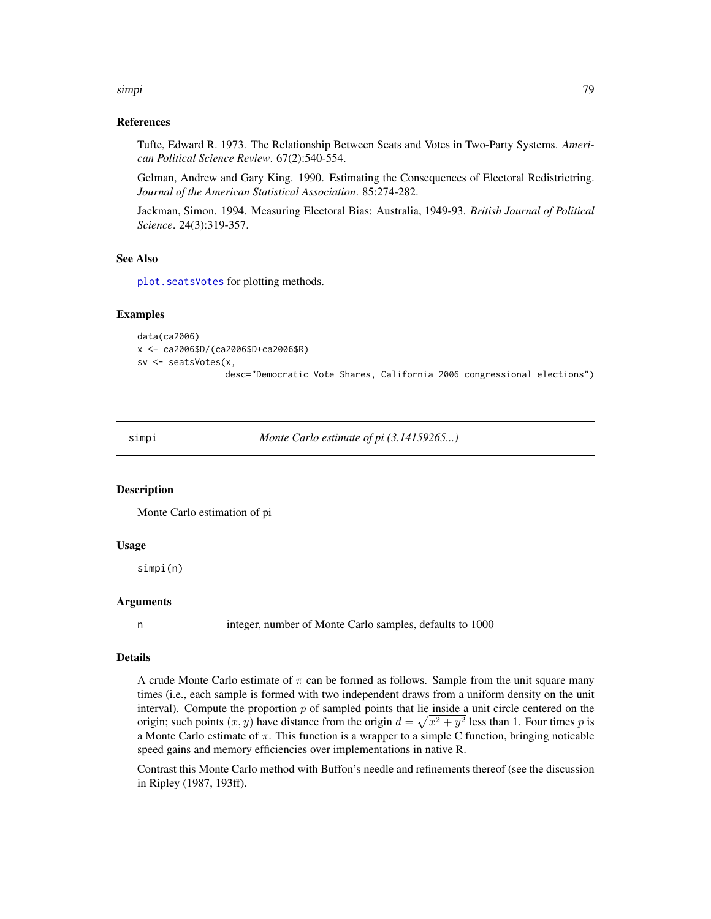<span id="page-78-0"></span>simpi 1999 - 1999 - 1999 - 1999 - 1999 - 1999 - 1999 - 1999 - 1999 - 1999 - 1999 - 1999 - 1999 - 199

#### References

Tufte, Edward R. 1973. The Relationship Between Seats and Votes in Two-Party Systems. *American Political Science Review*. 67(2):540-554.

Gelman, Andrew and Gary King. 1990. Estimating the Consequences of Electoral Redistrictring. *Journal of the American Statistical Association*. 85:274-282.

Jackman, Simon. 1994. Measuring Electoral Bias: Australia, 1949-93. *British Journal of Political Science*. 24(3):319-357.

#### See Also

[plot.seatsVotes](#page-49-0) for plotting methods.

#### Examples

```
data(ca2006)
x <- ca2006$D/(ca2006$D+ca2006$R)
sv <- seatsVotes(x,
                 desc="Democratic Vote Shares, California 2006 congressional elections")
```
simpi *Monte Carlo estimate of pi (3.14159265...)*

#### Description

Monte Carlo estimation of pi

#### Usage

simpi(n)

#### **Arguments**

n integer, number of Monte Carlo samples, defaults to 1000

#### Details

A crude Monte Carlo estimate of  $\pi$  can be formed as follows. Sample from the unit square many times (i.e., each sample is formed with two independent draws from a uniform density on the unit interval). Compute the proportion  $p$  of sampled points that lie inside a unit circle centered on the origin; such points  $(x, y)$  have distance from the origin  $d = \sqrt{x^2 + y^2}$  less than 1. Four times p is a Monte Carlo estimate of  $\pi$ . This function is a wrapper to a simple C function, bringing noticable speed gains and memory efficiencies over implementations in native R.

Contrast this Monte Carlo method with Buffon's needle and refinements thereof (see the discussion in Ripley (1987, 193ff).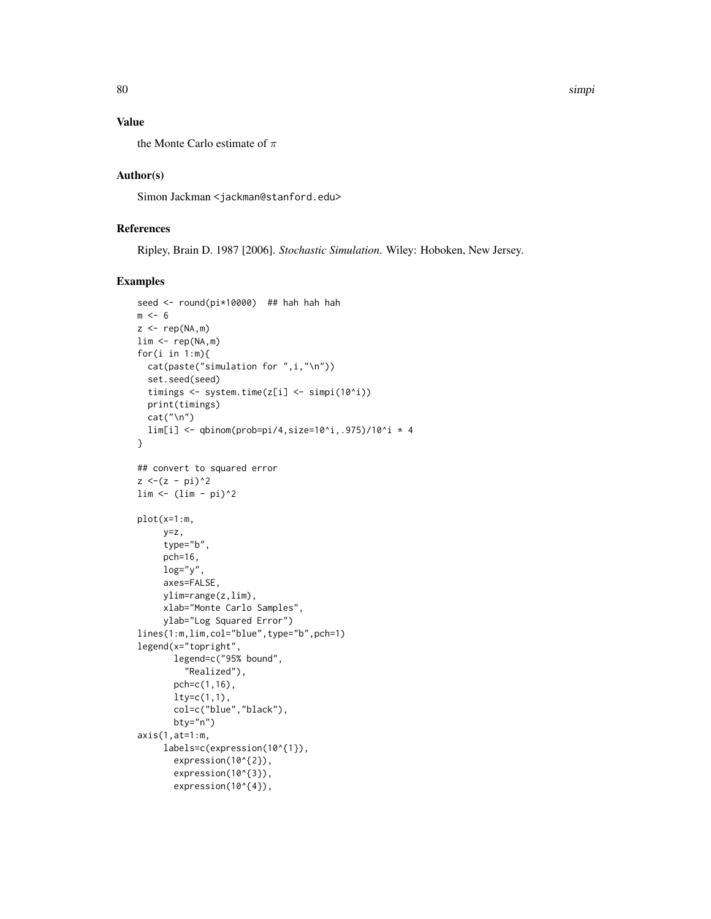#### Value

the Monte Carlo estimate of  $\pi$ 

#### Author(s)

Simon Jackman <jackman@stanford.edu>

#### References

Ripley, Brain D. 1987 [2006]. *Stochastic Simulation*. Wiley: Hoboken, New Jersey.

### Examples

```
seed <- round(pi*10000) ## hah hah hah
m < - 6z \leq -\text{rep}(NA, m)lim <- rep(NA,m)
for(i in 1:m){
  cat(paste("simulation for ",i,"\n"))
  set.seed(seed)
  timings <- system.time(z[i] <- simpi(10^i))
  print(timings)
  cat("\n'\n')lim[i] <- qbinom(prob=pi/4,size=10^i,.975)/10^i * 4
}
## convert to squared error
z < -(z - pi)^2\lim <- (\lim - \pi)^2
plot(x=1:m,
     y=z,
     type="b",
     pch=16,
     log="y"axes=FALSE,
     ylim=range(z,lim),
     xlab="Monte Carlo Samples",
     ylab="Log Squared Error")
lines(1:m,lim,col="blue",type="b",pch=1)
legend(x="topright",
       legend=c("95% bound",
         "Realized"),
       pch=c(1,16),
       lty=c(1,1),col=c("blue","black"),
       bty="n")
axis(1, at=1:m,labels=c(expression(10^{1}),
       expression(10^{2}),
       expression(10^{3}),
       expression(10^{4}),
```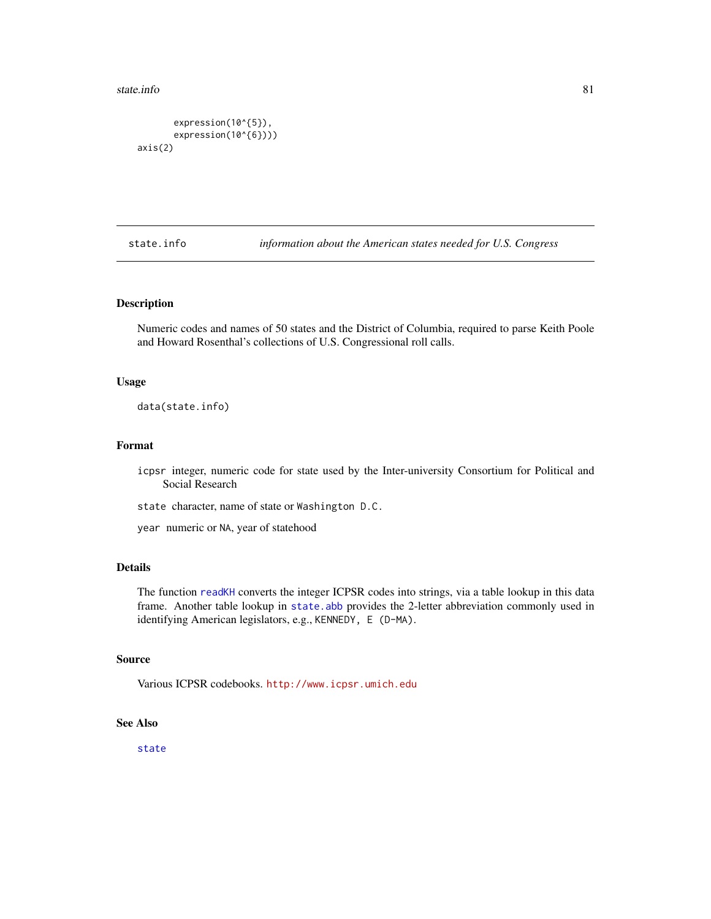```
expression(10^{5}),
       expression(10^{6})))
axis(2)
```
state.info *information about the American states needed for U.S. Congress*

#### Description

Numeric codes and names of 50 states and the District of Columbia, required to parse Keith Poole and Howard Rosenthal's collections of U.S. Congressional roll calls.

#### Usage

data(state.info)

#### Format

icpsr integer, numeric code for state used by the Inter-university Consortium for Political and Social Research

state character, name of state or Washington D.C.

year numeric or NA, year of statehood

#### Details

The function [readKH](#page-67-0) converts the integer ICPSR codes into strings, via a table lookup in this data frame. Another table lookup in [state.abb](#page-0-0) provides the 2-letter abbreviation commonly used in identifying American legislators, e.g., KENNEDY, E (D-MA).

#### Source

Various ICPSR codebooks. <http://www.icpsr.umich.edu>

#### See Also

[state](#page-0-0)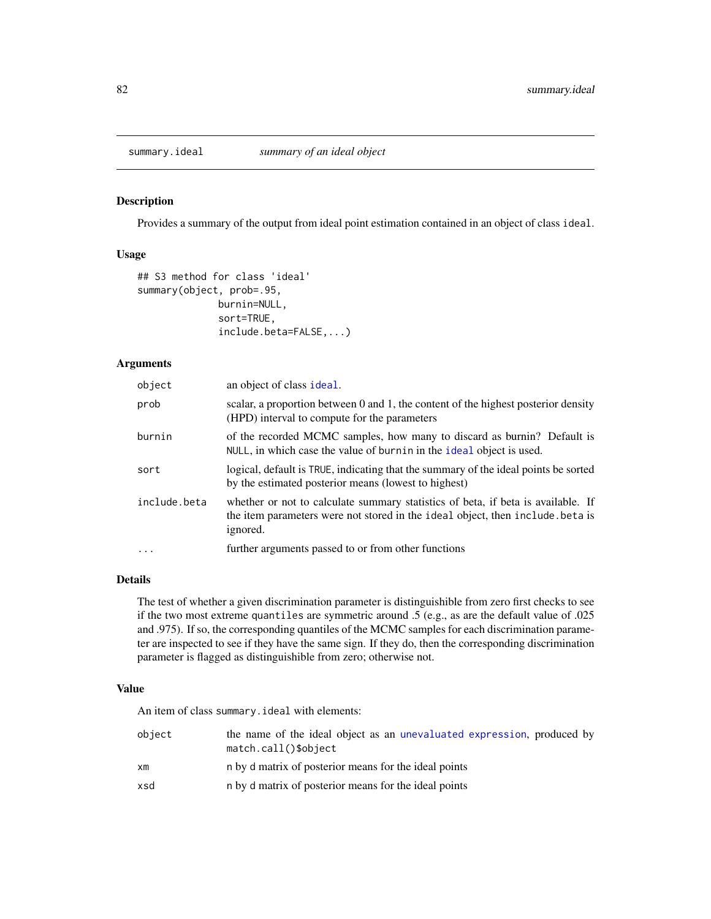<span id="page-81-0"></span>

#### Description

Provides a summary of the output from ideal point estimation contained in an object of class ideal.

#### Usage

```
## S3 method for class 'ideal'
summary(object, prob=.95,
              burnin=NULL,
              sort=TRUE,
              include.beta=FALSE,...)
```
#### Arguments

| object       | an object of class ideal.                                                                                                                                                     |  |
|--------------|-------------------------------------------------------------------------------------------------------------------------------------------------------------------------------|--|
| prob         | scalar, a proportion between 0 and 1, the content of the highest posterior density<br>(HPD) interval to compute for the parameters                                            |  |
| burnin       | of the recorded MCMC samples, how many to discard as burnin? Default is<br>NULL, in which case the value of burnin in the ideal object is used.                               |  |
| sort         | logical, default is TRUE, indicating that the summary of the ideal points be sorted<br>by the estimated posterior means (lowest to highest)                                   |  |
| include.beta | whether or not to calculate summary statistics of beta, if beta is available. If<br>the item parameters were not stored in the ideal object, then include beta is<br>ignored. |  |
| $\cdots$     | further arguments passed to or from other functions                                                                                                                           |  |

#### Details

The test of whether a given discrimination parameter is distinguishible from zero first checks to see if the two most extreme quantiles are symmetric around .5 (e.g., as are the default value of .025 and .975). If so, the corresponding quantiles of the MCMC samples for each discrimination parameter are inspected to see if they have the same sign. If they do, then the corresponding discrimination parameter is flagged as distinguishible from zero; otherwise not.

#### Value

An item of class summary.ideal with elements:

| object | the name of the ideal object as an unevaluated expression, produced by<br>$match.call()$ \$object |
|--------|---------------------------------------------------------------------------------------------------|
| xm     | n by d matrix of posterior means for the ideal points                                             |
| xsd    | n by d matrix of posterior means for the ideal points                                             |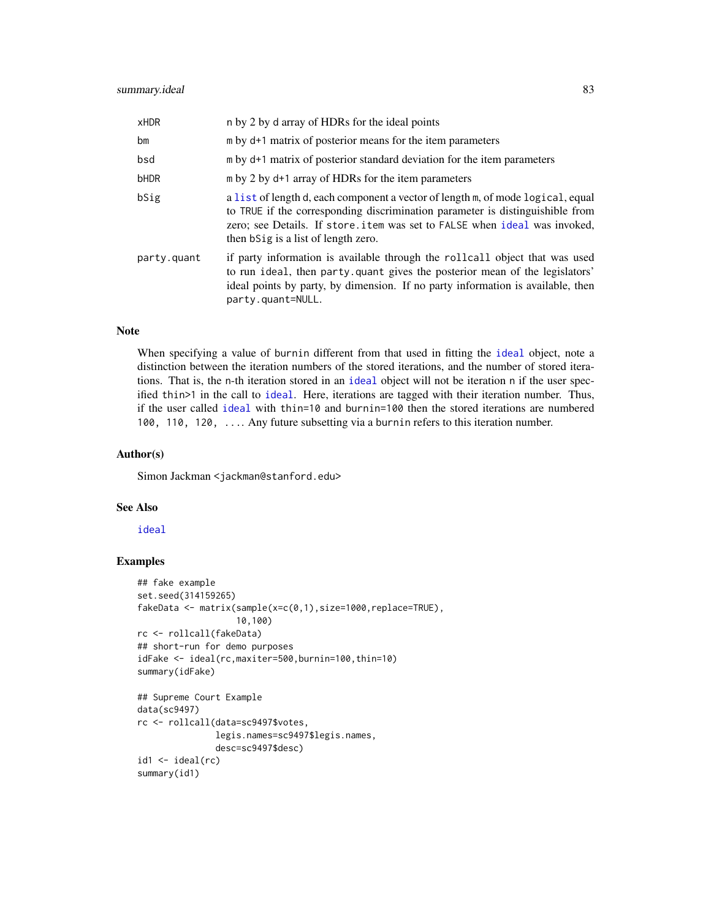<span id="page-82-0"></span>

| <b>xHDR</b> | n by 2 by d array of HDRs for the ideal points                                                                                                                                                                                                                                        |
|-------------|---------------------------------------------------------------------------------------------------------------------------------------------------------------------------------------------------------------------------------------------------------------------------------------|
| bm          | $m$ by $d+1$ matrix of posterior means for the item parameters                                                                                                                                                                                                                        |
| bsd         | m by d+1 matrix of posterior standard deviation for the item parameters                                                                                                                                                                                                               |
| bHDR        | m by 2 by d+1 array of HDRs for the item parameters                                                                                                                                                                                                                                   |
| bSig        | a list of length d, each component a vector of length m, of mode logical, equal<br>to TRUE if the corresponding discrimination parameter is distinguishible from<br>zero; see Details. If store.item was set to FALSE when ideal was invoked,<br>then b Sig is a list of length zero. |
| party.quant | if party information is available through the rollcall object that was used<br>to run ideal, then party quant gives the posterior mean of the legislators'<br>ideal points by party, by dimension. If no party information is available, then<br>party.quant=NULL.                    |

#### Note

When specifying a value of burnin different from that used in fitting the [ideal](#page-32-0) object, note a distinction between the iteration numbers of the stored iterations, and the number of stored iterations. That is, the n-th iteration stored in an [ideal](#page-32-0) object will not be iteration n if the user specified thin>1 in the call to [ideal](#page-32-0). Here, iterations are tagged with their iteration number. Thus, if the user called [ideal](#page-32-0) with thin=10 and burnin=100 then the stored iterations are numbered 100, 110, 120, .... Any future subsetting via a burnin refers to this iteration number.

#### Author(s)

Simon Jackman <jackman@stanford.edu>

#### See Also

[ideal](#page-32-0)

#### Examples

```
## fake example
set.seed(314159265)
fakeData <- matrix(sample(x=c(0,1),size=1000,replace=TRUE),
                   10,100)
rc <- rollcall(fakeData)
## short-run for demo purposes
idFake <- ideal(rc,maxiter=500,burnin=100,thin=10)
summary(idFake)
## Supreme Court Example
data(sc9497)
```

```
rc <- rollcall(data=sc9497$votes,
              legis.names=sc9497$legis.names,
               desc=sc9497$desc)
id1 <- ideal(rc)
summary(id1)
```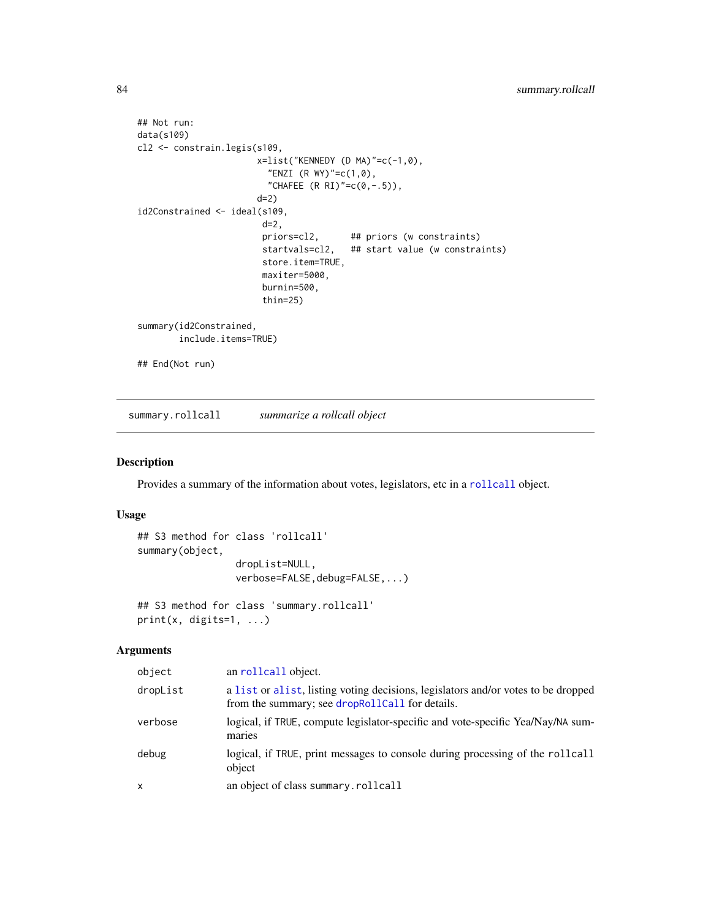```
## Not run:
data(s109)
cl2 <- constrain.legis(s109,
                       x=list("KENNEDY (D MA)"=c(-1,0),
                         "ENZI (R WY)"=c(1,0),
                         "CHAFEE (R \ R1)' = c(0, -.5),
                       d=2)
id2Constrained <- ideal(s109,
                        d=2,
                        priors=cl2, ## priors (w constraints)
                        startvals=cl2, ## start value (w constraints)
                        store.item=TRUE,
                        maxiter=5000,
                        burnin=500,
                        thin=25)
summary(id2Constrained,
        include.items=TRUE)
## End(Not run)
```
<span id="page-83-0"></span>summary.rollcall *summarize a rollcall object*

#### Description

Provides a summary of the information about votes, legislators, etc in a [rollcall](#page-72-0) object.

#### Usage

```
## S3 method for class 'rollcall'
summary(object,
                  dropList=NULL,
                  verbose=FALSE, debug=FALSE, ...)
## S3 method for class 'summary.rollcall'
print(x, \text{ digits=1}, \ldots)
```
## Arguments

| object   | an rollcall object.                                                                                                                  |
|----------|--------------------------------------------------------------------------------------------------------------------------------------|
| dropList | a list or alist, listing voting decisions, legislators and/or votes to be dropped<br>from the summary; see dropRollCall for details. |
| verbose  | logical, if TRUE, compute legislator-specific and vote-specific Yea/Nay/NA sum-<br>maries                                            |
| debug    | logical, if TRUE, print messages to console during processing of the rollcall<br>object                                              |
| x        | an object of class summary.rollcall                                                                                                  |

<span id="page-83-1"></span>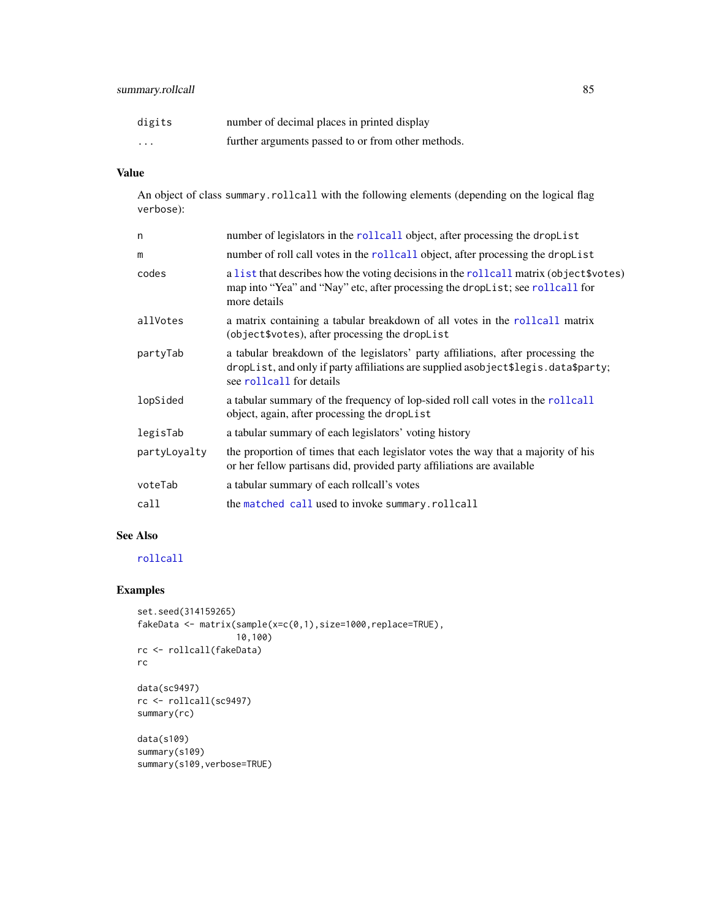#### <span id="page-84-0"></span>summary.rollcall 85

| digits                  | number of decimal places in printed display        |
|-------------------------|----------------------------------------------------|
| $\cdot$ $\cdot$ $\cdot$ | further arguments passed to or from other methods. |

### Value

An object of class summary.rollcall with the following elements (depending on the logical flag verbose):

| n            | number of legislators in the rollcall object, after processing the dropList                                                                                                                        |
|--------------|----------------------------------------------------------------------------------------------------------------------------------------------------------------------------------------------------|
| m            | number of roll call votes in the rollcall object, after processing the dropList                                                                                                                    |
| codes        | a list that describes how the voting decisions in the rollcall matrix (object \$votes)<br>map into "Yea" and "Nay" etc, after processing the dropList; see rollcall for<br>more details            |
| allVotes     | a matrix containing a tabular breakdown of all votes in the rollcall matrix<br>(object\$votes), after processing the dropList                                                                      |
| partyTab     | a tabular breakdown of the legislators' party affiliations, after processing the<br>dropList, and only if party affiliations are supplied asobject\$legis.data\$party;<br>see rollcall for details |
| lopSided     | a tabular summary of the frequency of lop-sided roll call votes in the rollcall<br>object, again, after processing the dropList                                                                    |
| legisTab     | a tabular summary of each legislators' voting history                                                                                                                                              |
| partyLoyalty | the proportion of times that each legislator votes the way that a majority of his<br>or her fellow partisans did, provided party affiliations are available                                        |
| voteTab      | a tabular summary of each rollcall's votes                                                                                                                                                         |
| call         | the matched call used to invoke summary.rollcall                                                                                                                                                   |
|              |                                                                                                                                                                                                    |

#### See Also

#### [rollcall](#page-72-0)

#### Examples

```
set.seed(314159265)
fakeData <- matrix(sample(x=c(0,1),size=1000,replace=TRUE),
                   10,100)
rc <- rollcall(fakeData)
rc
data(sc9497)
rc <- rollcall(sc9497)
summary(rc)
data(s109)
summary(s109)
summary(s109,verbose=TRUE)
```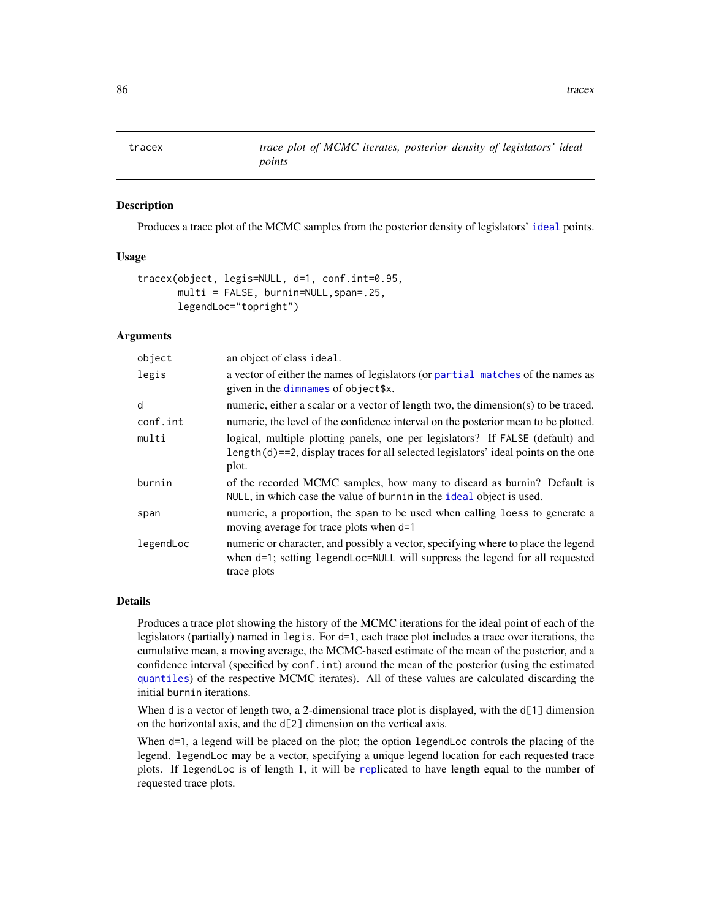<span id="page-85-0"></span>

#### Description

Produces a trace plot of the MCMC samples from the posterior density of legislators' [ideal](#page-32-0) points.

#### Usage

```
tracex(object, legis=NULL, d=1, conf.int=0.95,
      multi = FALSE, burnin=NULL,span=.25,
      legendLoc="topright")
```
#### Arguments

| object    | an object of class ideal.                                                                                                                                                         |
|-----------|-----------------------------------------------------------------------------------------------------------------------------------------------------------------------------------|
| legis     | a vector of either the names of legislators (or partial matches of the names as<br>given in the dimnames of object\$x.                                                            |
| d         | numeric, either a scalar or a vector of length two, the dimension(s) to be traced.                                                                                                |
| conf.int  | numeric, the level of the confidence interval on the posterior mean to be plotted.                                                                                                |
| multi     | logical, multiple plotting panels, one per legislators? If FALSE (default) and<br>$length(d) = 2$ , display traces for all selected legislators' ideal points on the one<br>plot. |
| burnin    | of the recorded MCMC samples, how many to discard as burnin? Default is<br>NULL, in which case the value of burnin in the ideal object is used.                                   |
| span      | numeric, a proportion, the span to be used when calling loess to generate a<br>moving average for trace plots when d=1                                                            |
| legendLoc | numeric or character, and possibly a vector, specifying where to place the legend<br>when d=1; setting legendLoc=NULL will suppress the legend for all requested<br>trace plots   |

#### Details

Produces a trace plot showing the history of the MCMC iterations for the ideal point of each of the legislators (partially) named in legis. For d=1, each trace plot includes a trace over iterations, the cumulative mean, a moving average, the MCMC-based estimate of the mean of the posterior, and a confidence interval (specified by conf.int) around the mean of the posterior (using the estimated [quantiles](#page-0-0)) of the respective MCMC iterates). All of these values are calculated discarding the initial burnin iterations.

When d is a vector of length two, a 2-dimensional trace plot is displayed, with the d[1] dimension on the horizontal axis, and the d[2] dimension on the vertical axis.

When d=1, a legend will be placed on the plot; the option legendLoc controls the placing of the legend. legendLoc may be a vector, specifying a unique legend location for each requested trace plots. If legendLoc is of length 1, it will be [rep](#page-0-0)licated to have length equal to the number of requested trace plots.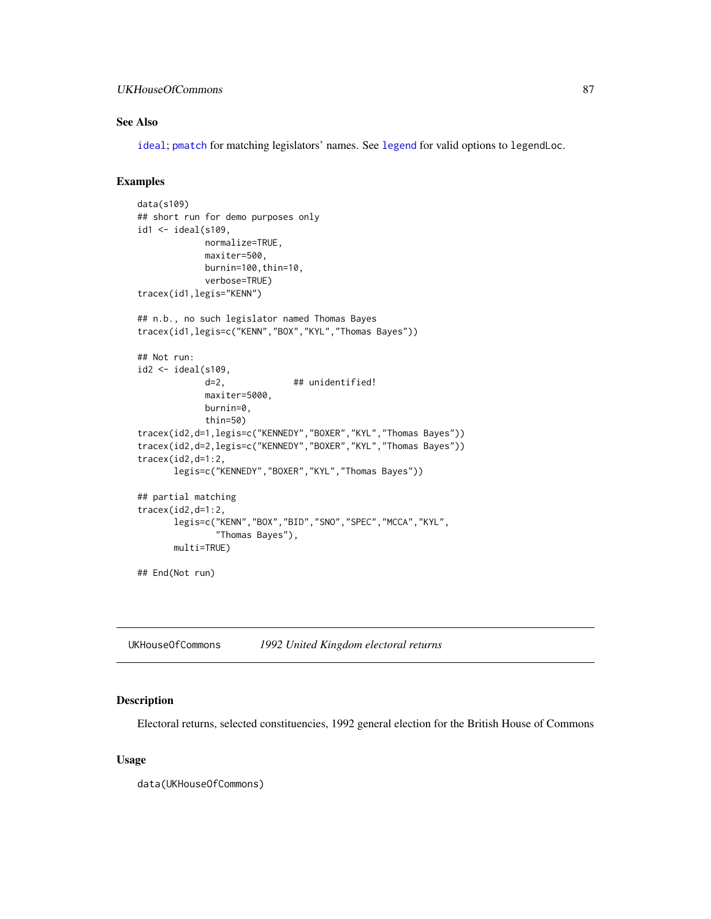#### <span id="page-86-0"></span>UKHouseOfCommons 87

#### See Also

[ideal](#page-32-0); [pmatch](#page-0-0) for matching legislators' names. See [legend](#page-0-0) for valid options to legendLoc.

#### Examples

```
data(s109)
## short run for demo purposes only
id1 <- ideal(s109,
            normalize=TRUE,
            maxiter=500,
            burnin=100,thin=10,
            verbose=TRUE)
tracex(id1,legis="KENN")
## n.b., no such legislator named Thomas Bayes
tracex(id1,legis=c("KENN","BOX","KYL","Thomas Bayes"))
## Not run:
id2 <- ideal(s109,
            d=2, ## unidentified!
            maxiter=5000,
            burnin=0,
            thin=50)
tracex(id2,d=1,legis=c("KENNEDY","BOXER","KYL","Thomas Bayes"))
tracex(id2,d=2,legis=c("KENNEDY","BOXER","KYL","Thomas Bayes"))
tracex(id2,d=1:2,
      legis=c("KENNEDY","BOXER","KYL","Thomas Bayes"))
## partial matching
tracex(id2,d=1:2,
      legis=c("KENN","BOX","BID","SNO","SPEC","MCCA","KYL",
               "Thomas Bayes"),
      multi=TRUE)
## End(Not run)
```
UKHouseOfCommons *1992 United Kingdom electoral returns*

#### Description

Electoral returns, selected constituencies, 1992 general election for the British House of Commons

#### Usage

data(UKHouseOfCommons)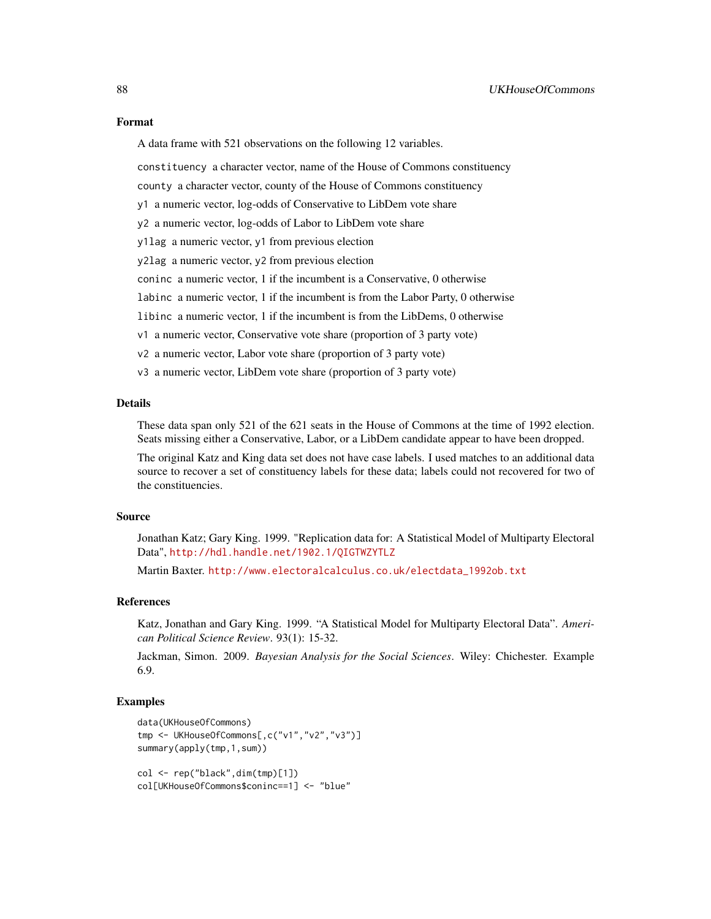A data frame with 521 observations on the following 12 variables.

constituency a character vector, name of the House of Commons constituency

county a character vector, county of the House of Commons constituency

y1 a numeric vector, log-odds of Conservative to LibDem vote share

y2 a numeric vector, log-odds of Labor to LibDem vote share

y1lag a numeric vector, y1 from previous election

y2lag a numeric vector, y2 from previous election

coninc a numeric vector, 1 if the incumbent is a Conservative, 0 otherwise

labinc a numeric vector, 1 if the incumbent is from the Labor Party, 0 otherwise

libinc a numeric vector, 1 if the incumbent is from the LibDems, 0 otherwise

v1 a numeric vector, Conservative vote share (proportion of 3 party vote)

v2 a numeric vector, Labor vote share (proportion of 3 party vote)

v3 a numeric vector, LibDem vote share (proportion of 3 party vote)

#### Details

These data span only 521 of the 621 seats in the House of Commons at the time of 1992 election. Seats missing either a Conservative, Labor, or a LibDem candidate appear to have been dropped.

The original Katz and King data set does not have case labels. I used matches to an additional data source to recover a set of constituency labels for these data; labels could not recovered for two of the constituencies.

#### Source

Jonathan Katz; Gary King. 1999. "Replication data for: A Statistical Model of Multiparty Electoral Data", <http://hdl.handle.net/1902.1/QIGTWZYTLZ>

Martin Baxter. [http://www.electoralcalculus.co.uk/electdata\\_1992ob.txt](http://www.electoralcalculus.co.uk/electdata_1992ob.txt)

#### References

Katz, Jonathan and Gary King. 1999. "A Statistical Model for Multiparty Electoral Data". *American Political Science Review*. 93(1): 15-32.

Jackman, Simon. 2009. *Bayesian Analysis for the Social Sciences*. Wiley: Chichester. Example 6.9.

#### Examples

```
data(UKHouseOfCommons)
tmp <- UKHouseOfCommons[,c("v1","v2","v3")]
summary(apply(tmp,1,sum))
col <- rep("black",dim(tmp)[1])
```
col[UKHouseOfCommons\$coninc==1] <- "blue"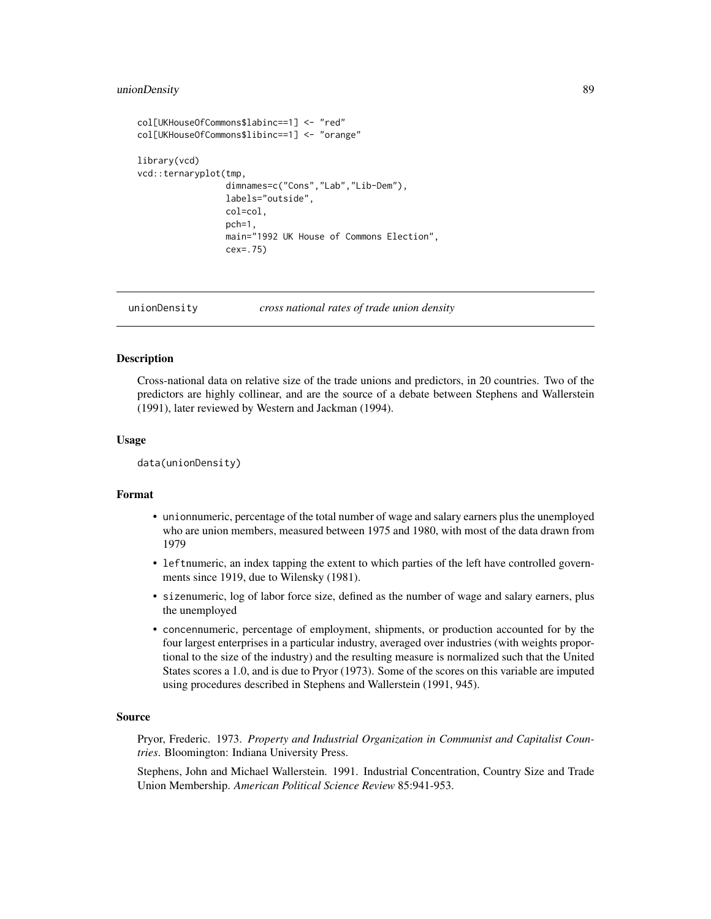#### <span id="page-88-0"></span>unionDensity 89

```
col[UKHouseOfCommons$labinc==1] <- "red"
col[UKHouseOfCommons$libinc==1] <- "orange"
library(vcd)
vcd::ternaryplot(tmp,
                 dimnames=c("Cons","Lab","Lib-Dem"),
                 labels="outside",
                 col=col,
                 pch=1,
                 main="1992 UK House of Commons Election",
                 cex=.75)
```
unionDensity *cross national rates of trade union density*

#### Description

Cross-national data on relative size of the trade unions and predictors, in 20 countries. Two of the predictors are highly collinear, and are the source of a debate between Stephens and Wallerstein (1991), later reviewed by Western and Jackman (1994).

#### Usage

data(unionDensity)

#### Format

- unionnumeric, percentage of the total number of wage and salary earners plus the unemployed who are union members, measured between 1975 and 1980, with most of the data drawn from 1979
- leftnumeric, an index tapping the extent to which parties of the left have controlled governments since 1919, due to Wilensky (1981).
- sizenumeric, log of labor force size, defined as the number of wage and salary earners, plus the unemployed
- concennumeric, percentage of employment, shipments, or production accounted for by the four largest enterprises in a particular industry, averaged over industries (with weights proportional to the size of the industry) and the resulting measure is normalized such that the United States scores a 1.0, and is due to Pryor (1973). Some of the scores on this variable are imputed using procedures described in Stephens and Wallerstein (1991, 945).

#### Source

Pryor, Frederic. 1973. *Property and Industrial Organization in Communist and Capitalist Countries*. Bloomington: Indiana University Press.

Stephens, John and Michael Wallerstein. 1991. Industrial Concentration, Country Size and Trade Union Membership. *American Political Science Review* 85:941-953.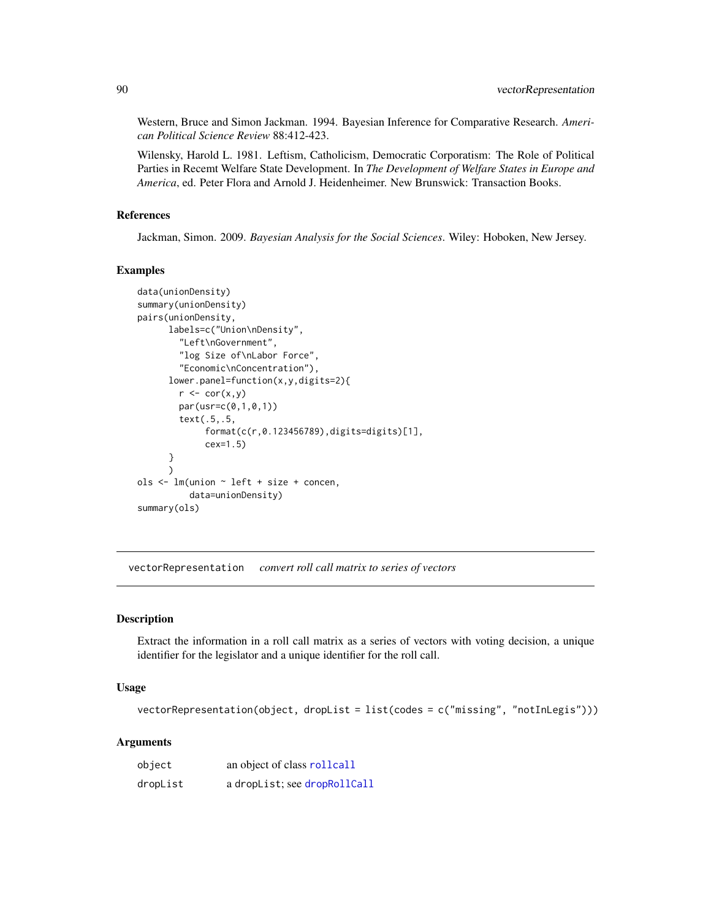Western, Bruce and Simon Jackman. 1994. Bayesian Inference for Comparative Research. *American Political Science Review* 88:412-423.

Wilensky, Harold L. 1981. Leftism, Catholicism, Democratic Corporatism: The Role of Political Parties in Recemt Welfare State Development. In *The Development of Welfare States in Europe and America*, ed. Peter Flora and Arnold J. Heidenheimer. New Brunswick: Transaction Books.

#### References

Jackman, Simon. 2009. *Bayesian Analysis for the Social Sciences*. Wiley: Hoboken, New Jersey.

#### Examples

```
data(unionDensity)
summary(unionDensity)
pairs(unionDensity,
      labels=c("Union\nDensity",
        "Left\nGovernment",
        "log Size of\nLabor Force",
        "Economic\nConcentration"),
      lower.panel=function(x,y,digits=2){
        r \leftarrow cor(x, y)par(usr=c(0,1,0,1))
        text(.5,.5,
             format(c(r,0.123456789),digits=digits)[1],
             cex=1.5)
      }
      )
ols <- lm(union ~ left + size + concen,
          data=unionDensity)
summary(ols)
```
vectorRepresentation *convert roll call matrix to series of vectors*

#### Description

Extract the information in a roll call matrix as a series of vectors with voting decision, a unique identifier for the legislator and a unique identifier for the roll call.

#### Usage

```
vectorRepresentation(object, dropList = list(codes = c("missing", "notInLegis")))
```
#### **Arguments**

| object   | an object of class rollcall  |
|----------|------------------------------|
| dropList | a dropList; see dropRollCall |

<span id="page-89-0"></span>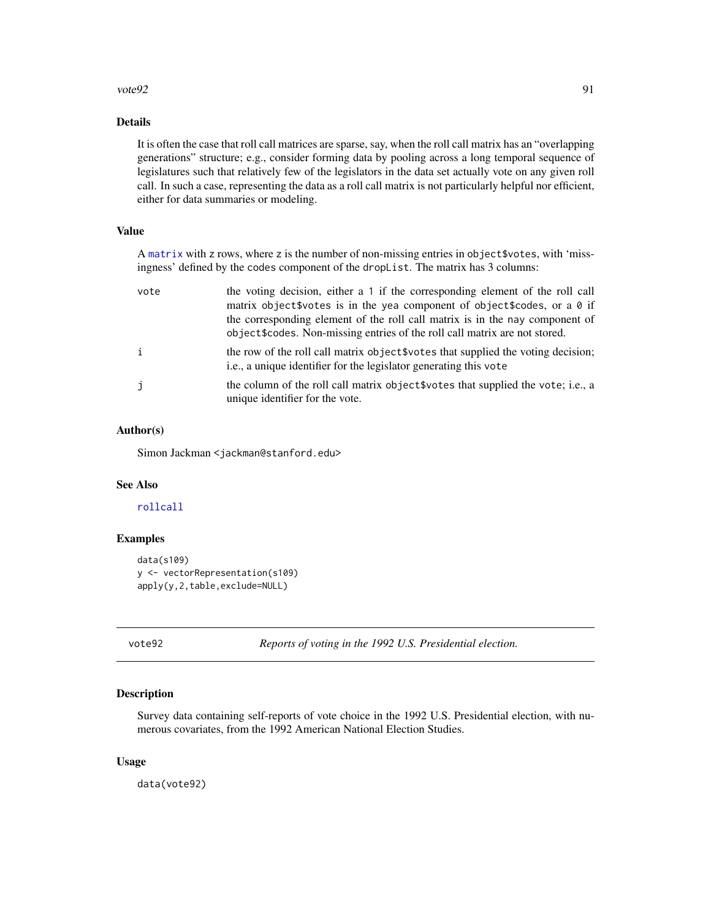#### <span id="page-90-0"></span> $vote92$  91

#### Details

It is often the case that roll call matrices are sparse, say, when the roll call matrix has an "overlapping generations" structure; e.g., consider forming data by pooling across a long temporal sequence of legislatures such that relatively few of the legislators in the data set actually vote on any given roll call. In such a case, representing the data as a roll call matrix is not particularly helpful nor efficient, either for data summaries or modeling.

### Value

A [matrix](#page-0-0) with z rows, where z is the number of non-missing entries in object\$votes, with 'missingness' defined by the codes component of the dropList. The matrix has 3 columns:

| vote | the voting decision, either a 1 if the corresponding element of the roll call<br>matrix object\$votes is in the yea component of object\$codes, or a 0 if<br>the corresponding element of the roll call matrix is in the nay component of<br>object \$codes. Non-missing entries of the roll call matrix are not stored. |
|------|--------------------------------------------------------------------------------------------------------------------------------------------------------------------------------------------------------------------------------------------------------------------------------------------------------------------------|
| j.   | the row of the roll call matrix object \$votes that supplied the voting decision;<br>i.e., a unique identifier for the legislator generating this vote                                                                                                                                                                   |
| j    | the column of the roll call matrix object words that supplied the vote; i.e., a<br>unique identifier for the vote.                                                                                                                                                                                                       |

#### Author(s)

Simon Jackman <jackman@stanford.edu>

#### See Also

#### [rollcall](#page-72-0)

#### Examples

```
data(s109)
y <- vectorRepresentation(s109)
apply(y,2,table,exclude=NULL)
```
vote92 *Reports of voting in the 1992 U.S. Presidential election.*

#### Description

Survey data containing self-reports of vote choice in the 1992 U.S. Presidential election, with numerous covariates, from the 1992 American National Election Studies.

#### Usage

data(vote92)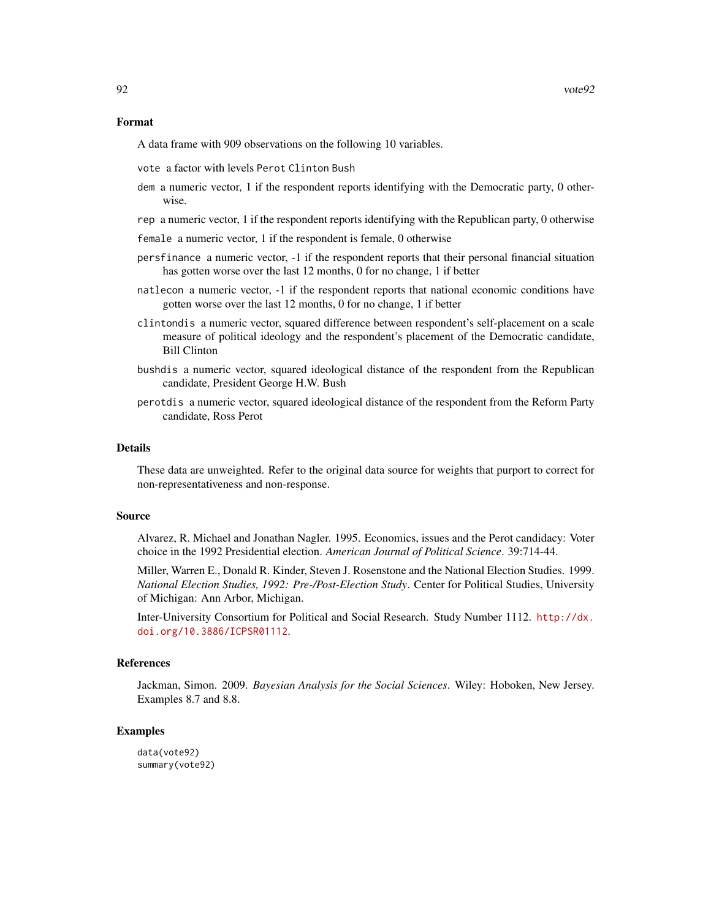#### Format

A data frame with 909 observations on the following 10 variables.

vote a factor with levels Perot Clinton Bush

- dem a numeric vector, 1 if the respondent reports identifying with the Democratic party, 0 otherwise.
- rep a numeric vector, 1 if the respondent reports identifying with the Republican party, 0 otherwise

female a numeric vector, 1 if the respondent is female, 0 otherwise

- persfinance a numeric vector, -1 if the respondent reports that their personal financial situation has gotten worse over the last 12 months, 0 for no change, 1 if better
- natlecon a numeric vector, -1 if the respondent reports that national economic conditions have gotten worse over the last 12 months, 0 for no change, 1 if better
- clintondis a numeric vector, squared difference between respondent's self-placement on a scale measure of political ideology and the respondent's placement of the Democratic candidate, Bill Clinton
- bushdis a numeric vector, squared ideological distance of the respondent from the Republican candidate, President George H.W. Bush
- perotdis a numeric vector, squared ideological distance of the respondent from the Reform Party candidate, Ross Perot

#### Details

These data are unweighted. Refer to the original data source for weights that purport to correct for non-representativeness and non-response.

#### Source

Alvarez, R. Michael and Jonathan Nagler. 1995. Economics, issues and the Perot candidacy: Voter choice in the 1992 Presidential election. *American Journal of Political Science*. 39:714-44.

Miller, Warren E., Donald R. Kinder, Steven J. Rosenstone and the National Election Studies. 1999. *National Election Studies, 1992: Pre-/Post-Election Study*. Center for Political Studies, University of Michigan: Ann Arbor, Michigan.

Inter-University Consortium for Political and Social Research. Study Number 1112. [http://dx.](http://dx.doi.org/10.3886/ICPSR01112) [doi.org/10.3886/ICPSR01112](http://dx.doi.org/10.3886/ICPSR01112).

#### References

Jackman, Simon. 2009. *Bayesian Analysis for the Social Sciences*. Wiley: Hoboken, New Jersey. Examples 8.7 and 8.8.

#### Examples

data(vote92) summary(vote92)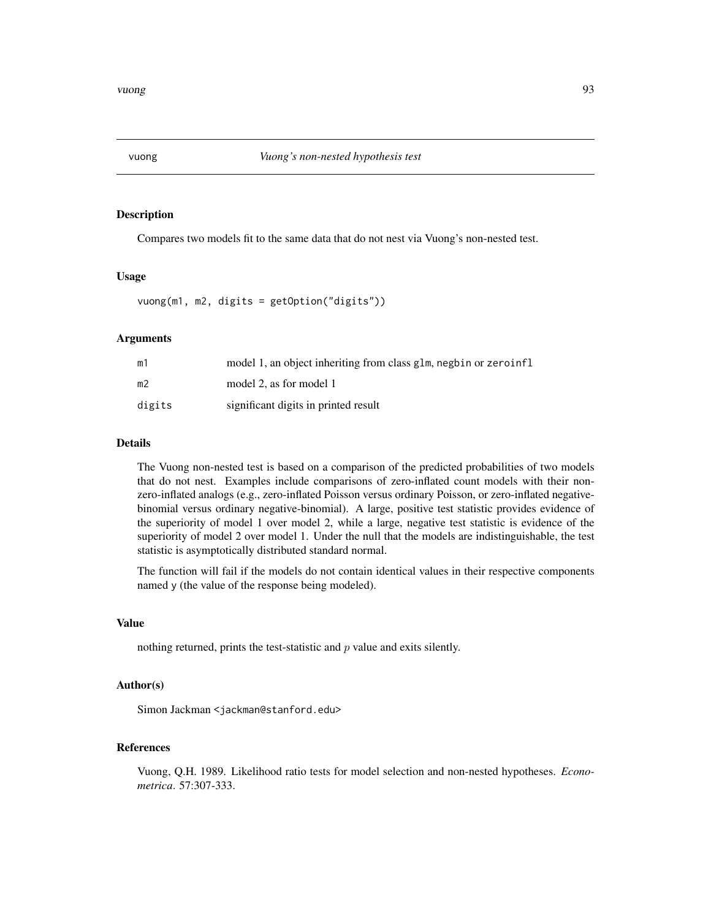<span id="page-92-0"></span>

#### Description

Compares two models fit to the same data that do not nest via Vuong's non-nested test.

#### Usage

vuong(m1, m2, digits = getOption("digits"))

#### Arguments

| m1     | model 1, an object inheriting from class glm, negbin or zeroinfl |
|--------|------------------------------------------------------------------|
| m2     | model 2, as for model 1                                          |
| digits | significant digits in printed result                             |

#### Details

The Vuong non-nested test is based on a comparison of the predicted probabilities of two models that do not nest. Examples include comparisons of zero-inflated count models with their nonzero-inflated analogs (e.g., zero-inflated Poisson versus ordinary Poisson, or zero-inflated negativebinomial versus ordinary negative-binomial). A large, positive test statistic provides evidence of the superiority of model 1 over model 2, while a large, negative test statistic is evidence of the superiority of model 2 over model 1. Under the null that the models are indistinguishable, the test statistic is asymptotically distributed standard normal.

The function will fail if the models do not contain identical values in their respective components named y (the value of the response being modeled).

#### Value

nothing returned, prints the test-statistic and  $p$  value and exits silently.

#### Author(s)

Simon Jackman <jackman@stanford.edu>

#### References

Vuong, Q.H. 1989. Likelihood ratio tests for model selection and non-nested hypotheses. *Econometrica*. 57:307-333.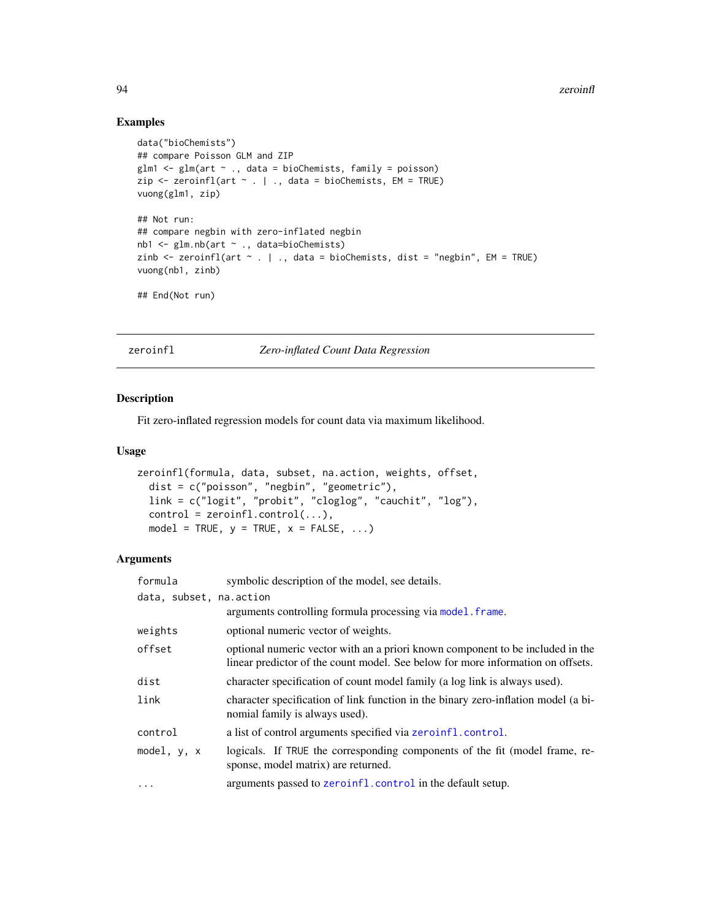#### Examples

```
data("bioChemists")
## compare Poisson GLM and ZIP
glm1 \leftarrow glm(art \sim ., data = bioChemists, family = poisson)zip \leftarrow zeroinfl(art \sim . \mid ., data = bioChemists, EM = TRUE)vuong(glm1, zip)
## Not run:
## compare negbin with zero-inflated negbin
nb1 <- glm.nb(art ~ ., data=bioChemists)
zinb \le zeroinfl(art \sim . | ., data = bioChemists, dist = "negbin", EM = TRUE)
vuong(nb1, zinb)
## End(Not run)
```
<span id="page-93-0"></span>zeroinfl *Zero-inflated Count Data Regression*

#### Description

Fit zero-inflated regression models for count data via maximum likelihood.

#### Usage

```
zeroinfl(formula, data, subset, na.action, weights, offset,
  dist = c("poisson", "negbin", "geometric"),
 link = c("logit", "probit", "cloglog", "cauchit", "log"),
  control = zeroinfl.control(...),model = TRUE, y = TRUE, x = FALSE, ...)
```
#### Arguments

| formula                 | symbolic description of the model, see details.                                                                                                                   |
|-------------------------|-------------------------------------------------------------------------------------------------------------------------------------------------------------------|
| data, subset, na.action |                                                                                                                                                                   |
|                         | arguments controlling formula processing via model. frame.                                                                                                        |
| weights                 | optional numeric vector of weights.                                                                                                                               |
| offset                  | optional numeric vector with an a priori known component to be included in the<br>linear predictor of the count model. See below for more information on offsets. |
| dist                    | character specification of count model family (a log link is always used).                                                                                        |
| link                    | character specification of link function in the binary zero-inflation model (a bi-<br>nomial family is always used).                                              |
| control                 | a list of control arguments specified via zeroinfl.control.                                                                                                       |
| model, y, x             | logicals. If TRUE the corresponding components of the fit (model frame, re-<br>sponse, model matrix) are returned.                                                |
| $\cdots$                | arguments passed to zeroinfl. control in the default setup.                                                                                                       |

<span id="page-93-1"></span>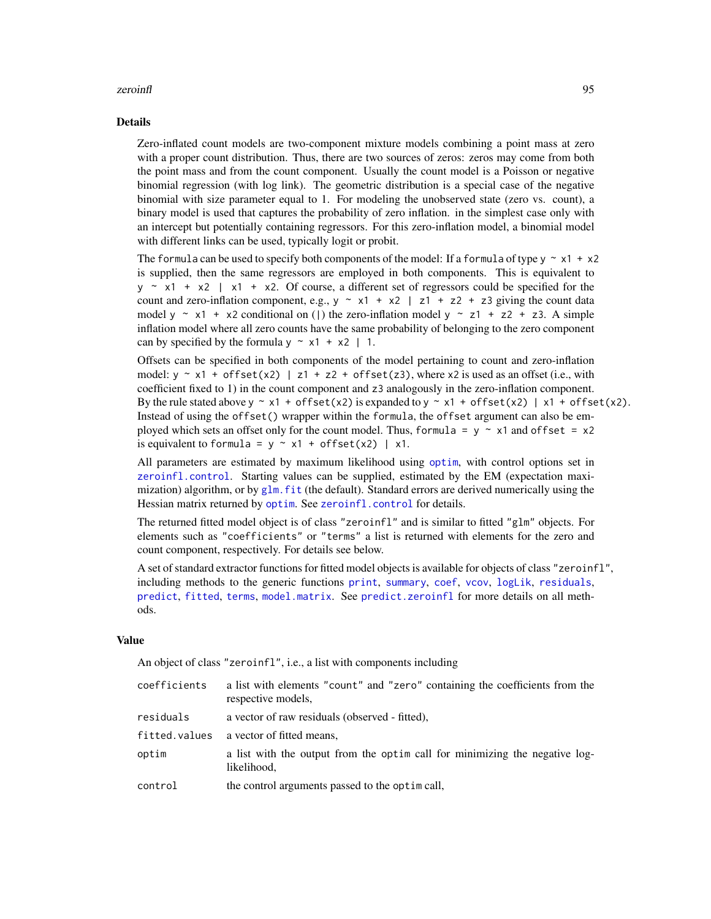#### <span id="page-94-0"></span>zeroinfl<sup>95</sup> and the set of the set of the set of the set of the set of the set of the set of the set of the set of the set of the set of the set of the set of the set of the set of the set of the set of the set of the set

#### Details

Zero-inflated count models are two-component mixture models combining a point mass at zero with a proper count distribution. Thus, there are two sources of zeros: zeros may come from both the point mass and from the count component. Usually the count model is a Poisson or negative binomial regression (with log link). The geometric distribution is a special case of the negative binomial with size parameter equal to 1. For modeling the unobserved state (zero vs. count), a binary model is used that captures the probability of zero inflation. in the simplest case only with an intercept but potentially containing regressors. For this zero-inflation model, a binomial model with different links can be used, typically logit or probit.

The formula can be used to specify both components of the model: If a formula of type  $y \sim x1 + x2$ is supplied, then the same regressors are employed in both components. This is equivalent to  $y \sim x1 + x2$  | x1 + x2. Of course, a different set of regressors could be specified for the count and zero-inflation component, e.g.,  $y \sim x1 + x2$  | z1 + z2 + z3 giving the count data model y  $\sim$  x1 + x2 conditional on () the zero-inflation model y  $\sim$  z1 + z2 + z3. A simple inflation model where all zero counts have the same probability of belonging to the zero component can by specified by the formula  $y \sim x1 + x2 + 1$ .

Offsets can be specified in both components of the model pertaining to count and zero-inflation model:  $y \sim x1 + \text{offset}(x2)$  | z1 + z2 + offset(z3), where x2 is used as an offset (i.e., with coefficient fixed to 1) in the count component and z3 analogously in the zero-inflation component. By the rule stated above  $y \sim x1 + \text{offset}(x2)$  is expanded to  $y \sim x1 + \text{offset}(x2)$  | x1 + offset(x2). Instead of using the offset() wrapper within the formula, the offset argument can also be employed which sets an offset only for the count model. Thus, formula =  $y \sim x1$  and offset =  $x2$ is equivalent to formula =  $y \sim x1 + \text{offset}(x2)$  | x1.

All parameters are estimated by maximum likelihood using [optim](#page-0-0), with control options set in [zeroinfl.control](#page-96-0). Starting values can be supplied, estimated by the EM (expectation maximization) algorithm, or by  $g \ln f$  f it (the default). Standard errors are derived numerically using the Hessian matrix returned by [optim](#page-0-0). See [zeroinfl.control](#page-96-0) for details.

The returned fitted model object is of class "zeroinfl" and is similar to fitted "glm" objects. For elements such as "coefficients" or "terms" a list is returned with elements for the zero and count component, respectively. For details see below.

A set of standard extractor functions for fitted model objects is available for objects of class "zeroinfl", including methods to the generic functions [print](#page-0-0), [summary](#page-0-0), [coef](#page-0-0), [vcov](#page-0-0), [logLik](#page-0-0), [residuals](#page-0-0), [predict](#page-0-0), [fitted](#page-0-0), [terms](#page-0-0), [model.matrix](#page-0-0). See [predict.zeroinfl](#page-60-0) for more details on all methods.

#### Value

An object of class "zeroinfl", i.e., a list with components including

| coefficients  | a list with elements "count" and "zero" containing the coefficients from the<br>respective models. |
|---------------|----------------------------------------------------------------------------------------------------|
| residuals     | a vector of raw residuals (observed - fitted).                                                     |
| fitted.values | a vector of fitted means,                                                                          |
| optim         | a list with the output from the optim call for minimizing the negative log-<br>likelihood,         |
| control       | the control arguments passed to the optimical.                                                     |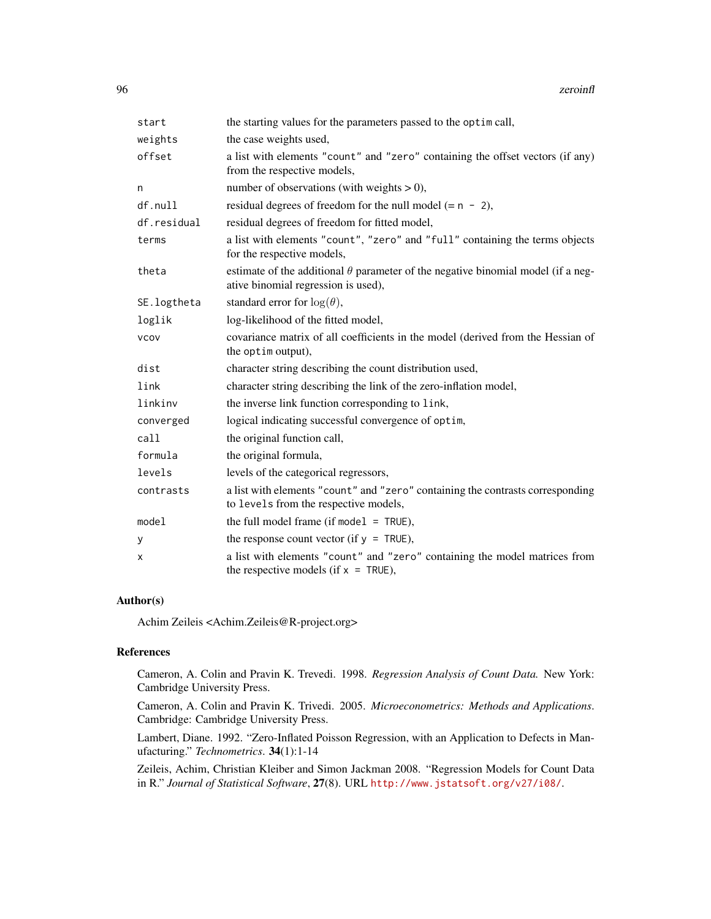#### 96 zeroinfl

| start       | the starting values for the parameters passed to the optim call,                                                               |
|-------------|--------------------------------------------------------------------------------------------------------------------------------|
| weights     | the case weights used,                                                                                                         |
| offset      | a list with elements "count" and "zero" containing the offset vectors (if any)<br>from the respective models,                  |
| n           | number of observations (with weights $> 0$ ),                                                                                  |
| df.null     | residual degrees of freedom for the null model $(= n - 2)$ ,                                                                   |
| df.residual | residual degrees of freedom for fitted model,                                                                                  |
| terms       | a list with elements "count", "zero" and "full" containing the terms objects<br>for the respective models,                     |
| theta       | estimate of the additional $\theta$ parameter of the negative binomial model (if a neg-<br>ative binomial regression is used), |
| SE.logtheta | standard error for $log(\theta)$ ,                                                                                             |
| loglik      | log-likelihood of the fitted model,                                                                                            |
| <b>VCOV</b> | covariance matrix of all coefficients in the model (derived from the Hessian of<br>the optim output),                          |
| dist        | character string describing the count distribution used,                                                                       |
| link        | character string describing the link of the zero-inflation model,                                                              |
| linkinv     | the inverse link function corresponding to link,                                                                               |
| converged   | logical indicating successful convergence of optim,                                                                            |
| call        | the original function call,                                                                                                    |
| formula     | the original formula,                                                                                                          |
| levels      | levels of the categorical regressors,                                                                                          |
| contrasts   | a list with elements "count" and "zero" containing the contrasts corresponding<br>to levels from the respective models,        |
| model       | the full model frame (if model $=$ TRUE),                                                                                      |
| У           | the response count vector (if $y = TRUE$ ),                                                                                    |
| X           | a list with elements "count" and "zero" containing the model matrices from<br>the respective models (if $x = TRUE$ ),          |

#### Author(s)

Achim Zeileis <Achim.Zeileis@R-project.org>

#### References

Cameron, A. Colin and Pravin K. Trevedi. 1998. *Regression Analysis of Count Data.* New York: Cambridge University Press.

Cameron, A. Colin and Pravin K. Trivedi. 2005. *Microeconometrics: Methods and Applications*. Cambridge: Cambridge University Press.

Lambert, Diane. 1992. "Zero-Inflated Poisson Regression, with an Application to Defects in Manufacturing." *Technometrics*. 34(1):1-14

Zeileis, Achim, Christian Kleiber and Simon Jackman 2008. "Regression Models for Count Data in R." *Journal of Statistical Software*, 27(8). URL <http://www.jstatsoft.org/v27/i08/>.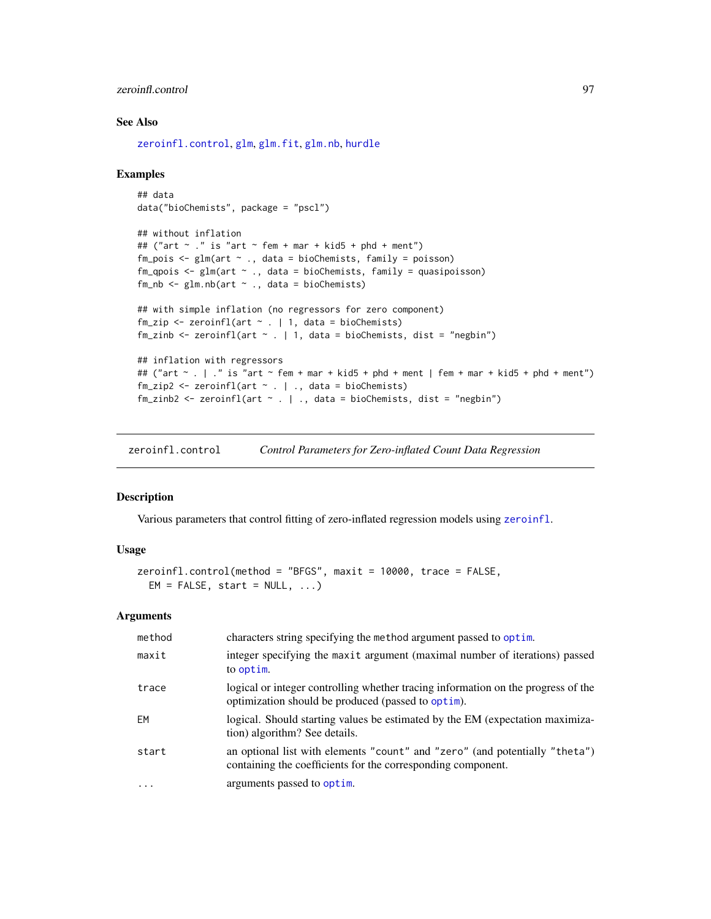#### <span id="page-96-1"></span>zeroinfl.control 97

#### See Also

[zeroinfl.control](#page-96-0), [glm](#page-0-0), [glm.fit](#page-0-0), [glm.nb](#page-0-0), [hurdle](#page-26-0)

#### Examples

```
## data
data("bioChemists", package = "pscl")
## without inflation
## ("art \sim ." is "art \sim fem + mar + kid5 + phd + ment")
fm_pois <- glm(art ~ ., data = bioChemists, family = poisson)
fm_qpois <- glm(art ~ ., data = bioChemists, family = quasipoisson)
fm_nb <- glm.nb (art \sim ., data = bioChemists)
## with simple inflation (no regressors for zero component)
fm\_zip \leftarrow zeroinfl(art \sim . \mid 1, data = bioChemists)fm_zinb <- zeroinfl(art \sim . | 1, data = bioChemists, dist = "negbin")
## inflation with regressors
## ("art ~ . | ." is "art ~ fem + mar + kid5 + phd + ment | fem + mar + kid5 + phd + ment")
fm\_zip2 \leq zeroinfl(art \sim . \mid ., data = bioChemists)fm\_zinh2 \leftarrow zeroinfl(art \sim . \mid ., data = bioChemists, dist = "negbin")
```
<span id="page-96-0"></span>zeroinfl.control *Control Parameters for Zero-inflated Count Data Regression*

#### Description

Various parameters that control fitting of zero-inflated regression models using [zeroinfl](#page-93-0).

#### Usage

```
zeroinfl.control(method = "BFGS", maxit = 10000, trace = FALSE,
 EM = FALSE, start = NULL, ...)
```
#### Arguments

| method   | characters string specifying the method argument passed to optim.                                                                           |
|----------|---------------------------------------------------------------------------------------------------------------------------------------------|
| maxit    | integer specifying the maxit argument (maximal number of iterations) passed<br>to optim.                                                    |
| trace    | logical or integer controlling whether tracing information on the progress of the<br>optimization should be produced (passed to optim).     |
| EM       | logical. Should starting values be estimated by the EM (expectation maximiza-<br>tion) algorithm? See details.                              |
| start    | an optional list with elements "count" and "zero" (and potentially "theta")<br>containing the coefficients for the corresponding component. |
| $\cdots$ | arguments passed to optim.                                                                                                                  |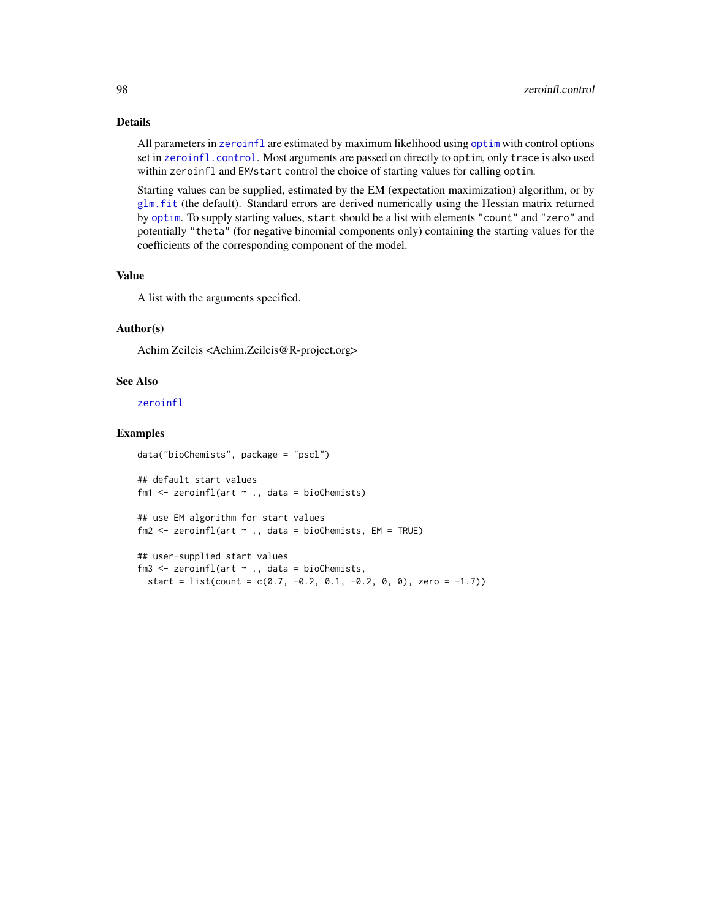#### <span id="page-97-0"></span>Details

All parameters in [zeroinfl](#page-93-0) are estimated by maximum likelihood using [optim](#page-0-0) with control options set in [zeroinfl.control](#page-96-0). Most arguments are passed on directly to optim, only trace is also used within zeroinfl and EM/start control the choice of starting values for calling optim.

Starting values can be supplied, estimated by the EM (expectation maximization) algorithm, or by [glm.fit](#page-0-0) (the default). Standard errors are derived numerically using the Hessian matrix returned by [optim](#page-0-0). To supply starting values, start should be a list with elements "count" and "zero" and potentially "theta" (for negative binomial components only) containing the starting values for the coefficients of the corresponding component of the model.

#### Value

A list with the arguments specified.

#### Author(s)

Achim Zeileis <Achim.Zeileis@R-project.org>

#### See Also

[zeroinfl](#page-93-0)

#### Examples

```
data("bioChemists", package = "pscl")
## default start values
fm1 \le zeroinfl(art \sim ., data = bioChemists)
## use EM algorithm for start values
fm2 \le zeroinfl(art \sim ., data = bioChemists, EM = TRUE)
## user-supplied start values
fm3 <- zeroinfl(art ~ ., data = bioChemists,
  start = list(count = c(0.7, -0.2, 0.1, -0.2, 0, 0), zero = -1.7))
```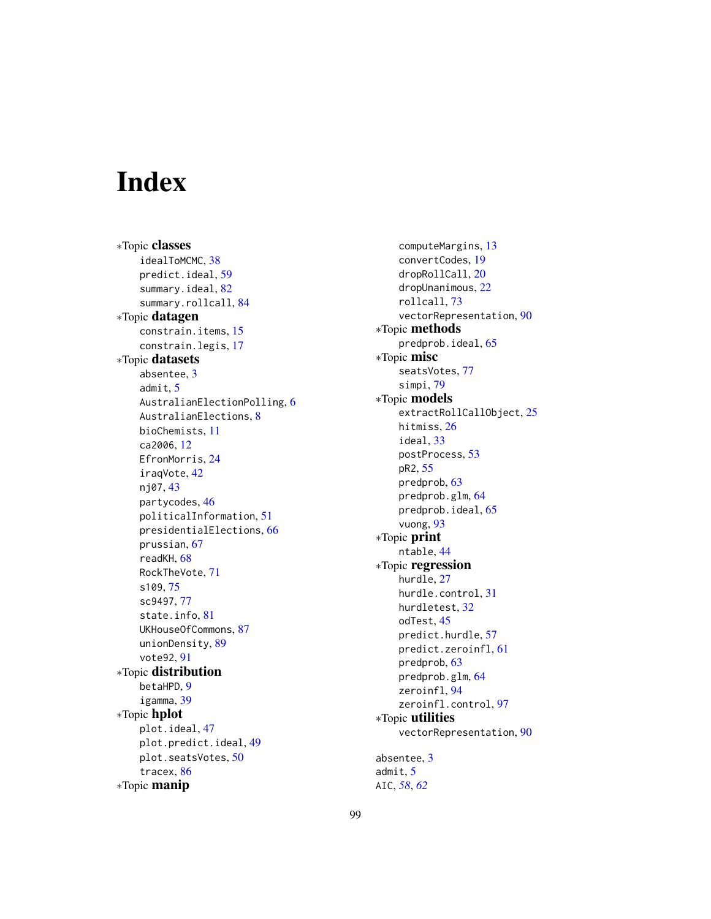# **Index**

∗Topic classes idealToMCMC, [38](#page-37-0) predict.ideal, [59](#page-58-0) summary.ideal, [82](#page-81-0) summary.rollcall, [84](#page-83-1) ∗Topic datagen constrain.items, [15](#page-14-0) constrain.legis, [17](#page-16-0) ∗Topic datasets absentee, [3](#page-2-0) admit, [5](#page-4-0) AustralianElectionPolling, [6](#page-5-0) AustralianElections, [8](#page-7-0) bioChemists, [11](#page-10-0) ca2006, [12](#page-11-0) EfronMorris, [24](#page-23-0) iraqVote, [42](#page-41-0) nj07, [43](#page-42-0) partycodes, [46](#page-45-0) politicalInformation, [51](#page-50-0) presidentialElections, [66](#page-65-0) prussian, [67](#page-66-0) readKH, [68](#page-67-1) RockTheVote, [71](#page-70-0) s109, [75](#page-74-0) sc9497, [77](#page-76-0) state.info, [81](#page-80-0) UKHouseOfCommons, [87](#page-86-0) unionDensity, [89](#page-88-0) vote92, [91](#page-90-0) ∗Topic distribution betaHPD, [9](#page-8-0) igamma, [39](#page-38-0) ∗Topic hplot plot.ideal, [47](#page-46-0) plot.predict.ideal, [49](#page-48-0) plot.seatsVotes, [50](#page-49-1) tracex, [86](#page-85-0) ∗Topic manip

computeMargins, [13](#page-12-0) convertCodes, [19](#page-18-0) dropRollCall, [20](#page-19-1) dropUnanimous, [22](#page-21-0) rollcall, [73](#page-72-1) vectorRepresentation, [90](#page-89-0) ∗Topic methods predprob.ideal, [65](#page-64-0) ∗Topic misc seatsVotes, [77](#page-76-0) simpi, [79](#page-78-0) ∗Topic models extractRollCallObject, [25](#page-24-0) hitmiss, [26](#page-25-0) ideal, [33](#page-32-1) postProcess, [53](#page-52-0) pR2, [55](#page-54-0) predprob, [63](#page-62-0) predprob.glm, [64](#page-63-0) predprob.ideal, [65](#page-64-0) vuong, [93](#page-92-0) ∗Topic print ntable, [44](#page-43-0) ∗Topic regression hurdle, [27](#page-26-1) hurdle.control, [31](#page-30-0) hurdletest, [32](#page-31-0) odTest, [45](#page-44-0) predict.hurdle, [57](#page-56-0) predict.zeroinfl, [61](#page-60-1) predprob, [63](#page-62-0) predprob.glm, [64](#page-63-0) zeroinfl, [94](#page-93-1) zeroinfl.control, [97](#page-96-1) ∗Topic utilities vectorRepresentation, [90](#page-89-0) absentee, [3](#page-2-0) admit, [5](#page-4-0) AIC, *[58](#page-57-0)*, *[62](#page-61-0)*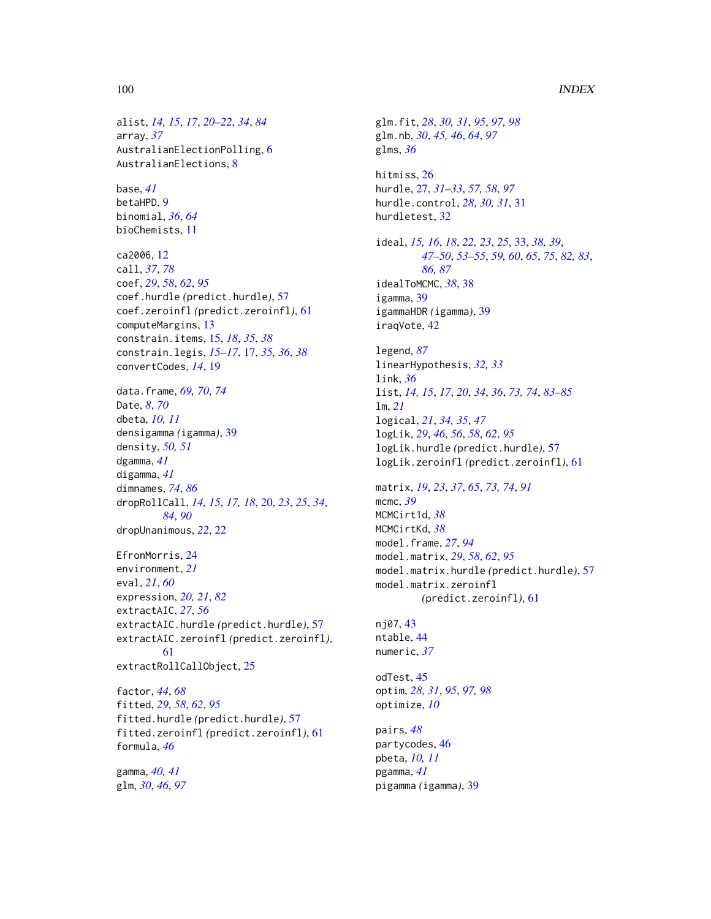#### 100 INDEX

alist, *[14,](#page-13-0) [15](#page-14-0)*, *[17](#page-16-0)*, *[20](#page-19-1)[–22](#page-21-0)*, *[34](#page-33-0)*, *[84](#page-83-1)* array, *[37](#page-36-0)* AustralianElectionPolling, [6](#page-5-0) AustralianElections, [8](#page-7-0) base, *[41](#page-40-0)* betaHPD, [9](#page-8-0) binomial, *[36](#page-35-0)*, *[64](#page-63-0)* bioChemists, [11](#page-10-0) ca2006, [12](#page-11-0) call, *[37](#page-36-0)*, *[78](#page-77-0)* coef, *[29](#page-28-0)*, *[58](#page-57-0)*, *[62](#page-61-0)*, *[95](#page-94-0)* coef.hurdle *(*predict.hurdle*)*, [57](#page-56-0) coef.zeroinfl *(*predict.zeroinfl*)*, [61](#page-60-1) computeMargins, [13](#page-12-0) constrain.items, [15,](#page-14-0) *[18](#page-17-0)*, *[35](#page-34-0)*, *[38](#page-37-0)* constrain.legis, *[15](#page-14-0)[–17](#page-16-0)*, [17,](#page-16-0) *[35,](#page-34-0) [36](#page-35-0)*, *[38](#page-37-0)* convertCodes, *[14](#page-13-0)*, [19](#page-18-0) data.frame, *[69,](#page-68-0) [70](#page-69-0)*, *[74](#page-73-0)* Date, *[8](#page-7-0)*, *[70](#page-69-0)* dbeta, *[10,](#page-9-0) [11](#page-10-0)* densigamma *(*igamma*)*, [39](#page-38-0) density, *[50,](#page-49-1) [51](#page-50-0)* dgamma, *[41](#page-40-0)* digamma, *[41](#page-40-0)* dimnames, *[74](#page-73-0)*, *[86](#page-85-0)* dropRollCall, *[14,](#page-13-0) [15](#page-14-0)*, *[17,](#page-16-0) [18](#page-17-0)*, [20,](#page-19-1) *[23](#page-22-0)*, *[25](#page-24-0)*, *[34](#page-33-0)*, *[84](#page-83-1)*, *[90](#page-89-0)* dropUnanimous, *[22](#page-21-0)*, [22](#page-21-0) EfronMorris, [24](#page-23-0) environment, *[21](#page-20-0)* eval, *[21](#page-20-0)*, *[60](#page-59-0)* expression, *[20,](#page-19-1) [21](#page-20-0)*, *[82](#page-81-0)* extractAIC, *[27](#page-26-1)*, *[56](#page-55-0)* extractAIC.hurdle *(*predict.hurdle*)*, [57](#page-56-0) extractAIC.zeroinfl *(*predict.zeroinfl*)*, [61](#page-60-1) extractRollCallObject, [25](#page-24-0) factor, *[44](#page-43-0)*, *[68](#page-67-1)* fitted, *[29](#page-28-0)*, *[58](#page-57-0)*, *[62](#page-61-0)*, *[95](#page-94-0)* fitted.hurdle *(*predict.hurdle*)*, [57](#page-56-0) fitted.zeroinfl *(*predict.zeroinfl*)*, [61](#page-60-1) formula, *[46](#page-45-0)* gamma, *[40,](#page-39-0) [41](#page-40-0)* glm, *[30](#page-29-0)*, *[46](#page-45-0)*, *[97](#page-96-1)*

glm.fit, *[28](#page-27-0)*, *[30,](#page-29-0) [31](#page-30-0)*, *[95](#page-94-0)*, *[97,](#page-96-1) [98](#page-97-0)* glm.nb, *[30](#page-29-0)*, *[45,](#page-44-0) [46](#page-45-0)*, *[64](#page-63-0)*, *[97](#page-96-1)* glms, *[36](#page-35-0)* hitmiss, [26](#page-25-0) hurdle, [27,](#page-26-1) *[31](#page-30-0)[–33](#page-32-1)*, *[57,](#page-56-0) [58](#page-57-0)*, *[97](#page-96-1)* hurdle.control, *[28](#page-27-0)*, *[30,](#page-29-0) [31](#page-30-0)*, [31](#page-30-0) hurdletest, [32](#page-31-0) ideal, *[15,](#page-14-0) [16](#page-15-0)*, *[18](#page-17-0)*, *[22,](#page-21-0) [23](#page-22-0)*, *[25](#page-24-0)*, [33,](#page-32-1) *[38,](#page-37-0) [39](#page-38-0)*, *[47](#page-46-0)[–50](#page-49-1)*, *[53](#page-52-0)[–55](#page-54-0)*, *[59,](#page-58-0) [60](#page-59-0)*, *[65](#page-64-0)*, *[75](#page-74-0)*, *[82,](#page-81-0) [83](#page-82-0)*, *[86,](#page-85-0) [87](#page-86-0)* idealToMCMC, *[38](#page-37-0)*, [38](#page-37-0) igamma, [39](#page-38-0) igammaHDR *(*igamma*)*, [39](#page-38-0) iraqVote, [42](#page-41-0) legend, *[87](#page-86-0)* linearHypothesis, *[32,](#page-31-0) [33](#page-32-1)* link, *[36](#page-35-0)* list, *[14,](#page-13-0) [15](#page-14-0)*, *[17](#page-16-0)*, *[20](#page-19-1)*, *[34](#page-33-0)*, *[36](#page-35-0)*, *[73,](#page-72-1) [74](#page-73-0)*, *[83](#page-82-0)[–85](#page-84-0)* lm, *[21](#page-20-0)* logical, *[21](#page-20-0)*, *[34,](#page-33-0) [35](#page-34-0)*, *[47](#page-46-0)* logLik, *[29](#page-28-0)*, *[46](#page-45-0)*, *[56](#page-55-0)*, *[58](#page-57-0)*, *[62](#page-61-0)*, *[95](#page-94-0)* logLik.hurdle *(*predict.hurdle*)*, [57](#page-56-0) logLik.zeroinfl *(*predict.zeroinfl*)*, [61](#page-60-1) matrix, *[19](#page-18-0)*, *[23](#page-22-0)*, *[37](#page-36-0)*, *[65](#page-64-0)*, *[73,](#page-72-1) [74](#page-73-0)*, *[91](#page-90-0)* mcmc, *[39](#page-38-0)* MCMCirt1d, *[38](#page-37-0)* MCMCirtKd, *[38](#page-37-0)* model.frame, *[27](#page-26-1)*, *[94](#page-93-1)* model.matrix, *[29](#page-28-0)*, *[58](#page-57-0)*, *[62](#page-61-0)*, *[95](#page-94-0)* model.matrix.hurdle *(*predict.hurdle*)*, [57](#page-56-0) model.matrix.zeroinfl *(*predict.zeroinfl*)*, [61](#page-60-1) nj07, [43](#page-42-0) ntable, [44](#page-43-0) numeric, *[37](#page-36-0)* odTest, [45](#page-44-0) optim, *[28](#page-27-0)*, *[31](#page-30-0)*, *[95](#page-94-0)*, *[97,](#page-96-1) [98](#page-97-0)* optimize, *[10](#page-9-0)* pairs, *[48](#page-47-0)* partycodes, [46](#page-45-0) pbeta, *[10,](#page-9-0) [11](#page-10-0)* pgamma, *[41](#page-40-0)* pigamma *(*igamma*)*, [39](#page-38-0)